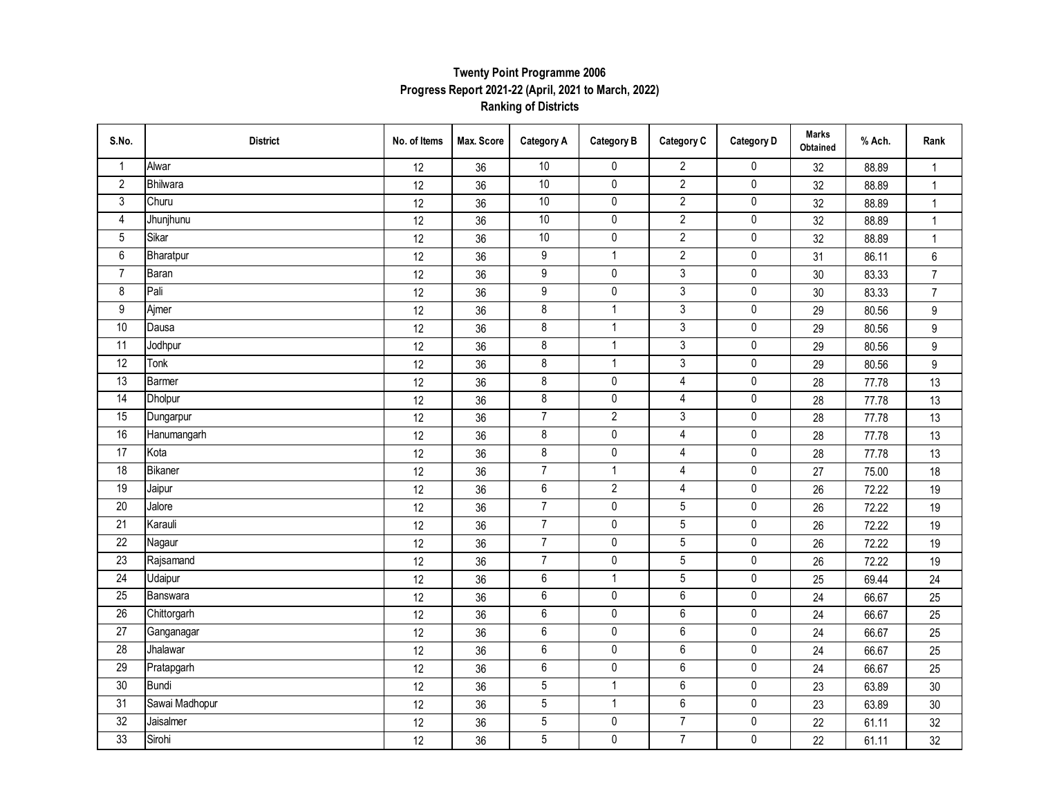#### **Ranking of Districts Twenty Point Programme 2006 Progress Report 2021-22 (April, 2021 to March, 2022)**

| S.No.                   | <b>District</b> | No. of Items | Max. Score | <b>Category A</b> | <b>Category B</b> | Category C     | <b>Category D</b> | <b>Marks</b><br>Obtained | % Ach. | Rank            |
|-------------------------|-----------------|--------------|------------|-------------------|-------------------|----------------|-------------------|--------------------------|--------|-----------------|
| $\mathbf{1}$            | Alwar           | 12           | 36         | 10                | $\mathbf 0$       | $\overline{2}$ | 0                 | 32                       | 88.89  | $\mathbf{1}$    |
| $\overline{2}$          | Bhilwara        | 12           | 36         | 10                | $\pmb{0}$         | $\overline{2}$ | $\pmb{0}$         | 32                       | 88.89  | $\mathbf{1}$    |
| $\sqrt{3}$              | Churu           | 12           | 36         | 10                | $\pmb{0}$         | $\overline{2}$ | $\pmb{0}$         | 32                       | 88.89  | $\mathbf{1}$    |
| $\overline{\mathbf{4}}$ | Jhunjhunu       | 12           | 36         | $10$              | $\pmb{0}$         | $\sqrt{2}$     | $\pmb{0}$         | 32                       | 88.89  | $\mathbf{1}$    |
| $\overline{5}$          | Sikar           | 12           | 36         | $10$              | $\pmb{0}$         | $\overline{2}$ | 0                 | 32                       | 88.89  | $\mathbf{1}$    |
| $\,6\,$                 | Bharatpur       | 12           | 36         | $\boldsymbol{9}$  | $\mathbf{1}$      | $\overline{2}$ | 0                 | 31                       | 86.11  | 6               |
| $\overline{7}$          | Baran           | 12           | 36         | $\boldsymbol{9}$  | $\pmb{0}$         | 3              | $\pmb{0}$         | 30                       | 83.33  | $\overline{7}$  |
| 8                       | Pali            | 12           | 36         | $\boldsymbol{9}$  | $\pmb{0}$         | 3              | $\pmb{0}$         | $30\,$                   | 83.33  | $\overline{7}$  |
| $9\,$                   | Ajmer           | 12           | 36         | $\overline{8}$    | $\mathbf{1}$      | $\overline{3}$ | $\pmb{0}$         | 29                       | 80.56  | 9               |
| 10                      | Dausa           | 12           | 36         | $\bf 8$           | $\mathbf{1}$      | $\overline{3}$ | $\pmb{0}$         | 29                       | 80.56  | 9               |
| 11                      | Jodhpur         | 12           | 36         | $\bf 8$           | $\mathbf{1}$      | $\overline{3}$ | $\pmb{0}$         | 29                       | 80.56  | 9               |
| 12                      | Tonk            | 12           | 36         | 8                 | $\mathbf{1}$      | 3              | $\pmb{0}$         | 29                       | 80.56  | 9               |
| 13                      | Barmer          | 12           | 36         | $\bf 8$           | $\pmb{0}$         | $\overline{4}$ | $\pmb{0}$         | 28                       | 77.78  | 13              |
| $\overline{14}$         | Dholpur         | 12           | 36         | 8                 | $\pmb{0}$         | 4              | 0                 | 28                       | 77.78  | 13              |
| 15                      | Dungarpur       | 12           | 36         | $\overline{7}$    | $\mathbf{2}$      | 3              | $\pmb{0}$         | 28                       | 77.78  | 13              |
| 16                      | Hanumangarh     | 12           | 36         | $\bf 8$           | $\pmb{0}$         | $\overline{4}$ | $\pmb{0}$         | 28                       | 77.78  | 13              |
| 17                      | Kota            | 12           | 36         | $\bf 8$           | $\pmb{0}$         | $\overline{4}$ | $\pmb{0}$         | 28                       | 77.78  | 13              |
| $\overline{18}$         | <b>Bikaner</b>  | 12           | 36         | $\overline{7}$    | $\mathbf{1}$      | $\overline{4}$ | $\pmb{0}$         | 27                       | 75.00  | 18              |
| $\overline{19}$         | Jaipur          | 12           | 36         | $\,6\,$           | $\overline{2}$    | 4              | $\pmb{0}$         | 26                       | 72.22  | 19              |
| $\overline{20}$         | Jalore          | 12           | 36         | $\overline{7}$    | $\pmb{0}$         | 5              | $\pmb{0}$         | 26                       | 72.22  | 19              |
| $\overline{21}$         | Karauli         | 12           | 36         | $\overline{7}$    | $\pmb{0}$         | $\overline{5}$ | $\pmb{0}$         | 26                       | 72.22  | 19              |
| $\overline{22}$         | Nagaur          | 12           | 36         | $\overline{7}$    | $\pmb{0}$         | 5              | $\pmb{0}$         | 26                       | 72.22  | 19              |
| 23                      | Rajsamand       | $12\,$       | 36         | $\overline{7}$    | $\pmb{0}$         | 5              | $\pmb{0}$         | 26                       | 72.22  | 19              |
| $\overline{24}$         | Udaipur         | 12           | 36         | $\,6\,$           | $\mathbf{1}$      | $\sqrt{5}$     | $\pmb{0}$         | 25                       | 69.44  | 24              |
| 25                      | Banswara        | 12           | 36         | 6                 | $\pmb{0}$         | 6              | $\pmb{0}$         | 24                       | 66.67  | 25              |
| $\overline{26}$         | Chittorgarh     | 12           | 36         | $\,6\,$           | $\pmb{0}$         | 6              | $\pmb{0}$         | 24                       | 66.67  | 25              |
| 27                      | Ganganagar      | 12           | 36         | $\,6\,$           | $\pmb{0}$         | 6              | $\pmb{0}$         | 24                       | 66.67  | 25              |
| $\overline{28}$         | Jhalawar        | 12           | 36         | $\boldsymbol{6}$  | $\pmb{0}$         | 6              | $\pmb{0}$         | 24                       | 66.67  | 25              |
| $\overline{29}$         | Pratapgarh      | 12           | 36         | $\overline{6}$    | $\pmb{0}$         | 6              | $\pmb{0}$         | 24                       | 66.67  | 25              |
| 30                      | <b>Bundi</b>    | $12\,$       | 36         | $\sqrt{5}$        | $\mathbf{1}$      | 6              | $\pmb{0}$         | 23                       | 63.89  | 30 <sup>°</sup> |
| 31                      | Sawai Madhopur  | 12           | 36         | $\mathbf 5$       | $\mathbf{1}$      | $\,6\,$        | $\pmb{0}$         | 23                       | 63.89  | 30 <sup>°</sup> |
| $\overline{32}$         | Jaisalmer       | 12           | 36         | $\mathbf 5$       | $\pmb{0}$         | $\overline{7}$ | $\pmb{0}$         | 22                       | 61.11  | 32              |
| 33                      | Sirohi          | 12           | 36         | $\overline{5}$    | $\pmb{0}$         | $\overline{7}$ | $\pmb{0}$         | 22                       | 61.11  | 32              |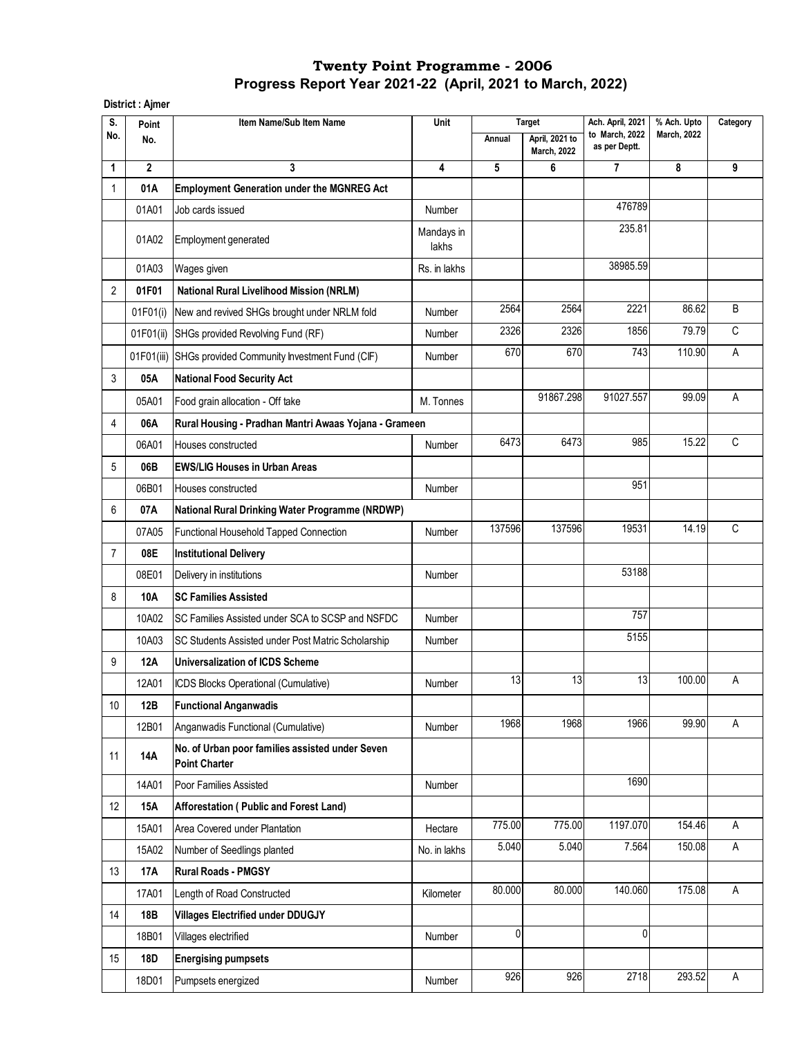#### **District : Ajmer**

| S.             | Point          | Item Name/Sub Item Name                                                 | Unit                |        | <b>Target</b>                        | Ach. April, 2021                | % Ach. Upto        | Category |
|----------------|----------------|-------------------------------------------------------------------------|---------------------|--------|--------------------------------------|---------------------------------|--------------------|----------|
| No.            | No.            |                                                                         |                     | Annual | April, 2021 to<br><b>March, 2022</b> | to March, 2022<br>as per Deptt. | <b>March, 2022</b> |          |
| 1              | $\overline{2}$ | 3                                                                       | 4                   | 5      | 6                                    | $\overline{7}$                  | 8                  | 9        |
| $\mathbf{1}$   | 01A            | <b>Employment Generation under the MGNREG Act</b>                       |                     |        |                                      |                                 |                    |          |
|                | 01A01          | Job cards issued                                                        | Number              |        |                                      | 476789                          |                    |          |
|                | 01A02          | Employment generated                                                    | Mandays in<br>lakhs |        |                                      | 235.81                          |                    |          |
|                | 01A03          | Wages given                                                             | Rs. in lakhs        |        |                                      | 38985.59                        |                    |          |
| $\overline{2}$ | 01F01          | <b>National Rural Livelihood Mission (NRLM)</b>                         |                     |        |                                      |                                 |                    |          |
|                | 01F01(i)       | New and revived SHGs brought under NRLM fold                            | Number              | 2564   | 2564                                 | 2221                            | 86.62              | B        |
|                | 01F01(ii)      | SHGs provided Revolving Fund (RF)                                       | Number              | 2326   | 2326                                 | 1856                            | 79.79              | C        |
|                |                | 01F01(iii) SHGs provided Community Investment Fund (CIF)                | Number              | 670    | 670                                  | 743                             | 110.90             | A        |
| 3              | 05A            | <b>National Food Security Act</b>                                       |                     |        |                                      |                                 |                    |          |
|                | 05A01          | Food grain allocation - Off take                                        | M. Tonnes           |        | 91867.298                            | 91027.557                       | 99.09              | Α        |
| 4              | 06A            | Rural Housing - Pradhan Mantri Awaas Yojana - Grameen                   |                     |        |                                      |                                 |                    |          |
|                | 06A01          | Houses constructed                                                      | Number              | 6473   | 6473                                 | 985                             | 15.22              | C        |
| 5              | 06B            | <b>EWS/LIG Houses in Urban Areas</b>                                    |                     |        |                                      |                                 |                    |          |
|                | 06B01          | Houses constructed                                                      | Number              |        |                                      | 951                             |                    |          |
| 6              | 07A            | <b>National Rural Drinking Water Programme (NRDWP)</b>                  |                     |        |                                      |                                 |                    |          |
|                | 07A05          | Functional Household Tapped Connection                                  | Number              | 137596 | 137596                               | 19531                           | 14.19              | C        |
| $\overline{7}$ | 08E            | <b>Institutional Delivery</b>                                           |                     |        |                                      |                                 |                    |          |
|                | 08E01          | Delivery in institutions                                                | Number              |        |                                      | 53188                           |                    |          |
| 8              | 10A            | <b>SC Families Assisted</b>                                             |                     |        |                                      |                                 |                    |          |
|                | 10A02          | SC Families Assisted under SCA to SCSP and NSFDC                        | Number              |        |                                      | 757                             |                    |          |
|                | 10A03          | SC Students Assisted under Post Matric Scholarship                      | Number              |        |                                      | 5155                            |                    |          |
| 9              | 12A            | <b>Universalization of ICDS Scheme</b>                                  |                     |        |                                      |                                 |                    |          |
|                | 12A01          | ICDS Blocks Operational (Cumulative)                                    | Number              | 13     | 13                                   | 13                              | 100.00             | Α        |
| 10             | 12B            | <b>Functional Anganwadis</b>                                            |                     |        |                                      |                                 |                    |          |
|                | 12B01          | Anganwadis Functional (Cumulative)                                      | Number              | 1968   | 1968                                 | 1966                            | 99.90              | A        |
| 11             | 14A            | No. of Urban poor families assisted under Seven<br><b>Point Charter</b> |                     |        |                                      |                                 |                    |          |
|                | 14A01          | Poor Families Assisted                                                  | <b>Number</b>       |        |                                      | 1690                            |                    |          |
| 12             | 15A            | Afforestation (Public and Forest Land)                                  |                     |        |                                      |                                 |                    |          |
|                | 15A01          | Area Covered under Plantation                                           | Hectare             | 775.00 | 775.00                               | 1197.070                        | 154.46             | A        |
|                | 15A02          | Number of Seedlings planted                                             | No. in lakhs        | 5.040  | 5.040                                | 7.564                           | 150.08             | A        |
| 13             | <b>17A</b>     | <b>Rural Roads - PMGSY</b>                                              |                     |        |                                      |                                 |                    |          |
|                | 17A01          | Length of Road Constructed                                              | Kilometer           | 80.000 | 80.000                               | 140.060                         | 175.08             | A        |
| 14             | 18B            | <b>Villages Electrified under DDUGJY</b>                                |                     |        |                                      |                                 |                    |          |
|                | 18B01          | Villages electrified                                                    | Number              | 0      |                                      | 0                               |                    |          |
| 15             | 18D            | <b>Energising pumpsets</b>                                              |                     |        |                                      |                                 |                    |          |
|                | 18D01          | Pumpsets energized                                                      | Number              | 926    | 926                                  | 2718                            | 293.52             | A        |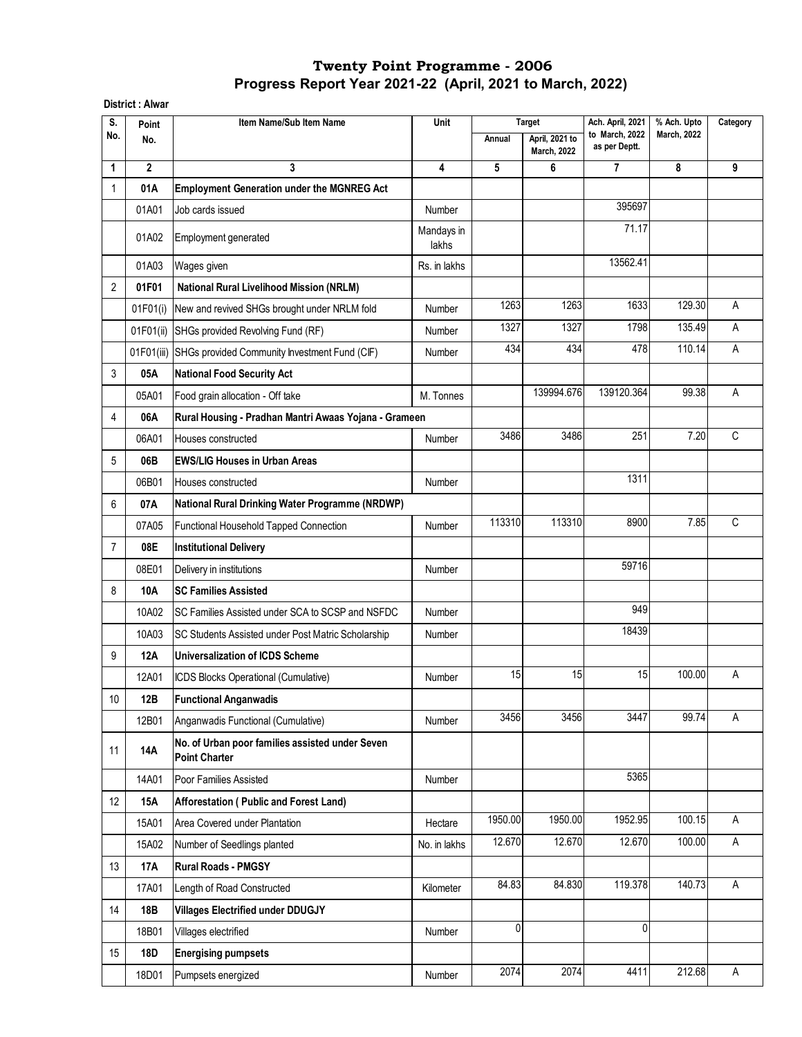**District : Alwar**

| S.             | Point          | Item Name/Sub Item Name                                                 | Unit                |         | <b>Target</b>                        | Ach. April, 2021                | % Ach. Upto        | Category |
|----------------|----------------|-------------------------------------------------------------------------|---------------------|---------|--------------------------------------|---------------------------------|--------------------|----------|
| No.            | No.            |                                                                         |                     | Annual  | April, 2021 to<br><b>March, 2022</b> | to March, 2022<br>as per Deptt. | <b>March, 2022</b> |          |
| 1              | $\overline{2}$ | 3                                                                       | 4                   | 5       | 6                                    | $\overline{7}$                  | 8                  | 9        |
| 1              | 01A            | <b>Employment Generation under the MGNREG Act</b>                       |                     |         |                                      |                                 |                    |          |
|                | 01A01          | Job cards issued                                                        | Number              |         |                                      | 395697                          |                    |          |
|                | 01A02          | Employment generated                                                    | Mandays in<br>lakhs |         |                                      | 71.17                           |                    |          |
|                | 01A03          | Wages given                                                             | Rs. in lakhs        |         |                                      | 13562.41                        |                    |          |
| $\overline{2}$ | 01F01          | <b>National Rural Livelihood Mission (NRLM)</b>                         |                     |         |                                      |                                 |                    |          |
|                | 01F01(i)       | New and revived SHGs brought under NRLM fold                            | Number              | 1263    | 1263                                 | 1633                            | 129.30             | A        |
|                | 01F01(ii)      | SHGs provided Revolving Fund (RF)                                       | Number              | 1327    | 1327                                 | 1798                            | 135.49             | A        |
|                | 01F01(iii)     | SHGs provided Community Investment Fund (CIF)                           | Number              | 434     | 434                                  | 478                             | 110.14             | А        |
| 3              | 05A            | <b>National Food Security Act</b>                                       |                     |         |                                      |                                 |                    |          |
|                | 05A01          | Food grain allocation - Off take                                        | M. Tonnes           |         | 139994.676                           | 139120.364                      | 99.38              | A        |
| 4              | 06A            | Rural Housing - Pradhan Mantri Awaas Yojana - Grameen                   |                     |         |                                      |                                 |                    |          |
|                | 06A01          | Houses constructed                                                      | Number              | 3486    | 3486                                 | 251                             | 7.20               | C        |
| 5              | 06B            | <b>EWS/LIG Houses in Urban Areas</b>                                    |                     |         |                                      |                                 |                    |          |
|                | 06B01          | Houses constructed                                                      | Number              |         |                                      | 1311                            |                    |          |
| 6              | 07A            | National Rural Drinking Water Programme (NRDWP)                         |                     |         |                                      |                                 |                    |          |
|                | 07A05          | Functional Household Tapped Connection                                  | Number              | 113310  | 113310                               | 8900                            | 7.85               | C        |
| $\overline{7}$ | 08E            | <b>Institutional Delivery</b>                                           |                     |         |                                      |                                 |                    |          |
|                | 08E01          | Delivery in institutions                                                | Number              |         |                                      | 59716                           |                    |          |
| 8              | 10A            | <b>SC Families Assisted</b>                                             |                     |         |                                      |                                 |                    |          |
|                | 10A02          | SC Families Assisted under SCA to SCSP and NSFDC                        | Number              |         |                                      | 949                             |                    |          |
|                | 10A03          | SC Students Assisted under Post Matric Scholarship                      | Number              |         |                                      | 18439                           |                    |          |
| 9              | <b>12A</b>     | <b>Universalization of ICDS Scheme</b>                                  |                     |         |                                      |                                 |                    |          |
|                | 12A01          | ICDS Blocks Operational (Cumulative)                                    | Number              | 15      | 15                                   | 15                              | 100.00             | Α        |
| 10             | 12B            | <b>Functional Anganwadis</b>                                            |                     |         |                                      |                                 |                    |          |
|                | 12B01          | Anganwadis Functional (Cumulative)                                      | Number              | 3456    | 3456                                 | 3447                            | 99.74              | Α        |
| 11             | <b>14A</b>     | No. of Urban poor families assisted under Seven<br><b>Point Charter</b> |                     |         |                                      |                                 |                    |          |
|                | 14A01          | Poor Families Assisted                                                  | Number              |         |                                      | 5365                            |                    |          |
| 12             | <b>15A</b>     | Afforestation (Public and Forest Land)                                  |                     |         |                                      |                                 |                    |          |
|                | 15A01          | Area Covered under Plantation                                           | Hectare             | 1950.00 | 1950.00                              | 1952.95                         | 100.15             | A        |
|                | 15A02          | Number of Seedlings planted                                             | No. in lakhs        | 12.670  | 12.670                               | 12.670                          | 100.00             | A        |
| 13             | <b>17A</b>     | <b>Rural Roads - PMGSY</b>                                              |                     |         |                                      |                                 |                    |          |
|                | 17A01          | Length of Road Constructed                                              | Kilometer           | 84.83   | 84.830                               | 119.378                         | 140.73             | Α        |
| 14             | 18B            | <b>Villages Electrified under DDUGJY</b>                                |                     |         |                                      |                                 |                    |          |
|                | 18B01          | Villages electrified                                                    | Number              | 0       |                                      | $\mathbf{0}$                    |                    |          |
| 15             | 18D            | <b>Energising pumpsets</b>                                              |                     |         |                                      |                                 |                    |          |
|                | 18D01          | Pumpsets energized                                                      | Number              | 2074    | 2074                                 | 4411                            | 212.68             | Α        |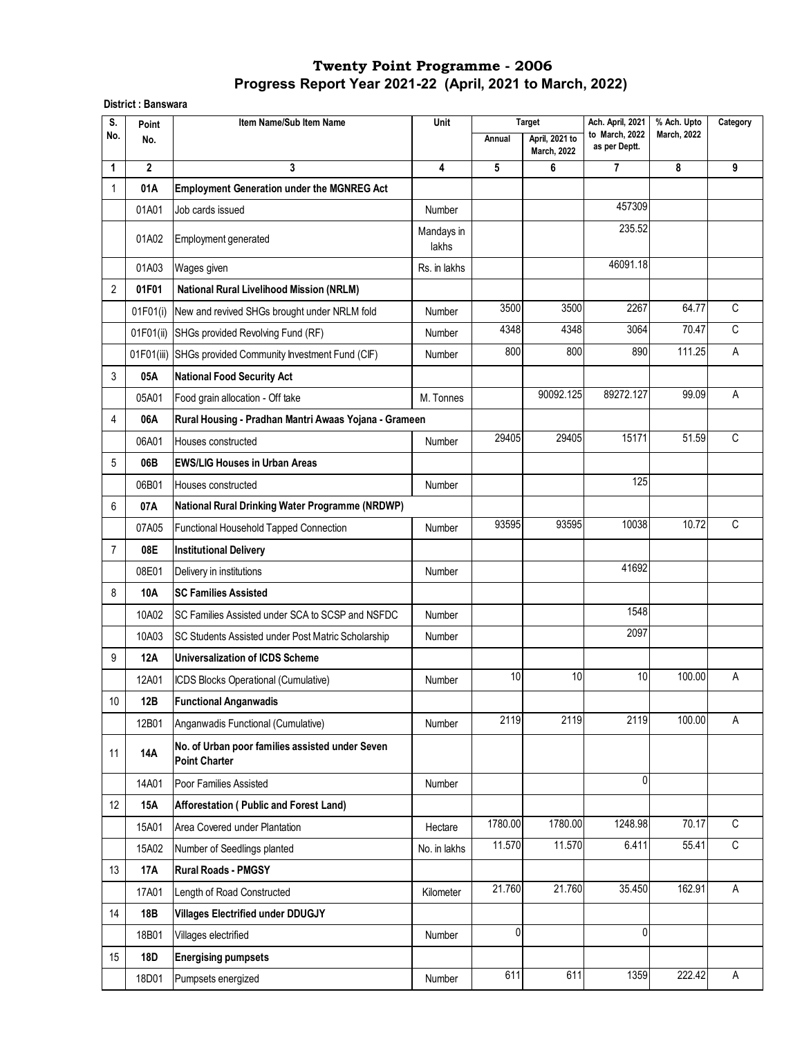#### **District : Banswara**

| S.              | Point          | Item Name/Sub Item Name                                                 | Unit                |         | <b>Target</b>                        | Ach. April, 2021                | % Ach. Upto        | Category     |
|-----------------|----------------|-------------------------------------------------------------------------|---------------------|---------|--------------------------------------|---------------------------------|--------------------|--------------|
| No.             | No.            |                                                                         |                     | Annual  | April, 2021 to<br><b>March, 2022</b> | to March, 2022<br>as per Deptt. | <b>March, 2022</b> |              |
| 1               | $\overline{2}$ | 3                                                                       | 4                   | 5       | 6                                    | $\overline{7}$                  | 8                  | 9            |
| 1               | 01A            | <b>Employment Generation under the MGNREG Act</b>                       |                     |         |                                      |                                 |                    |              |
|                 | 01A01          | Job cards issued                                                        | Number              |         |                                      | 457309                          |                    |              |
|                 | 01A02          | Employment generated                                                    | Mandays in<br>lakhs |         |                                      | 235.52                          |                    |              |
|                 | 01A03          | Wages given                                                             | Rs. in lakhs        |         |                                      | 46091.18                        |                    |              |
| 2               | 01F01          | <b>National Rural Livelihood Mission (NRLM)</b>                         |                     |         |                                      |                                 |                    |              |
|                 | 01F01(i)       | New and revived SHGs brought under NRLM fold                            | Number              | 3500    | 3500                                 | 2267                            | 64.77              | $\mathsf C$  |
|                 | 01F01(ii)      | SHGs provided Revolving Fund (RF)                                       | Number              | 4348    | 4348                                 | 3064                            | 70.47              | C            |
|                 | 01F01(iii)     | SHGs provided Community Investment Fund (CIF)                           | Number              | 800     | 800                                  | 890                             | 111.25             | $\mathsf{A}$ |
| 3               | 05A            | <b>National Food Security Act</b>                                       |                     |         |                                      |                                 |                    |              |
|                 | 05A01          | Food grain allocation - Off take                                        | M. Tonnes           |         | 90092.125                            | 89272.127                       | 99.09              | $\mathsf{A}$ |
| 4               | 06A            | Rural Housing - Pradhan Mantri Awaas Yojana - Grameen                   |                     |         |                                      |                                 |                    |              |
|                 | 06A01          | Houses constructed                                                      | Number              | 29405   | 29405                                | 15171                           | 51.59              | С            |
| 5               | 06B            | <b>EWS/LIG Houses in Urban Areas</b>                                    |                     |         |                                      |                                 |                    |              |
|                 | 06B01          | Houses constructed                                                      | Number              |         |                                      | 125                             |                    |              |
| 6               | 07A            | National Rural Drinking Water Programme (NRDWP)                         |                     |         |                                      |                                 |                    |              |
|                 | 07A05          | Functional Household Tapped Connection                                  | Number              | 93595   | 93595                                | 10038                           | 10.72              | С            |
| $\overline{7}$  | 08E            | <b>Institutional Delivery</b>                                           |                     |         |                                      |                                 |                    |              |
|                 | 08E01          | Delivery in institutions                                                | Number              |         |                                      | 41692                           |                    |              |
| 8               | 10A            | <b>SC Families Assisted</b>                                             |                     |         |                                      |                                 |                    |              |
|                 | 10A02          | SC Families Assisted under SCA to SCSP and NSFDC                        | Number              |         |                                      | 1548                            |                    |              |
|                 | 10A03          | SC Students Assisted under Post Matric Scholarship                      | Number              |         |                                      | 2097                            |                    |              |
| 9               | 12A            | <b>Universalization of ICDS Scheme</b>                                  |                     |         |                                      |                                 |                    |              |
|                 | 12A01          | ICDS Blocks Operational (Cumulative)                                    | Number              | 10      | 10                                   | 10                              | 100.00             | A            |
| 10 <sup>1</sup> | 12B            | <b>Functional Anganwadis</b>                                            |                     |         |                                      |                                 |                    |              |
|                 | 12B01          | Anganwadis Functional (Cumulative)                                      | Number              | 2119    | 2119                                 | 2119                            | 100.00             | Α            |
| 11              | <b>14A</b>     | No. of Urban poor families assisted under Seven<br><b>Point Charter</b> |                     |         |                                      |                                 |                    |              |
|                 | 14A01          | Poor Families Assisted                                                  | Number              |         |                                      | $\mathbf 0$                     |                    |              |
| 12              | 15A            | Afforestation (Public and Forest Land)                                  |                     |         |                                      |                                 |                    |              |
|                 | 15A01          | Area Covered under Plantation                                           | Hectare             | 1780.00 | 1780.00                              | 1248.98                         | 70.17              | $\mathsf C$  |
|                 | 15A02          | Number of Seedlings planted                                             | No. in lakhs        | 11.570  | 11.570                               | 6.411                           | $\overline{5}5.41$ | $\mathsf C$  |
| 13              | <b>17A</b>     | <b>Rural Roads - PMGSY</b>                                              |                     |         |                                      |                                 |                    |              |
|                 | 17A01          | Length of Road Constructed                                              | Kilometer           | 21.760  | 21.760                               | 35.450                          | 162.91             | A            |
| 14              | 18B            | <b>Villages Electrified under DDUGJY</b>                                |                     |         |                                      |                                 |                    |              |
|                 | 18B01          | Villages electrified                                                    | Number              | 0       |                                      | 0                               |                    |              |
| 15              | 18D            | <b>Energising pumpsets</b>                                              |                     |         |                                      |                                 |                    |              |
|                 | 18D01          | Pumpsets energized                                                      | Number              | 611     | 611                                  | 1359                            | 222.42             | Α            |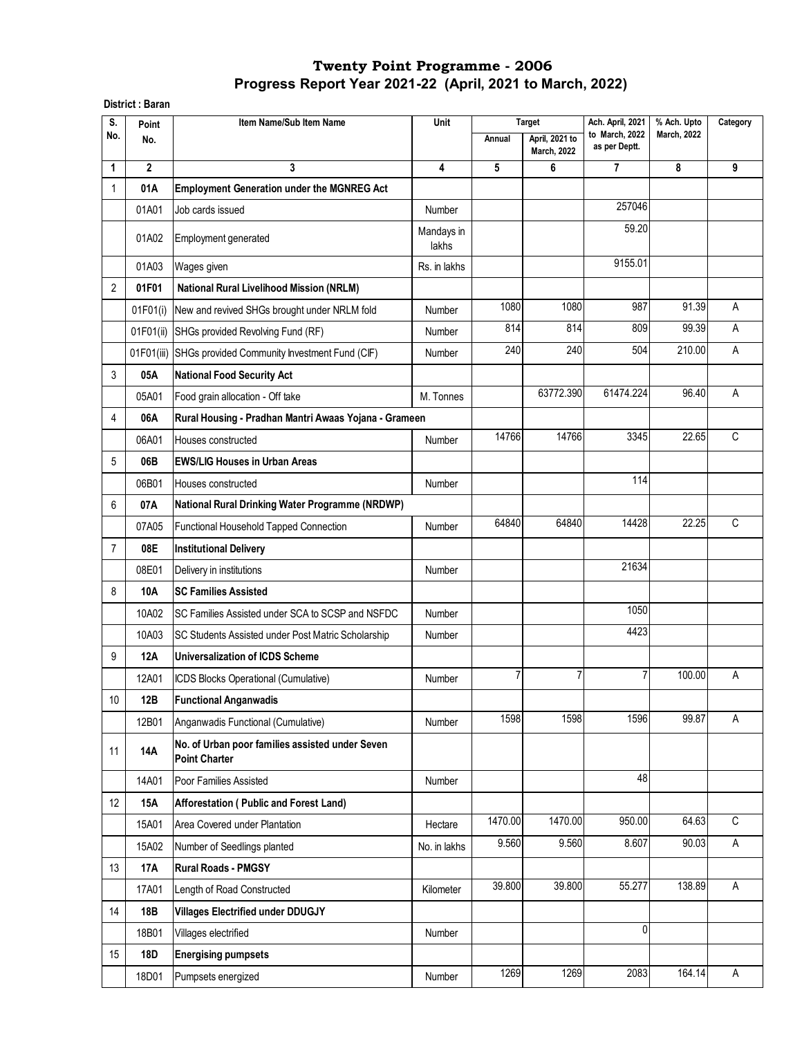#### **District : Baran**

| S.             | Point        | Item Name/Sub Item Name                                                 | Unit                |                | <b>Target</b>                        | Ach. April, 2021                | % Ach. Upto        | Category    |
|----------------|--------------|-------------------------------------------------------------------------|---------------------|----------------|--------------------------------------|---------------------------------|--------------------|-------------|
| No.            | No.          |                                                                         |                     | Annual         | April, 2021 to<br><b>March, 2022</b> | to March, 2022<br>as per Deptt. | <b>March, 2022</b> |             |
| 1              | $\mathbf{2}$ | 3                                                                       | 4                   | 5              | 6                                    | 7                               | 8                  | 9           |
| 1              | 01A          | <b>Employment Generation under the MGNREG Act</b>                       |                     |                |                                      |                                 |                    |             |
|                | 01A01        | Job cards issued                                                        | Number              |                |                                      | 257046                          |                    |             |
|                | 01A02        | Employment generated                                                    | Mandays in<br>lakhs |                |                                      | 59.20                           |                    |             |
|                | 01A03        | Wages given                                                             | Rs. in lakhs        |                |                                      | 9155.01                         |                    |             |
| 2              | 01F01        | <b>National Rural Livelihood Mission (NRLM)</b>                         |                     |                |                                      |                                 |                    |             |
|                | 01F01(i)     | New and revived SHGs brought under NRLM fold                            | <b>Number</b>       | 1080           | 1080                                 | 987                             | 91.39              | A           |
|                | 01F01(ii)    | SHGs provided Revolving Fund (RF)                                       | <b>Number</b>       | 814            | 814                                  | 809                             | 99.39              | A           |
|                |              | 01F01(iii) SHGs provided Community Investment Fund (CIF)                | <b>Number</b>       | 240            | 240                                  | 504                             | 210.00             | A           |
| 3              | 05A          | <b>National Food Security Act</b>                                       |                     |                |                                      |                                 |                    |             |
|                | 05A01        | Food grain allocation - Off take                                        | M. Tonnes           |                | 63772.390                            | 61474.224                       | 96.40              | Α           |
| 4              | 06A          | Rural Housing - Pradhan Mantri Awaas Yojana - Grameen                   |                     |                |                                      |                                 |                    |             |
|                | 06A01        | Houses constructed                                                      | Number              | 14766          | 14766                                | 3345                            | 22.65              | С           |
| 5              | 06B          | <b>EWS/LIG Houses in Urban Areas</b>                                    |                     |                |                                      |                                 |                    |             |
|                | 06B01        | Houses constructed                                                      | Number              |                |                                      | 114                             |                    |             |
| 6              | 07A          | National Rural Drinking Water Programme (NRDWP)                         |                     |                |                                      |                                 |                    |             |
|                | 07A05        | Functional Household Tapped Connection                                  | Number              | 64840          | 64840                                | 14428                           | 22.25              | С           |
| $\overline{7}$ | 08E          | <b>Institutional Delivery</b>                                           |                     |                |                                      |                                 |                    |             |
|                | 08E01        | Delivery in institutions                                                | Number              |                |                                      | 21634                           |                    |             |
| 8              | 10A          | <b>SC Families Assisted</b>                                             |                     |                |                                      |                                 |                    |             |
|                | 10A02        | SC Families Assisted under SCA to SCSP and NSFDC                        | Number              |                |                                      | 1050                            |                    |             |
|                | 10A03        | SC Students Assisted under Post Matric Scholarship                      | Number              |                |                                      | 4423                            |                    |             |
| 9              | <b>12A</b>   | Universalization of ICDS Scheme                                         |                     |                |                                      |                                 |                    |             |
|                | 12A01        | ICDS Blocks Operational (Cumulative)                                    | Number              | $\overline{7}$ | 7                                    | 7                               | 100.00             | A           |
| $10$           | 12B          | <b>Functional Anganwadis</b>                                            |                     |                |                                      |                                 |                    |             |
|                | 12B01        | Anganwadis Functional (Cumulative)                                      | Number              | 1598           | 1598                                 | 1596                            | 99.87              | Α           |
| 11             | 14A          | No. of Urban poor families assisted under Seven<br><b>Point Charter</b> |                     |                |                                      |                                 |                    |             |
|                | 14A01        | Poor Families Assisted                                                  | Number              |                |                                      | 48                              |                    |             |
| 12             | <b>15A</b>   | Afforestation ( Public and Forest Land)                                 |                     |                |                                      |                                 |                    |             |
|                | 15A01        | Area Covered under Plantation                                           | Hectare             | 1470.00        | 1470.00                              | 950.00                          | 64.63              | $\mathsf C$ |
|                | 15A02        | Number of Seedlings planted                                             | No. in lakhs        | 9.560          | 9.560                                | 8.607                           | 90.03              | $\mathsf A$ |
| 13             | 17A          | <b>Rural Roads - PMGSY</b>                                              |                     |                |                                      |                                 |                    |             |
|                | 17A01        | Length of Road Constructed                                              | Kilometer           | 39.800         | 39.800                               | 55.277                          | 138.89             | A           |
| 14             | 18B          | <b>Villages Electrified under DDUGJY</b>                                |                     |                |                                      |                                 |                    |             |
|                | 18B01        | Villages electrified                                                    | Number              |                |                                      | 0                               |                    |             |
| 15             | 18D          | <b>Energising pumpsets</b>                                              |                     |                |                                      |                                 |                    |             |
|                | 18D01        | Pumpsets energized                                                      | Number              | 1269           | 1269                                 | 2083                            | 164.14             | A           |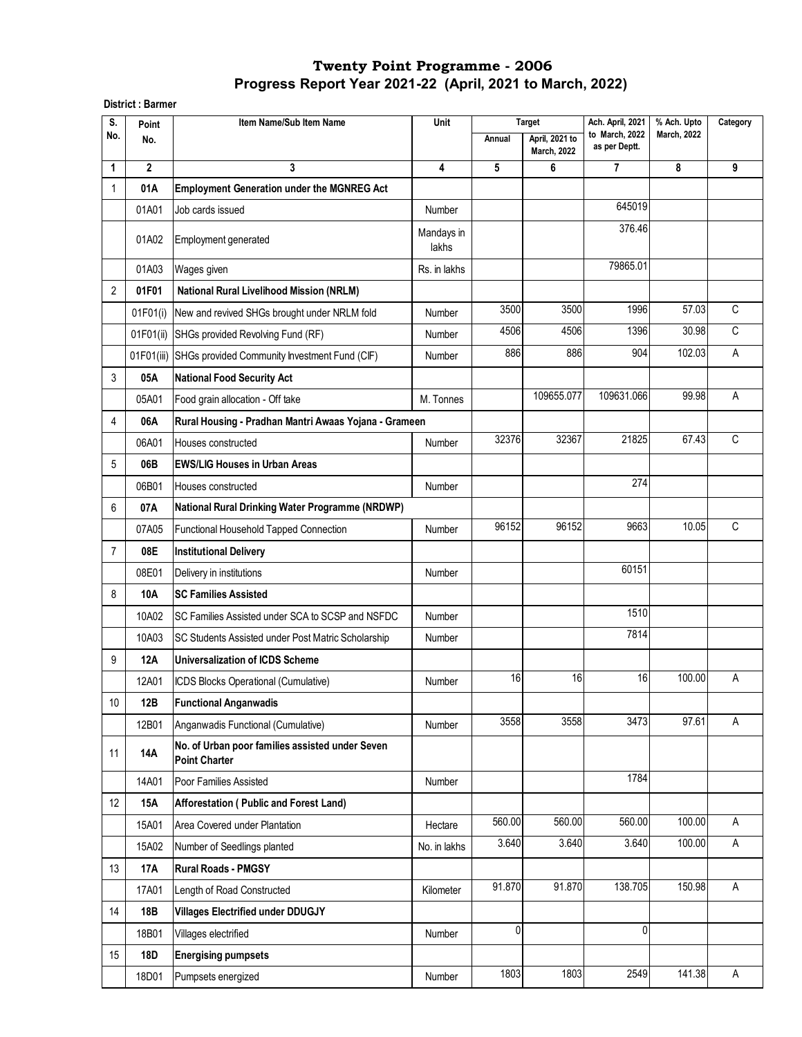**District : Barmer**

| S.             | Point        | Item Name/Sub Item Name                                                 | Unit                |        | <b>Target</b>                        | Ach. April, 2021                | % Ach. Upto        | Category |
|----------------|--------------|-------------------------------------------------------------------------|---------------------|--------|--------------------------------------|---------------------------------|--------------------|----------|
| No.            | No.          |                                                                         |                     | Annual | April, 2021 to<br><b>March, 2022</b> | to March, 2022<br>as per Deptt. | <b>March, 2022</b> |          |
| 1              | $\mathbf{2}$ | 3                                                                       | 4                   | 5      | 6                                    | 7                               | 8                  | 9        |
| 1              | 01A          | <b>Employment Generation under the MGNREG Act</b>                       |                     |        |                                      |                                 |                    |          |
|                | 01A01        | Job cards issued                                                        | Number              |        |                                      | 645019                          |                    |          |
|                | 01A02        | <b>Employment generated</b>                                             | Mandays in<br>lakhs |        |                                      | 376.46                          |                    |          |
|                | 01A03        | Wages given                                                             | Rs. in lakhs        |        |                                      | 79865.01                        |                    |          |
| $\overline{2}$ | 01F01        | <b>National Rural Livelihood Mission (NRLM)</b>                         |                     |        |                                      |                                 |                    |          |
|                | 01F01(i)     | New and revived SHGs brought under NRLM fold                            | Number              | 3500   | 3500                                 | 1996                            | 57.03              | C        |
|                | 01F01(ii)    | SHGs provided Revolving Fund (RF)                                       | Number              | 4506   | 4506                                 | 1396                            | 30.98              | C        |
|                | 01F01(iii)   | SHGs provided Community Investment Fund (CIF)                           | Number              | 886    | 886                                  | 904                             | 102.03             | Α        |
| 3              | 05A          | <b>National Food Security Act</b>                                       |                     |        |                                      |                                 |                    |          |
|                | 05A01        | Food grain allocation - Off take                                        | M. Tonnes           |        | 109655.077                           | 109631.066                      | 99.98              | Α        |
| 4              | 06A          | Rural Housing - Pradhan Mantri Awaas Yojana - Grameen                   |                     |        |                                      |                                 |                    |          |
|                | 06A01        | Houses constructed                                                      | Number              | 32376  | 32367                                | 21825                           | 67.43              | C        |
| 5              | 06B          | <b>EWS/LIG Houses in Urban Areas</b>                                    |                     |        |                                      |                                 |                    |          |
|                | 06B01        | Houses constructed                                                      | Number              |        |                                      | 274                             |                    |          |
| 6              | 07A          | National Rural Drinking Water Programme (NRDWP)                         |                     |        |                                      |                                 |                    |          |
|                | 07A05        | Functional Household Tapped Connection                                  | Number              | 96152  | 96152                                | 9663                            | 10.05              | C        |
| $\overline{7}$ | 08E          | <b>Institutional Delivery</b>                                           |                     |        |                                      |                                 |                    |          |
|                | 08E01        | Delivery in institutions                                                | Number              |        |                                      | 60151                           |                    |          |
| 8              | 10A          | <b>SC Families Assisted</b>                                             |                     |        |                                      |                                 |                    |          |
|                | 10A02        | SC Families Assisted under SCA to SCSP and NSFDC                        | Number              |        |                                      | 1510                            |                    |          |
|                | 10A03        | SC Students Assisted under Post Matric Scholarship                      | Number              |        |                                      | 7814                            |                    |          |
| 9              | 12A          | Universalization of ICDS Scheme                                         |                     |        |                                      |                                 |                    |          |
|                | 12A01        | ICDS Blocks Operational (Cumulative)                                    | Number              | 16     | 16                                   | 16                              | 100.00             | А        |
| 10             | 12B          | <b>Functional Anganwadis</b>                                            |                     |        |                                      |                                 |                    |          |
|                | 12B01        | Anganwadis Functional (Cumulative)                                      | Number              | 3558   | 3558                                 | 3473                            | 97.61              | A        |
| 11             | 14A          | No. of Urban poor families assisted under Seven<br><b>Point Charter</b> |                     |        |                                      |                                 |                    |          |
|                | 14A01        | Poor Families Assisted                                                  | Number              |        |                                      | 1784                            |                    |          |
| 12             | 15A          | Afforestation (Public and Forest Land)                                  |                     |        |                                      |                                 |                    |          |
|                | 15A01        | Area Covered under Plantation                                           | Hectare             | 560.00 | 560.00                               | 560.00                          | 100.00             | A        |
|                | 15A02        | Number of Seedlings planted                                             | No. in lakhs        | 3.640  | 3.640                                | 3.640                           | 100.00             | A        |
| 13             | 17A          | <b>Rural Roads - PMGSY</b>                                              |                     |        |                                      |                                 |                    |          |
|                | 17A01        | Length of Road Constructed                                              | Kilometer           | 91.870 | 91.870                               | 138.705                         | 150.98             | A        |
| 14             | 18B          | <b>Villages Electrified under DDUGJY</b>                                |                     |        |                                      |                                 |                    |          |
|                | 18B01        | Villages electrified                                                    | Number              | 0      |                                      | $\mathbf{0}$                    |                    |          |
| 15             | 18D          | <b>Energising pumpsets</b>                                              |                     |        |                                      |                                 |                    |          |
|                | 18D01        | Pumpsets energized                                                      | Number              | 1803   | 1803                                 | 2549                            | 141.38             | A        |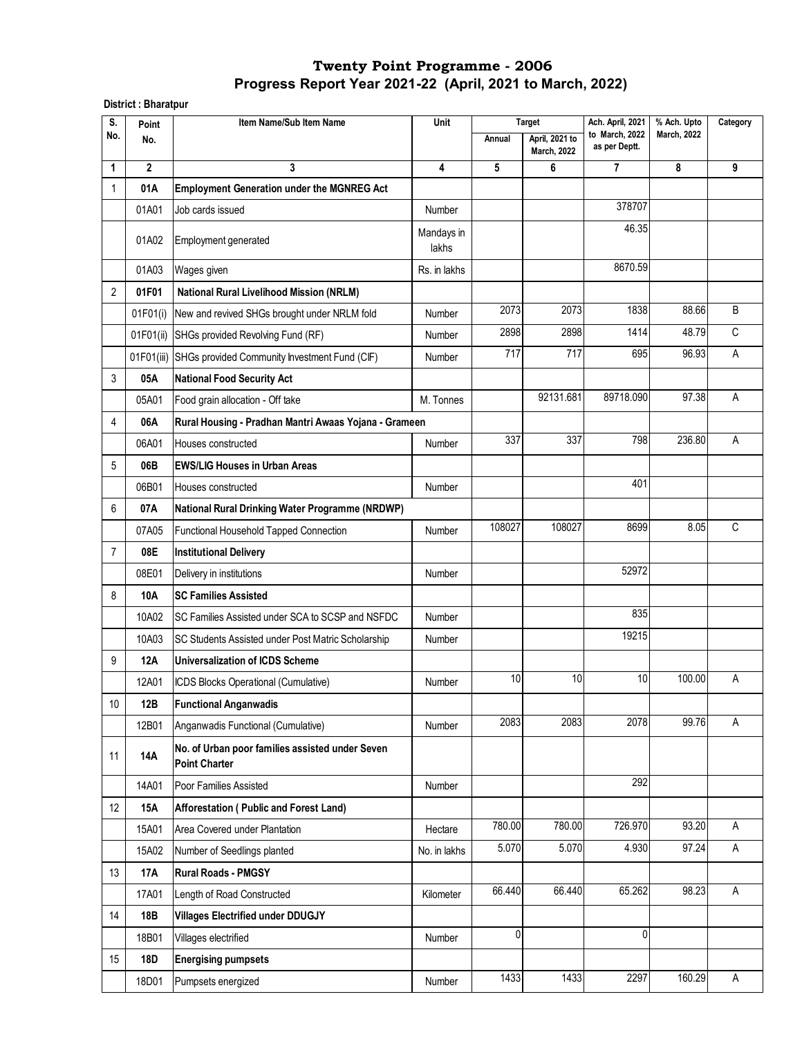**District : Bharatpur**

| S.             | Point        | Item Name/Sub Item Name                                                 | Unit                    | <b>Target</b> |                                      | Ach. April, 2021<br>% Ach. Upto |                    | Category |
|----------------|--------------|-------------------------------------------------------------------------|-------------------------|---------------|--------------------------------------|---------------------------------|--------------------|----------|
| No.            | No.          |                                                                         |                         | Annual        | April, 2021 to<br><b>March, 2022</b> | to March, 2022<br>as per Deptt. | <b>March, 2022</b> |          |
| 1              | $\mathbf{2}$ | 3                                                                       | $\overline{\mathbf{4}}$ | 5             | 6                                    | 7                               | 8                  | 9        |
| 1              | 01A          | <b>Employment Generation under the MGNREG Act</b>                       |                         |               |                                      |                                 |                    |          |
|                | 01A01        | Job cards issued                                                        | Number                  |               |                                      | 378707                          |                    |          |
|                | 01A02        | Employment generated                                                    | Mandays in<br>lakhs     |               |                                      | 46.35                           |                    |          |
|                | 01A03        | Wages given                                                             | Rs. in lakhs            |               |                                      | 8670.59                         |                    |          |
| 2              | 01F01        | <b>National Rural Livelihood Mission (NRLM)</b>                         |                         |               |                                      |                                 |                    |          |
|                | 01F01(i)     | New and revived SHGs brought under NRLM fold                            | Number                  | 2073          | 2073                                 | 1838                            | 88.66              | B        |
|                | 01F01(ii)    | SHGs provided Revolving Fund (RF)                                       | Number                  | 2898          | 2898                                 | 1414                            | 48.79              | C        |
|                | 01F01(iii)   | SHGs provided Community Investment Fund (CIF)                           | Number                  | 717           | 717                                  | 695                             | 96.93              | A        |
| 3              | 05A          | <b>National Food Security Act</b>                                       |                         |               |                                      |                                 |                    |          |
|                | 05A01        | Food grain allocation - Off take                                        | M. Tonnes               |               | 92131.681                            | 89718.090                       | 97.38              | Α        |
| 4              | 06A          | Rural Housing - Pradhan Mantri Awaas Yojana - Grameen                   |                         |               |                                      |                                 |                    |          |
|                | 06A01        | Houses constructed                                                      | Number                  | 337           | 337                                  | 798                             | 236.80             | Α        |
| 5              | 06B          | <b>EWS/LIG Houses in Urban Areas</b>                                    |                         |               |                                      |                                 |                    |          |
|                | 06B01        | Houses constructed                                                      | Number                  |               |                                      | 401                             |                    |          |
| 6              | 07A          | National Rural Drinking Water Programme (NRDWP)                         |                         |               |                                      |                                 |                    |          |
|                | 07A05        | Functional Household Tapped Connection                                  | Number                  | 108027        | 108027                               | 8699                            | 8.05               | C        |
| $\overline{7}$ | 08E          | <b>Institutional Delivery</b>                                           |                         |               |                                      |                                 |                    |          |
|                | 08E01        | Delivery in institutions                                                | Number                  |               |                                      | 52972                           |                    |          |
| 8              | <b>10A</b>   | <b>SC Families Assisted</b>                                             |                         |               |                                      |                                 |                    |          |
|                | 10A02        | SC Families Assisted under SCA to SCSP and NSFDC                        | Number                  |               |                                      | 835                             |                    |          |
|                | 10A03        | SC Students Assisted under Post Matric Scholarship                      | Number                  |               |                                      | 19215                           |                    |          |
| 9              | <b>12A</b>   | <b>Universalization of ICDS Scheme</b>                                  |                         |               |                                      |                                 |                    |          |
|                | 12A01        | ICDS Blocks Operational (Cumulative)                                    | Number                  | 10            | 10                                   | 10                              | 100.00             | Α        |
| 10             | 12B          | <b>Functional Anganwadis</b>                                            |                         |               |                                      |                                 |                    |          |
|                | 12B01        | Anganwadis Functional (Cumulative)                                      | Number                  | 2083          | 2083                                 | 2078                            | 99.76              | A        |
| 11             | 14A          | No. of Urban poor families assisted under Seven<br><b>Point Charter</b> |                         |               |                                      |                                 |                    |          |
|                | 14A01        | Poor Families Assisted                                                  | <b>Number</b>           |               |                                      | 292                             |                    |          |
| 12             | <b>15A</b>   | Afforestation (Public and Forest Land)                                  |                         |               |                                      |                                 |                    |          |
|                | 15A01        | Area Covered under Plantation                                           | Hectare                 | 780.00        | 780.00                               | 726.970                         | 93.20              | A        |
|                | 15A02        | Number of Seedlings planted                                             | No. in lakhs            | 5.070         | 5.070                                | 4.930                           | 97.24              | A        |
| 13             | 17A          | <b>Rural Roads - PMGSY</b>                                              |                         |               |                                      |                                 |                    |          |
|                | 17A01        | Length of Road Constructed                                              | Kilometer               | 66.440        | 66.440                               | 65.262                          | 98.23              | Α        |
| 14             | 18B          | <b>Villages Electrified under DDUGJY</b>                                |                         |               |                                      |                                 |                    |          |
|                | 18B01        | Villages electrified                                                    | Number                  | 0             |                                      | 0                               |                    |          |
| 15             | <b>18D</b>   | <b>Energising pumpsets</b>                                              |                         |               |                                      |                                 |                    |          |
|                | 18D01        | Pumpsets energized                                                      | Number                  | 1433          | 1433                                 | 2297                            | 160.29             | A        |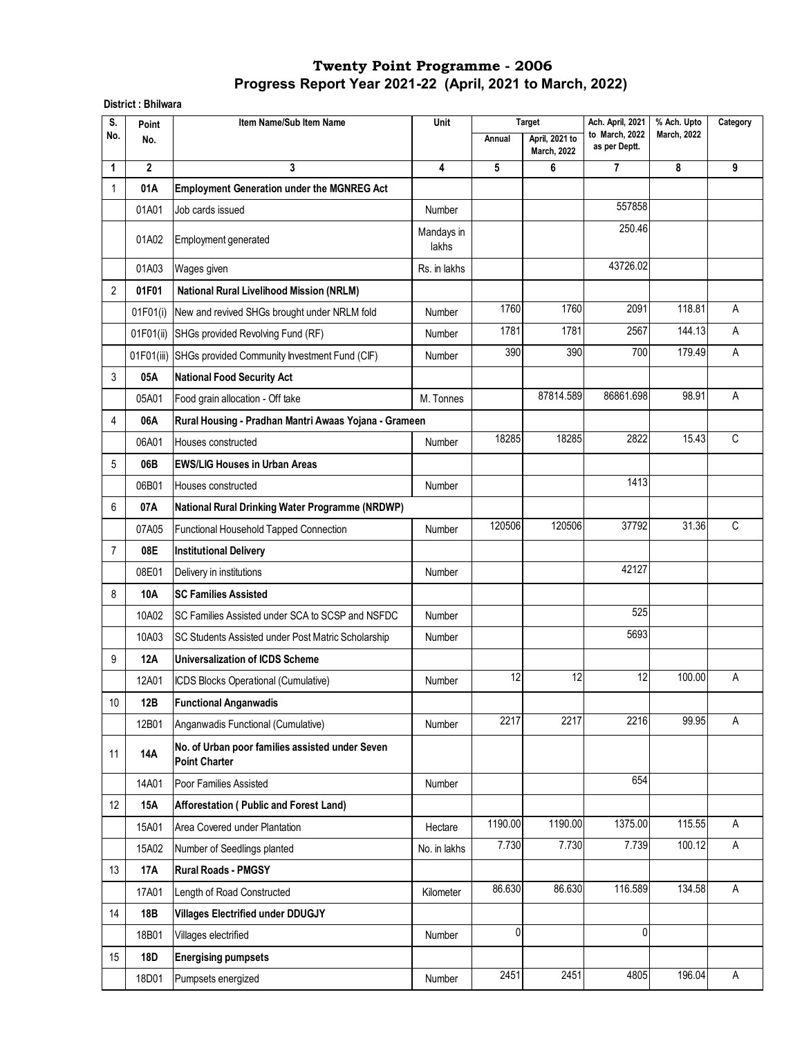#### **District : Bhilwara**

| S.<br>Point    |             | Item Name/Sub Item Name                                                 | Unit                    |         | <b>Target</b>                        | Ach. April, 2021                | % Ach. Upto        | Category |
|----------------|-------------|-------------------------------------------------------------------------|-------------------------|---------|--------------------------------------|---------------------------------|--------------------|----------|
| No.            | No.         |                                                                         |                         | Annual  | April, 2021 to<br><b>March, 2022</b> | to March, 2022<br>as per Deptt. | <b>March, 2022</b> |          |
| 1              | $\mathbf 2$ | 3                                                                       | $\overline{\mathbf{4}}$ | 5       | 6                                    | $\overline{7}$                  | 8                  | 9        |
| $\mathbf{1}$   | 01A         | <b>Employment Generation under the MGNREG Act</b>                       |                         |         |                                      |                                 |                    |          |
|                | 01A01       | Job cards issued                                                        | Number                  |         |                                      | 557858                          |                    |          |
|                | 01A02       | Employment generated                                                    | Mandays in<br>lakhs     |         |                                      | 250.46                          |                    |          |
|                | 01A03       | Wages given                                                             | Rs. in lakhs            |         |                                      | 43726.02                        |                    |          |
| $\overline{2}$ | 01F01       | <b>National Rural Livelihood Mission (NRLM)</b>                         |                         |         |                                      |                                 |                    |          |
|                | 01F01(i)    | New and revived SHGs brought under NRLM fold                            | Number                  | 1760    | 1760                                 | 2091                            | 118.81             | A        |
|                |             | 01F01(ii) SHGs provided Revolving Fund (RF)                             | Number                  | 1781    | 1781                                 | 2567                            | 144.13             | A        |
|                |             | 01F01(iii) SHGs provided Community Investment Fund (CIF)                | Number                  | 390     | 390                                  | 700                             | 179.49             | A        |
| 3              | 05A         | <b>National Food Security Act</b>                                       |                         |         |                                      |                                 |                    |          |
|                | 05A01       | Food grain allocation - Off take                                        | M. Tonnes               |         | 87814.589                            | 86861.698                       | 98.91              | Α        |
| 4              | 06A         | Rural Housing - Pradhan Mantri Awaas Yojana - Grameen                   |                         |         |                                      |                                 |                    |          |
|                | 06A01       | Houses constructed                                                      | Number                  | 18285   | 18285                                | 2822                            | 15.43              | C        |
| 5              | 06B         | <b>EWS/LIG Houses in Urban Areas</b>                                    |                         |         |                                      |                                 |                    |          |
|                | 06B01       | Houses constructed                                                      | Number                  |         |                                      | 1413                            |                    |          |
| 6              | 07A         | National Rural Drinking Water Programme (NRDWP)                         |                         |         |                                      |                                 |                    |          |
|                | 07A05       | Functional Household Tapped Connection                                  | Number                  | 120506  | 120506                               | 37792                           | 31.36              | C        |
| $\overline{7}$ | 08E         | <b>Institutional Delivery</b>                                           |                         |         |                                      |                                 |                    |          |
|                | 08E01       | Delivery in institutions                                                | Number                  |         |                                      | 42127                           |                    |          |
| 8              | 10A         | <b>SC Families Assisted</b>                                             |                         |         |                                      |                                 |                    |          |
|                | 10A02       | SC Families Assisted under SCA to SCSP and NSFDC                        | Number                  |         |                                      | 525                             |                    |          |
|                | 10A03       | SC Students Assisted under Post Matric Scholarship                      | Number                  |         |                                      | 5693                            |                    |          |
| 9              | 12A         | <b>Universalization of ICDS Scheme</b>                                  |                         |         |                                      |                                 |                    |          |
|                | 12A01       | ICDS Blocks Operational (Cumulative)                                    | Number                  | 12      | 12                                   | 12                              | 100.00             | Α        |
| $10$           | 12B         | <b>Functional Anganwadis</b>                                            |                         |         |                                      |                                 |                    |          |
|                | 12B01       | Anganwadis Functional (Cumulative)                                      | Number                  | 2217    | 2217                                 | 2216                            | 99.95              | A        |
| 11             | 14A         | No. of Urban poor families assisted under Seven<br><b>Point Charter</b> |                         |         |                                      |                                 |                    |          |
|                | 14A01       | Poor Families Assisted                                                  | <b>Number</b>           |         |                                      | 654                             |                    |          |
| 12             | 15A         | Afforestation (Public and Forest Land)                                  |                         |         |                                      |                                 |                    |          |
|                | 15A01       | Area Covered under Plantation                                           | Hectare                 | 1190.00 | 1190.00                              | 1375.00                         | 115.55             | A        |
|                | 15A02       | Number of Seedlings planted                                             | No. in lakhs            | 7.730   | 7.730                                | 7.739                           | 100.12             | A        |
| 13             | 17A         | <b>Rural Roads - PMGSY</b>                                              |                         |         |                                      |                                 |                    |          |
|                | 17A01       | Length of Road Constructed                                              | Kilometer               | 86.630  | 86.630                               | 116.589                         | 134.58             | A        |
| 14             | 18B         | <b>Villages Electrified under DDUGJY</b>                                |                         |         |                                      |                                 |                    |          |
|                | 18B01       | Villages electrified                                                    | Number                  | 0       |                                      | $\mathbf{0}$                    |                    |          |
| 15             | 18D         | <b>Energising pumpsets</b>                                              |                         |         |                                      |                                 |                    |          |
|                | 18D01       | Pumpsets energized                                                      | Number                  | 2451    | 2451                                 | 4805                            | 196.04             | Α        |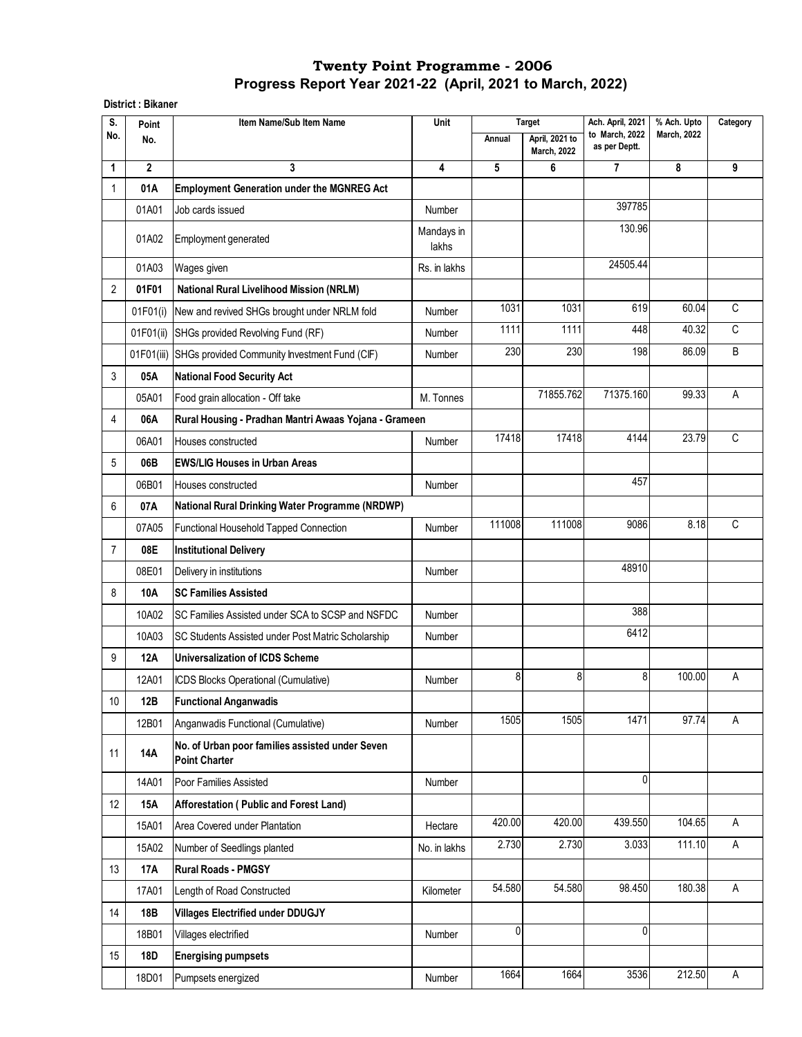**District : Bikaner** 

| S.             | Point        | Item Name/Sub Item Name                                                 | Unit                    | <b>Target</b>      |                                      | Ach. April, 2021<br>% Ach. Upto |                    | Category     |
|----------------|--------------|-------------------------------------------------------------------------|-------------------------|--------------------|--------------------------------------|---------------------------------|--------------------|--------------|
| No.            | No.          |                                                                         |                         | Annual             | April, 2021 to<br><b>March, 2022</b> | to March, 2022<br>as per Deptt. | <b>March, 2022</b> |              |
| 1              | $\mathbf{2}$ | 3                                                                       | $\overline{\mathbf{4}}$ | 5                  | 6                                    | $\overline{7}$                  | 8                  | 9            |
| 1              | 01A          | <b>Employment Generation under the MGNREG Act</b>                       |                         |                    |                                      |                                 |                    |              |
|                | 01A01        | Job cards issued                                                        | Number                  |                    |                                      | 397785                          |                    |              |
|                | 01A02        | Employment generated                                                    | Mandays in<br>lakhs     |                    |                                      | 130.96                          |                    |              |
|                | 01A03        | Wages given                                                             | Rs. in lakhs            |                    |                                      | 24505.44                        |                    |              |
| 2              | 01F01        | <b>National Rural Livelihood Mission (NRLM)</b>                         |                         |                    |                                      |                                 |                    |              |
|                | 01F01(i)     | New and revived SHGs brought under NRLM fold                            | Number                  | 1031               | 1031                                 | 619                             | 60.04              | $\mathsf C$  |
|                | 01F01(ii)    | SHGs provided Revolving Fund (RF)                                       | Number                  | 1111               | 1111                                 | 448                             | 40.32              | $\mathsf{C}$ |
|                |              | 01F01(iii) SHGs provided Community Investment Fund (CIF)                | Number                  | 230                | 230                                  | 198                             | 86.09              | B            |
| 3              | 05A          | <b>National Food Security Act</b>                                       |                         |                    |                                      |                                 |                    |              |
|                | 05A01        | Food grain allocation - Off take                                        | M. Tonnes               |                    | 71855.762                            | 71375.160                       | 99.33              | Α            |
| 4              | 06A          | Rural Housing - Pradhan Mantri Awaas Yojana - Grameen                   |                         |                    |                                      |                                 |                    |              |
|                | 06A01        | Houses constructed                                                      | Number                  | 17418              | 17418                                | 4144                            | 23.79              | $\mathsf C$  |
| 5              | 06B          | <b>EWS/LIG Houses in Urban Areas</b>                                    |                         |                    |                                      |                                 |                    |              |
|                | 06B01        | Houses constructed                                                      | Number                  |                    |                                      | 457                             |                    |              |
| 6              | 07A          | National Rural Drinking Water Programme (NRDWP)                         |                         |                    |                                      |                                 |                    |              |
|                | 07A05        | Functional Household Tapped Connection                                  | Number                  | 111008             | 111008                               | 9086                            | 8.18               | C            |
| $\overline{7}$ | 08E          | <b>Institutional Delivery</b>                                           |                         |                    |                                      |                                 |                    |              |
|                | 08E01        | Delivery in institutions                                                | Number                  |                    |                                      | 48910                           |                    |              |
| 8              | 10A          | <b>SC Families Assisted</b>                                             |                         |                    |                                      |                                 |                    |              |
|                | 10A02        | SC Families Assisted under SCA to SCSP and NSFDC                        | Number                  |                    |                                      | 388                             |                    |              |
|                | 10A03        | SC Students Assisted under Post Matric Scholarship                      | Number                  |                    |                                      | 6412                            |                    |              |
| 9              | 12A          | <b>Universalization of ICDS Scheme</b>                                  |                         |                    |                                      |                                 |                    |              |
|                | 12A01        | ICDS Blocks Operational (Cumulative)                                    | Number                  | 8                  | 8                                    | 8                               | 100.00             | Α            |
| 10             | 12B          | <b>Functional Anganwadis</b>                                            |                         |                    |                                      |                                 |                    |              |
|                | 12B01        | Anganwadis Functional (Cumulative)                                      | Number                  | 1505               | 1505                                 | 1471                            | 97.74              | A            |
| 11             | 14A          | No. of Urban poor families assisted under Seven<br><b>Point Charter</b> |                         |                    |                                      |                                 |                    |              |
|                | 14A01        | Poor Families Assisted                                                  | Number                  |                    |                                      | $\mathbf{0}$                    |                    |              |
| 12             | <b>15A</b>   | Afforestation (Public and Forest Land)                                  |                         |                    |                                      |                                 |                    |              |
|                | 15A01        | Area Covered under Plantation                                           | Hectare                 | 420.00             | 420.00                               | 439.550                         | 104.65             | A            |
|                | 15A02        | Number of Seedlings planted                                             | No. in lakhs            | $\overline{2.730}$ | 2.730                                | 3.033                           | 111.10             | Α            |
| 13             | 17A          | <b>Rural Roads - PMGSY</b>                                              |                         |                    |                                      |                                 |                    |              |
|                | 17A01        | Length of Road Constructed                                              | Kilometer               | 54.580             | 54.580                               | 98.450                          | 180.38             | A            |
| 14             | 18B          | <b>Villages Electrified under DDUGJY</b>                                |                         |                    |                                      |                                 |                    |              |
|                | 18B01        | Villages electrified                                                    | Number                  | 0                  |                                      | 0                               |                    |              |
| 15             | 18D          | <b>Energising pumpsets</b>                                              |                         |                    |                                      |                                 |                    |              |
|                | 18D01        | Pumpsets energized                                                      | Number                  | 1664               | 1664                                 | 3536                            | 212.50             | A            |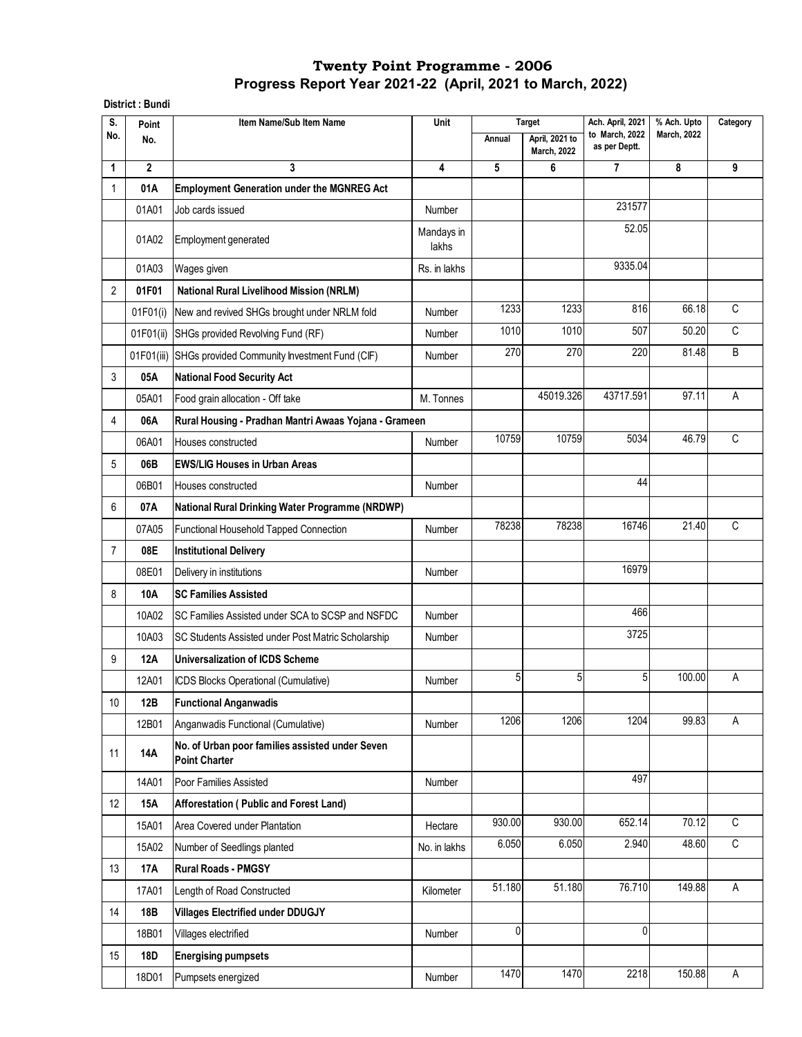**District : Bundi**

| S.             | Point        | Unit<br>Item Name/Sub Item Name                                         |                     | Target | Ach. April, 2021                            | % Ach. Upto                     | Category           |   |
|----------------|--------------|-------------------------------------------------------------------------|---------------------|--------|---------------------------------------------|---------------------------------|--------------------|---|
| No.            | No.          |                                                                         |                     | Annual | <b>April. 2021 to</b><br><b>March, 2022</b> | to March, 2022<br>as per Deptt. | <b>March, 2022</b> |   |
| 1              | $\mathbf{2}$ | 3                                                                       | 4                   | 5      | 6                                           | $\overline{7}$                  | 8                  | 9 |
| 1              | 01A          | <b>Employment Generation under the MGNREG Act</b>                       |                     |        |                                             |                                 |                    |   |
|                | 01A01        | Job cards issued                                                        | Number              |        |                                             | 231577                          |                    |   |
|                | 01A02        | <b>Employment generated</b>                                             | Mandays in<br>lakhs |        |                                             | 52.05                           |                    |   |
|                | 01A03        | Wages given                                                             | Rs. in lakhs        |        |                                             | 9335.04                         |                    |   |
| 2              | 01F01        | <b>National Rural Livelihood Mission (NRLM)</b>                         |                     |        |                                             |                                 |                    |   |
|                | 01F01(i)     | New and revived SHGs brought under NRLM fold                            | Number              | 1233   | 1233                                        | 816                             | 66.18              | C |
|                |              | 01F01(ii) SHGs provided Revolving Fund (RF)                             | Number              | 1010   | 1010                                        | 507                             | 50.20              | C |
|                | 01F01(iii)   | SHGs provided Community Investment Fund (CIF)                           | Number              | 270    | 270                                         | 220                             | 81.48              | B |
| 3              | 05A          | <b>National Food Security Act</b>                                       |                     |        |                                             |                                 |                    |   |
|                | 05A01        | Food grain allocation - Off take                                        | M. Tonnes           |        | 45019.326                                   | 43717.591                       | 97.11              | A |
| 4              | 06A          | Rural Housing - Pradhan Mantri Awaas Yojana - Grameen                   |                     |        |                                             |                                 |                    |   |
|                | 06A01        | Houses constructed                                                      | Number              | 10759  | 10759                                       | 5034                            | 46.79              | C |
| 5              | 06B          | <b>EWS/LIG Houses in Urban Areas</b>                                    |                     |        |                                             |                                 |                    |   |
|                | 06B01        | Houses constructed                                                      | Number              |        |                                             | 44                              |                    |   |
| 6              | 07A          | <b>National Rural Drinking Water Programme (NRDWP)</b>                  |                     |        |                                             |                                 |                    |   |
|                | 07A05        | Functional Household Tapped Connection                                  | Number              | 78238  | 78238                                       | 16746                           | 21.40              | C |
| $\overline{7}$ | 08E          | <b>Institutional Delivery</b>                                           |                     |        |                                             |                                 |                    |   |
|                | 08E01        | Delivery in institutions                                                | Number              |        |                                             | 16979                           |                    |   |
| 8              | <b>10A</b>   | <b>SC Families Assisted</b>                                             |                     |        |                                             |                                 |                    |   |
|                | 10A02        | SC Families Assisted under SCA to SCSP and NSFDC                        | Number              |        |                                             | 466                             |                    |   |
|                | 10A03        | SC Students Assisted under Post Matric Scholarship                      | Number              |        |                                             | 3725                            |                    |   |
| 9              | 12A          | <b>Universalization of ICDS Scheme</b>                                  |                     |        |                                             |                                 |                    |   |
|                | 12A01        | ICDS Blocks Operational (Cumulative)                                    | Number              | 5      | 5                                           | 5                               | 100.00             | Α |
| 10             | 12B          | <b>Functional Anganwadis</b>                                            |                     |        |                                             |                                 |                    |   |
|                | 12B01        | Anganwadis Functional (Cumulative)                                      | Number              | 1206   | 1206                                        | 1204                            | 99.83              | A |
| 11             | <b>14A</b>   | No. of Urban poor families assisted under Seven<br><b>Point Charter</b> |                     |        |                                             |                                 |                    |   |
|                | 14A01        | Poor Families Assisted                                                  | Number              |        |                                             | 497                             |                    |   |
| 12             | 15A          | Afforestation (Public and Forest Land)                                  |                     |        |                                             |                                 |                    |   |
|                | 15A01        | Area Covered under Plantation                                           | Hectare             | 930.00 | 930.00                                      | 652.14                          | 70.12              | C |
|                | 15A02        | Number of Seedlings planted                                             | No. in lakhs        | 6.050  | 6.050                                       | 2.940                           | 48.60              | C |
| 13             | <b>17A</b>   | <b>Rural Roads - PMGSY</b>                                              |                     |        |                                             |                                 |                    |   |
|                | 17A01        | Length of Road Constructed                                              | Kilometer           | 51.180 | 51.180                                      | 76.710                          | 149.88             | Α |
| 14             | 18B          | <b>Villages Electrified under DDUGJY</b>                                |                     |        |                                             |                                 |                    |   |
|                | 18B01        | Villages electrified                                                    | Number              | 0      |                                             | 0                               |                    |   |
| 15             | 18D          | <b>Energising pumpsets</b>                                              |                     |        |                                             |                                 |                    |   |
|                | 18D01        | Pumpsets energized                                                      | Number              | 1470   | 1470                                        | 2218                            | 150.88             | A |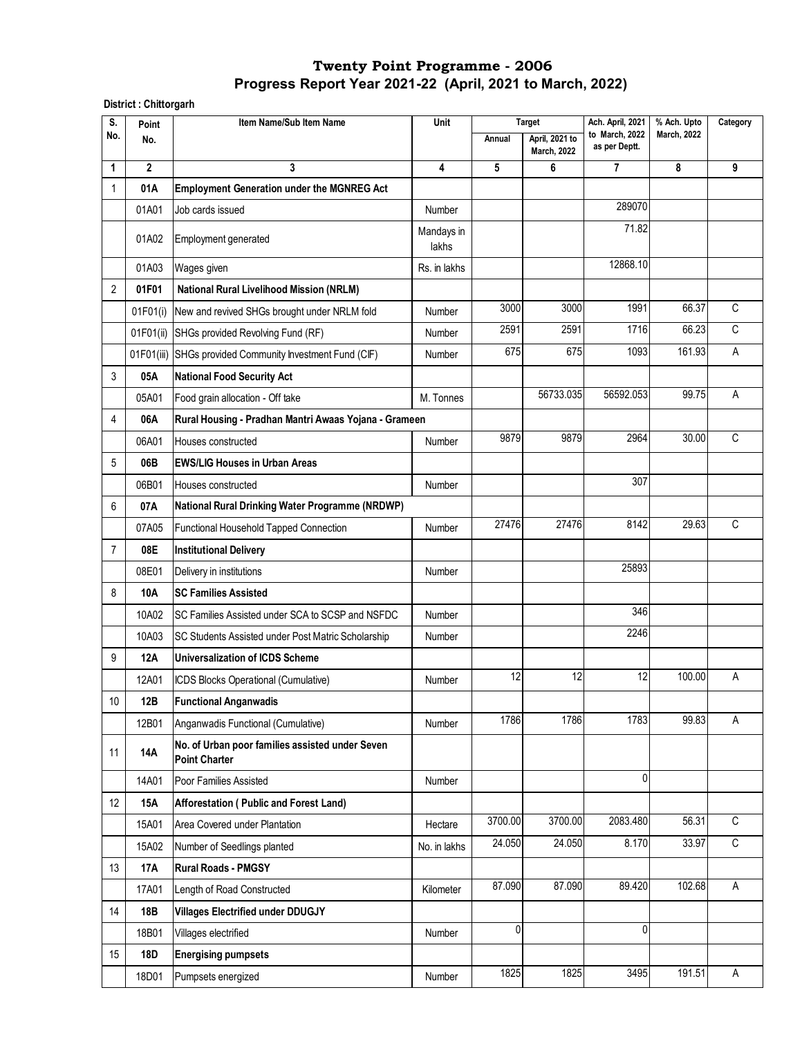**District : Chittorgarh**

| S.             | Point        | Item Name/Sub Item Name                                                 | Unit<br><b>Target</b><br>Ach. April, 2021<br>% Ach. Upto<br>to March, 2022<br><b>March, 2022</b> |         | Category                             |               |        |             |
|----------------|--------------|-------------------------------------------------------------------------|--------------------------------------------------------------------------------------------------|---------|--------------------------------------|---------------|--------|-------------|
| No.            | No.          |                                                                         |                                                                                                  | Annual  | April, 2021 to<br><b>March, 2022</b> | as per Deptt. |        |             |
| 1              | $\mathbf{2}$ | 3                                                                       | 4                                                                                                | 5       | 6                                    | 7             | 8      | 9           |
| 1              | 01A          | <b>Employment Generation under the MGNREG Act</b>                       |                                                                                                  |         |                                      |               |        |             |
|                | 01A01        | Job cards issued                                                        | Number                                                                                           |         |                                      | 289070        |        |             |
|                | 01A02        | Employment generated                                                    | Mandays in<br>lakhs                                                                              |         |                                      | 71.82         |        |             |
|                | 01A03        | Wages given                                                             | Rs. in lakhs                                                                                     |         |                                      | 12868.10      |        |             |
| 2              | 01F01        | <b>National Rural Livelihood Mission (NRLM)</b>                         |                                                                                                  |         |                                      |               |        |             |
|                | 01F01(i)     | New and revived SHGs brought under NRLM fold                            | Number                                                                                           | 3000    | 3000                                 | 1991          | 66.37  | C           |
|                | 01F01(ii)    | SHGs provided Revolving Fund (RF)                                       | Number                                                                                           | 2591    | 2591                                 | 1716          | 66.23  | C           |
|                |              | 01F01(iii) SHGs provided Community Investment Fund (CIF)                | Number                                                                                           | 675     | 675                                  | 1093          | 161.93 | Α           |
| 3              | 05A          | <b>National Food Security Act</b>                                       |                                                                                                  |         |                                      |               |        |             |
|                | 05A01        | Food grain allocation - Off take                                        | M. Tonnes                                                                                        |         | 56733.035                            | 56592.053     | 99.75  | Α           |
| 4              | 06A          | Rural Housing - Pradhan Mantri Awaas Yojana - Grameen                   |                                                                                                  |         |                                      |               |        |             |
|                | 06A01        | Houses constructed                                                      | Number                                                                                           | 9879    | 9879                                 | 2964          | 30.00  | C           |
| 5              | 06B          | <b>EWS/LIG Houses in Urban Areas</b>                                    |                                                                                                  |         |                                      |               |        |             |
|                | 06B01        | Houses constructed                                                      | Number                                                                                           |         |                                      | 307           |        |             |
| 6              | 07A          | National Rural Drinking Water Programme (NRDWP)                         |                                                                                                  |         |                                      |               |        |             |
|                | 07A05        | Functional Household Tapped Connection                                  | Number                                                                                           | 27476   | 27476                                | 8142          | 29.63  | C           |
| $\overline{7}$ | 08E          | <b>Institutional Delivery</b>                                           |                                                                                                  |         |                                      |               |        |             |
|                | 08E01        | Delivery in institutions                                                | Number                                                                                           |         |                                      | 25893         |        |             |
| 8              | 10A          | <b>SC Families Assisted</b>                                             |                                                                                                  |         |                                      |               |        |             |
|                | 10A02        | SC Families Assisted under SCA to SCSP and NSFDC                        | Number                                                                                           |         |                                      | 346           |        |             |
|                | 10A03        | SC Students Assisted under Post Matric Scholarship                      | Number                                                                                           |         |                                      | 2246          |        |             |
| 9              | 12A          | Universalization of ICDS Scheme                                         |                                                                                                  |         |                                      |               |        |             |
|                | 12A01        | ICDS Blocks Operational (Cumulative)                                    | Number                                                                                           | 12      | 12                                   | 12            | 100.00 | Α           |
| $10\,$         | 12B          | <b>Functional Anganwadis</b>                                            |                                                                                                  |         |                                      |               |        |             |
|                | 12B01        | Anganwadis Functional (Cumulative)                                      | Number                                                                                           | 1786    | 1786                                 | 1783          | 99.83  | A           |
| 11             | 14A          | No. of Urban poor families assisted under Seven<br><b>Point Charter</b> |                                                                                                  |         |                                      |               |        |             |
|                | 14A01        | Poor Families Assisted                                                  | Number                                                                                           |         |                                      | 0             |        |             |
| 12             | <b>15A</b>   | Afforestation (Public and Forest Land)                                  |                                                                                                  |         |                                      |               |        |             |
|                | 15A01        | Area Covered under Plantation                                           | Hectare                                                                                          | 3700.00 | 3700.00                              | 2083.480      | 56.31  | C           |
|                | 15A02        | Number of Seedlings planted                                             | No. in lakhs                                                                                     | 24.050  | 24.050                               | 8.170         | 33.97  | $\mathsf C$ |
| 13             | 17A          | <b>Rural Roads - PMGSY</b>                                              |                                                                                                  |         |                                      |               |        |             |
|                | 17A01        | Length of Road Constructed                                              | Kilometer                                                                                        | 87.090  | 87.090                               | 89.420        | 102.68 | A           |
| 14             | 18B          | <b>Villages Electrified under DDUGJY</b>                                |                                                                                                  |         |                                      |               |        |             |
|                | 18B01        | Villages electrified                                                    | Number                                                                                           | 0       |                                      | 0             |        |             |
| 15             | 18D          | <b>Energising pumpsets</b>                                              |                                                                                                  |         |                                      |               |        |             |
|                | 18D01        | Pumpsets energized                                                      | Number                                                                                           | 1825    | 1825                                 | 3495          | 191.51 | Α           |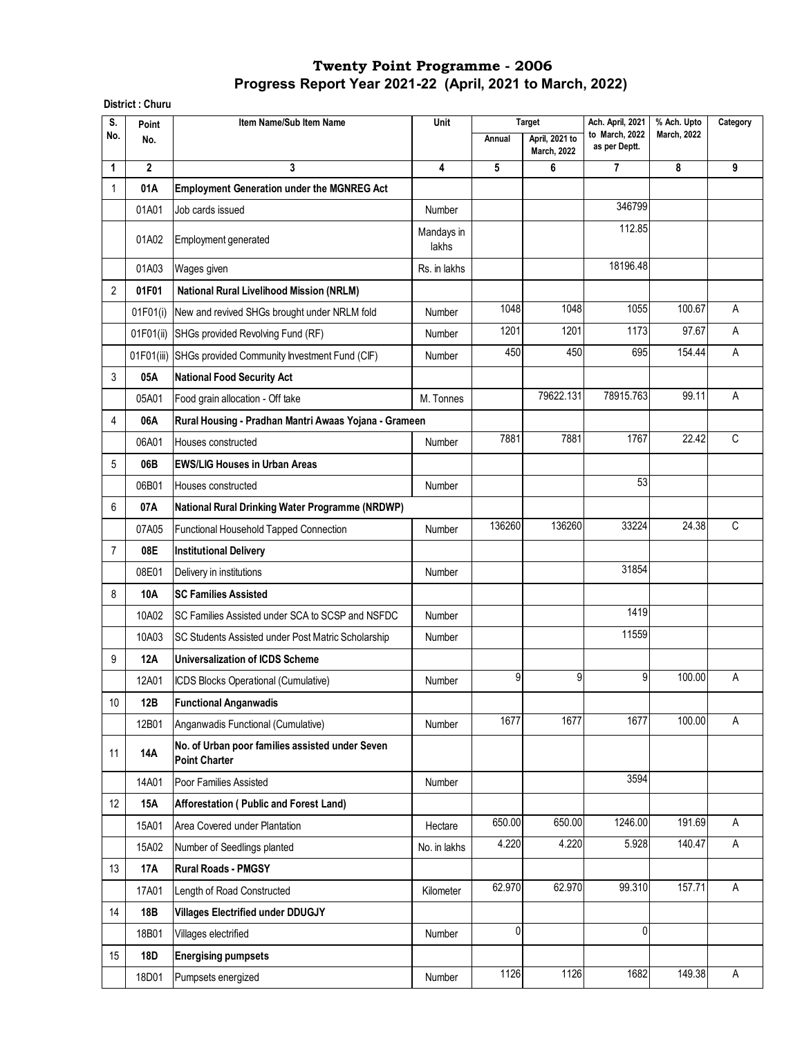**District : Churu**

| S.             | Point        | Item Name/Sub Item Name                                                 | Unit                |        | <b>Target</b>                        | Ach. April, 2021                | % Ach. Upto        | Category |
|----------------|--------------|-------------------------------------------------------------------------|---------------------|--------|--------------------------------------|---------------------------------|--------------------|----------|
| No.            | No.          |                                                                         |                     | Annual | April, 2021 to<br><b>March, 2022</b> | to March, 2022<br>as per Deptt. | <b>March, 2022</b> |          |
| 1              | $\mathbf{2}$ | 3                                                                       | 4                   | 5      | 6                                    | $\overline{7}$                  | 8                  | 9        |
| 1              | 01A          | <b>Employment Generation under the MGNREG Act</b>                       |                     |        |                                      |                                 |                    |          |
|                | 01A01        | Job cards issued                                                        | Number              |        |                                      | 346799                          |                    |          |
|                | 01A02        | Employment generated                                                    | Mandays in<br>lakhs |        |                                      | 112.85                          |                    |          |
|                | 01A03        | Wages given                                                             | Rs. in lakhs        |        |                                      | 18196.48                        |                    |          |
| 2              | 01F01        | <b>National Rural Livelihood Mission (NRLM)</b>                         |                     |        |                                      |                                 |                    |          |
|                | 01F01(i)     | New and revived SHGs brought under NRLM fold                            | Number              | 1048   | 1048                                 | 1055                            | 100.67             | A        |
|                | 01F01(ii)    | SHGs provided Revolving Fund (RF)                                       | Number              | 1201   | 1201                                 | 1173                            | 97.67              | A        |
|                |              | 01F01(iii) SHGs provided Community Investment Fund (CIF)                | Number              | 450    | 450                                  | 695                             | 154.44             | Α        |
| 3              | 05A          | <b>National Food Security Act</b>                                       |                     |        |                                      |                                 |                    |          |
|                | 05A01        | Food grain allocation - Off take                                        | M. Tonnes           |        | 79622.131                            | 78915.763                       | 99.11              | Α        |
| 4              | 06A          | Rural Housing - Pradhan Mantri Awaas Yojana - Grameen                   |                     |        |                                      |                                 |                    |          |
|                | 06A01        | Houses constructed                                                      | Number              | 7881   | 7881                                 | 1767                            | 22.42              | C        |
| 5              | 06B          | <b>EWS/LIG Houses in Urban Areas</b>                                    |                     |        |                                      |                                 |                    |          |
|                | 06B01        | Houses constructed                                                      | Number              |        |                                      | 53                              |                    |          |
| 6              | 07A          | National Rural Drinking Water Programme (NRDWP)                         |                     |        |                                      |                                 |                    |          |
|                | 07A05        | Functional Household Tapped Connection                                  | Number              | 136260 | 136260                               | 33224                           | 24.38              | C        |
| $\overline{7}$ | 08E          | <b>Institutional Delivery</b>                                           |                     |        |                                      |                                 |                    |          |
|                | 08E01        | Delivery in institutions                                                | Number              |        |                                      | 31854                           |                    |          |
| 8              | 10A          | <b>SC Families Assisted</b>                                             |                     |        |                                      |                                 |                    |          |
|                | 10A02        | SC Families Assisted under SCA to SCSP and NSFDC                        | Number              |        |                                      | 1419                            |                    |          |
|                | 10A03        | SC Students Assisted under Post Matric Scholarship                      | Number              |        |                                      | 11559                           |                    |          |
| 9              | 12A          | <b>Universalization of ICDS Scheme</b>                                  |                     |        |                                      |                                 |                    |          |
|                | 12A01        | ICDS Blocks Operational (Cumulative)                                    | Number              | 9      | 9                                    | 9                               | 100.00             | Α        |
| 10             | 12B          | <b>Functional Anganwadis</b>                                            |                     |        |                                      |                                 |                    |          |
|                | 12B01        | Anganwadis Functional (Cumulative)                                      | Number              | 1677   | 1677                                 | 1677                            | 100.00             | A        |
| 11             | 14A          | No. of Urban poor families assisted under Seven<br><b>Point Charter</b> |                     |        |                                      |                                 |                    |          |
|                | 14A01        | Poor Families Assisted                                                  | Number              |        |                                      | 3594                            |                    |          |
| 12             | <b>15A</b>   | Afforestation (Public and Forest Land)                                  |                     |        |                                      |                                 |                    |          |
|                | 15A01        | Area Covered under Plantation                                           | Hectare             | 650.00 | 650.00                               | 1246.00                         | 191.69             | A        |
|                | 15A02        | Number of Seedlings planted                                             | No. in lakhs        | 4.220  | 4.220                                | 5.928                           | 140.47             | A        |
| 13             | 17A          | <b>Rural Roads - PMGSY</b>                                              |                     |        |                                      |                                 |                    |          |
|                | 17A01        | Length of Road Constructed                                              | Kilometer           | 62.970 | 62.970                               | 99.310                          | 157.71             | A        |
| 14             | 18B          | <b>Villages Electrified under DDUGJY</b>                                |                     |        |                                      |                                 |                    |          |
|                | 18B01        | Villages electrified                                                    | Number              | 0      |                                      | 0                               |                    |          |
| 15             | <b>18D</b>   | <b>Energising pumpsets</b>                                              |                     |        |                                      |                                 |                    |          |
|                | 18D01        | Pumpsets energized                                                      | Number              | 1126   | 1126                                 | 1682                            | 149.38             | A        |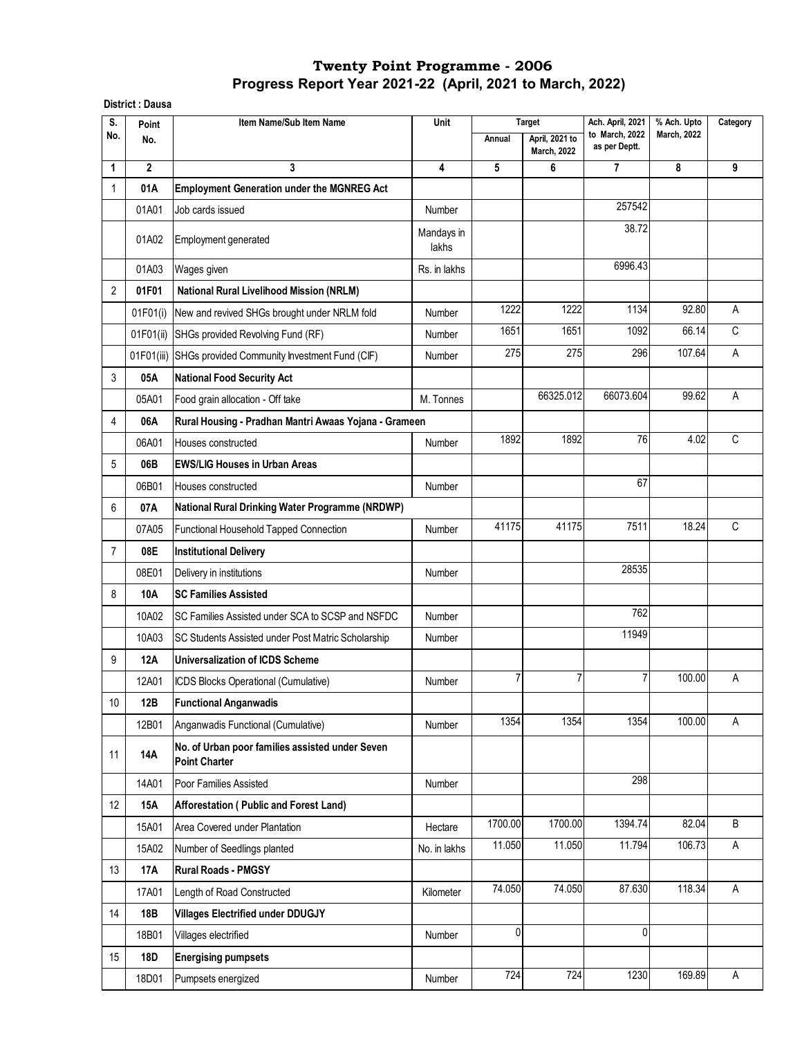**District : Dausa**

| S.             | Point        | Item Name/Sub Item Name                                                 | Unit                    |         | <b>Target</b>                        | Ach. April, 2021                | % Ach. Upto        | Category |
|----------------|--------------|-------------------------------------------------------------------------|-------------------------|---------|--------------------------------------|---------------------------------|--------------------|----------|
| No.            | No.          |                                                                         |                         | Annual  | April, 2021 to<br><b>March, 2022</b> | to March, 2022<br>as per Deptt. | <b>March, 2022</b> |          |
| 1              | $\mathbf{2}$ | 3                                                                       | $\overline{\mathbf{4}}$ | 5       | 6                                    | 7                               | 8                  | 9        |
| 1              | 01A          | <b>Employment Generation under the MGNREG Act</b>                       |                         |         |                                      |                                 |                    |          |
|                | 01A01        | Job cards issued                                                        | Number                  |         |                                      | 257542                          |                    |          |
|                | 01A02        | Employment generated                                                    | Mandays in<br>lakhs     |         |                                      | 38.72                           |                    |          |
|                | 01A03        | Wages given                                                             | Rs. in lakhs            |         |                                      | 6996.43                         |                    |          |
| $\overline{2}$ | 01F01        | <b>National Rural Livelihood Mission (NRLM)</b>                         |                         |         |                                      |                                 |                    |          |
|                | 01F01(i)     | New and revived SHGs brought under NRLM fold                            | Number                  | 1222    | 1222                                 | 1134                            | 92.80              | Α        |
|                | 01F01(ii)    | SHGs provided Revolving Fund (RF)                                       | Number                  | 1651    | 1651                                 | 1092                            | 66.14              | C        |
|                |              | 01F01(iii) SHGs provided Community Investment Fund (CIF)                | Number                  | 275     | 275                                  | 296                             | 107.64             | Α        |
| 3              | 05A          | <b>National Food Security Act</b>                                       |                         |         |                                      |                                 |                    |          |
|                | 05A01        | Food grain allocation - Off take                                        | M. Tonnes               |         | 66325.012                            | 66073.604                       | 99.62              | Α        |
| 4              | 06A          | Rural Housing - Pradhan Mantri Awaas Yojana - Grameen                   |                         |         |                                      |                                 |                    |          |
|                | 06A01        | Houses constructed                                                      | Number                  | 1892    | 1892                                 | 76                              | 4.02               | C        |
| 5              | 06B          | <b>EWS/LIG Houses in Urban Areas</b>                                    |                         |         |                                      |                                 |                    |          |
|                | 06B01        | Houses constructed                                                      | Number                  |         |                                      | 67                              |                    |          |
| 6              | 07A          | <b>National Rural Drinking Water Programme (NRDWP)</b>                  |                         |         |                                      |                                 |                    |          |
|                | 07A05        | Functional Household Tapped Connection                                  | Number                  | 41175   | 41175                                | 7511                            | 18.24              | C        |
| $\overline{7}$ | 08E          | <b>Institutional Delivery</b>                                           |                         |         |                                      |                                 |                    |          |
|                | 08E01        | Delivery in institutions                                                | Number                  |         |                                      | 28535                           |                    |          |
| 8              | <b>10A</b>   | <b>SC Families Assisted</b>                                             |                         |         |                                      |                                 |                    |          |
|                | 10A02        | SC Families Assisted under SCA to SCSP and NSFDC                        | Number                  |         |                                      | 762                             |                    |          |
|                | 10A03        | SC Students Assisted under Post Matric Scholarship                      | Number                  |         |                                      | 11949                           |                    |          |
| 9              | <b>12A</b>   | Universalization of ICDS Scheme                                         |                         |         |                                      |                                 |                    |          |
|                | 12A01        | ICDS Blocks Operational (Cumulative)                                    | Number                  | 7       | 7                                    | $\overline{7}$                  | 100.00             | А        |
| 10             | 12B          | <b>Functional Anganwadis</b>                                            |                         |         |                                      |                                 |                    |          |
|                | 12B01        | Anganwadis Functional (Cumulative)                                      | Number                  | 1354    | 1354                                 | 1354                            | 100.00             | A        |
| 11             | 14A          | No. of Urban poor families assisted under Seven<br><b>Point Charter</b> |                         |         |                                      |                                 |                    |          |
|                | 14A01        | Poor Families Assisted                                                  | <b>Number</b>           |         |                                      | 298                             |                    |          |
| 12             | <b>15A</b>   | Afforestation (Public and Forest Land)                                  |                         |         |                                      |                                 |                    |          |
|                | 15A01        | Area Covered under Plantation                                           | Hectare                 | 1700.00 | 1700.00                              | 1394.74                         | 82.04              | B        |
|                | 15A02        | Number of Seedlings planted                                             | No. in lakhs            | 11.050  | 11.050                               | 11.794                          | 106.73             | A        |
| 13             | 17A          | <b>Rural Roads - PMGSY</b>                                              |                         |         |                                      |                                 |                    |          |
|                | 17A01        | Length of Road Constructed                                              | Kilometer               | 74.050  | 74.050                               | 87.630                          | 118.34             | A        |
| 14             | 18B          | <b>Villages Electrified under DDUGJY</b>                                |                         |         |                                      |                                 |                    |          |
|                | 18B01        | Villages electrified                                                    | Number                  | 0       |                                      | 0                               |                    |          |
| 15             | 18D          | <b>Energising pumpsets</b>                                              |                         |         |                                      |                                 |                    |          |
|                | 18D01        | Pumpsets energized                                                      | Number                  | 724     | 724                                  | 1230                            | 169.89             | A        |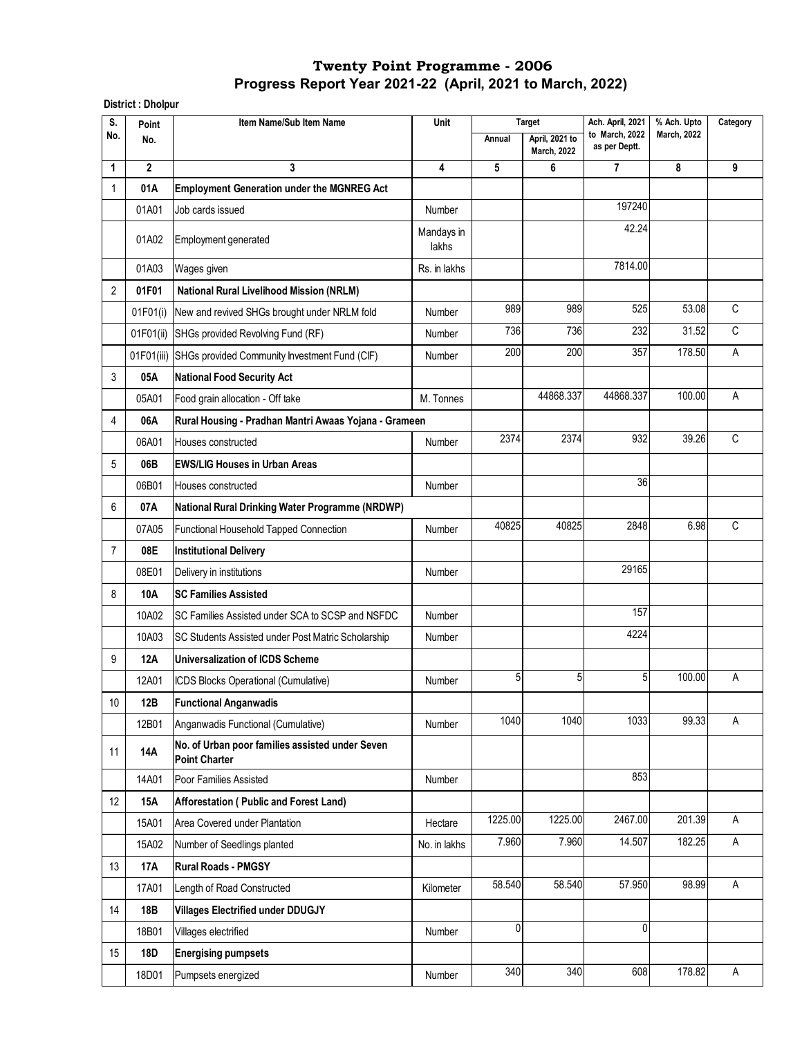**District : Dholpur**

| S.             | Point        | Item Name/Sub Item Name                                                 | Unit                |         | Ach. April, 2021<br><b>Target</b>    |                                 |                    | % Ach. Upto |  | Category |
|----------------|--------------|-------------------------------------------------------------------------|---------------------|---------|--------------------------------------|---------------------------------|--------------------|-------------|--|----------|
| No.            | No.          |                                                                         |                     | Annual  | April, 2021 to<br><b>March, 2022</b> | to March, 2022<br>as per Deptt. | <b>March, 2022</b> |             |  |          |
| 1              | $\mathbf{2}$ | 3                                                                       | 4                   | 5       | 6                                    | $\overline{7}$                  | 8                  | 9           |  |          |
| 1              | 01A          | <b>Employment Generation under the MGNREG Act</b>                       |                     |         |                                      |                                 |                    |             |  |          |
|                | 01A01        | Job cards issued                                                        | Number              |         |                                      | 197240                          |                    |             |  |          |
|                | 01A02        | Employment generated                                                    | Mandays in<br>lakhs |         |                                      | 42.24                           |                    |             |  |          |
|                | 01A03        | Wages given                                                             | Rs. in lakhs        |         |                                      | 7814.00                         |                    |             |  |          |
| 2              | 01F01        | <b>National Rural Livelihood Mission (NRLM)</b>                         |                     |         |                                      |                                 |                    |             |  |          |
|                | 01F01(i)     | New and revived SHGs brought under NRLM fold                            | Number              | 989     | 989                                  | 525                             | 53.08              | $\mathsf C$ |  |          |
|                | 01F01(ii)    | SHGs provided Revolving Fund (RF)                                       | Number              | 736     | 736                                  | 232                             | 31.52              | $\mathsf C$ |  |          |
|                |              | 01F01(iii) SHGs provided Community Investment Fund (CIF)                | Number              | 200     | 200                                  | 357                             | 178.50             | A           |  |          |
| 3              | 05A          | <b>National Food Security Act</b>                                       |                     |         |                                      |                                 |                    |             |  |          |
|                | 05A01        | Food grain allocation - Off take                                        | M. Tonnes           |         | 44868.337                            | 44868.337                       | 100.00             | Α           |  |          |
| 4              | 06A          | Rural Housing - Pradhan Mantri Awaas Yojana - Grameen                   |                     |         |                                      |                                 |                    |             |  |          |
|                | 06A01        | Houses constructed                                                      | Number              | 2374    | 2374                                 | 932                             | 39.26              | C           |  |          |
| 5              | 06B          | <b>EWS/LIG Houses in Urban Areas</b>                                    |                     |         |                                      |                                 |                    |             |  |          |
|                | 06B01        | Houses constructed                                                      | Number              |         |                                      | 36                              |                    |             |  |          |
| 6              | 07A          | National Rural Drinking Water Programme (NRDWP)                         |                     |         |                                      |                                 |                    |             |  |          |
|                | 07A05        | Functional Household Tapped Connection                                  | Number              | 40825   | 40825                                | 2848                            | 6.98               | C           |  |          |
| $\overline{7}$ | 08E          | <b>Institutional Delivery</b>                                           |                     |         |                                      |                                 |                    |             |  |          |
|                | 08E01        | Delivery in institutions                                                | Number              |         |                                      | 29165                           |                    |             |  |          |
| 8              | 10A          | <b>SC Families Assisted</b>                                             |                     |         |                                      |                                 |                    |             |  |          |
|                | 10A02        | SC Families Assisted under SCA to SCSP and NSFDC                        | Number              |         |                                      | 157                             |                    |             |  |          |
|                | 10A03        | SC Students Assisted under Post Matric Scholarship                      | Number              |         |                                      | 4224                            |                    |             |  |          |
| 9              | 12A          | <b>Universalization of ICDS Scheme</b>                                  |                     |         |                                      |                                 |                    |             |  |          |
|                | 12A01        | ICDS Blocks Operational (Cumulative)                                    | Number              | 5       | 5                                    | 5 <sup>1</sup>                  | 100.00             | Α           |  |          |
| 10             | 12B          | <b>Functional Anganwadis</b>                                            |                     |         |                                      |                                 |                    |             |  |          |
|                | 12B01        | Anganwadis Functional (Cumulative)                                      | Number              | 1040    | 1040                                 | 1033                            | 99.33              | A           |  |          |
| 11             | 14A          | No. of Urban poor families assisted under Seven<br><b>Point Charter</b> |                     |         |                                      |                                 |                    |             |  |          |
|                | 14A01        | Poor Families Assisted                                                  | Number              |         |                                      | 853                             |                    |             |  |          |
| 12             | <b>15A</b>   | Afforestation (Public and Forest Land)                                  |                     |         |                                      |                                 |                    |             |  |          |
|                | 15A01        | Area Covered under Plantation                                           | Hectare             | 1225.00 | 1225.00                              | 2467.00                         | 201.39             | Α           |  |          |
|                | 15A02        | Number of Seedlings planted                                             | No. in lakhs        | 7.960   | 7.960                                | 14.507                          | 182.25             | A           |  |          |
| 13             | <b>17A</b>   | <b>Rural Roads - PMGSY</b>                                              |                     |         |                                      |                                 |                    |             |  |          |
|                | 17A01        | Length of Road Constructed                                              | Kilometer           | 58.540  | 58.540                               | 57.950                          | 98.99              | Α           |  |          |
| 14             | 18B          | <b>Villages Electrified under DDUGJY</b>                                |                     |         |                                      |                                 |                    |             |  |          |
|                | 18B01        | Villages electrified                                                    | Number              | 0       |                                      | $\mathbf 0$                     |                    |             |  |          |
| 15             | <b>18D</b>   | <b>Energising pumpsets</b>                                              |                     |         |                                      |                                 |                    |             |  |          |
|                | 18D01        | Pumpsets energized                                                      | Number              | 340     | 340                                  | 608                             | 178.82             | Α           |  |          |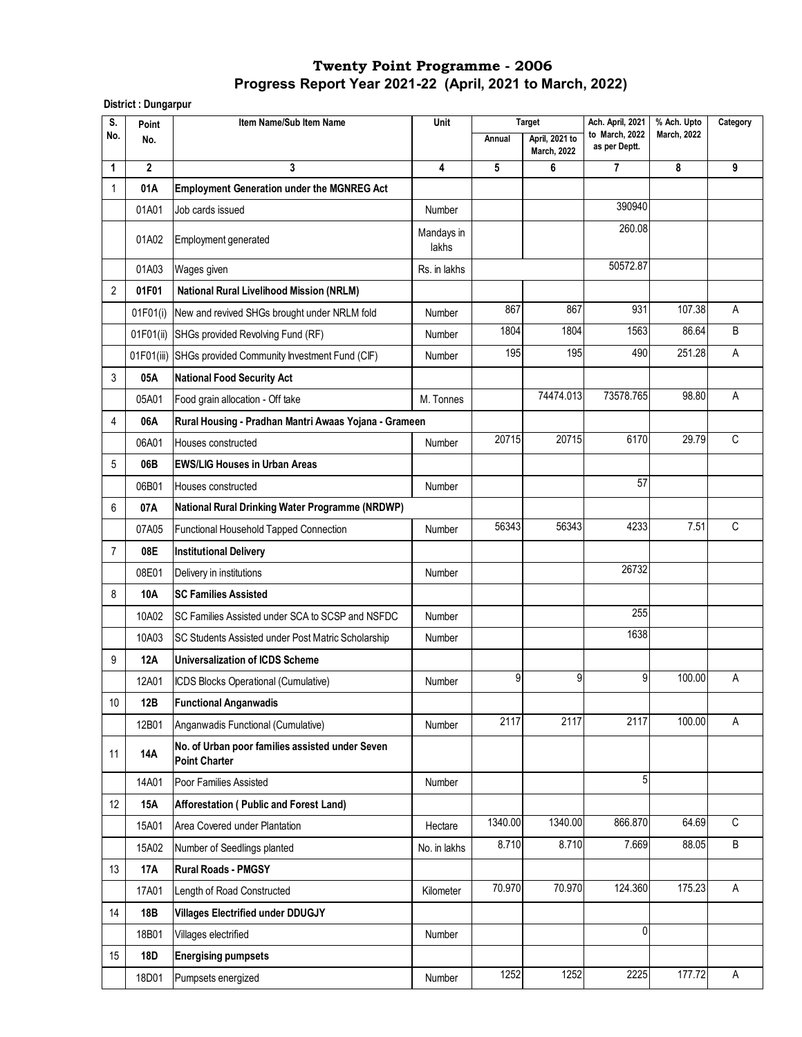**District : Dungarpur** 

| S.             | Point        | Item Name/Sub Item Name                                                 | Unit                |         | <b>Target</b>                        | Ach. April, 2021                | % Ach. Upto        | Category |
|----------------|--------------|-------------------------------------------------------------------------|---------------------|---------|--------------------------------------|---------------------------------|--------------------|----------|
| No.            | No.          |                                                                         |                     | Annual  | April, 2021 to<br><b>March, 2022</b> | to March, 2022<br>as per Deptt. | <b>March, 2022</b> |          |
| 1              | $\mathbf{2}$ | 3                                                                       | 4                   | 5       | 6                                    | 7                               | 8                  | 9        |
| 1              | 01A          | <b>Employment Generation under the MGNREG Act</b>                       |                     |         |                                      |                                 |                    |          |
|                | 01A01        | Job cards issued                                                        | Number              |         |                                      | 390940                          |                    |          |
|                | 01A02        | Employment generated                                                    | Mandays in<br>lakhs |         |                                      | 260.08                          |                    |          |
|                | 01A03        | Wages given                                                             | Rs. in lakhs        |         |                                      | 50572.87                        |                    |          |
| 2              | 01F01        | <b>National Rural Livelihood Mission (NRLM)</b>                         |                     |         |                                      |                                 |                    |          |
|                | 01F01(i)     | New and revived SHGs brought under NRLM fold                            | Number              | 867     | 867                                  | 931                             | 107.38             | A        |
|                | 01F01(ii)    | SHGs provided Revolving Fund (RF)                                       | Number              | 1804    | 1804                                 | 1563                            | 86.64              | B        |
|                |              | 01F01(iii) SHGs provided Community Investment Fund (CIF)                | Number              | 195     | 195                                  | 490                             | 251.28             | Α        |
| 3              | 05A          | <b>National Food Security Act</b>                                       |                     |         |                                      |                                 |                    |          |
|                | 05A01        | Food grain allocation - Off take                                        | M. Tonnes           |         | 74474.013                            | 73578.765                       | 98.80              | А        |
| 4              | 06A          | Rural Housing - Pradhan Mantri Awaas Yojana - Grameen                   |                     |         |                                      |                                 |                    |          |
|                | 06A01        | Houses constructed                                                      | Number              | 20715   | 20715                                | 6170                            | 29.79              | C        |
| 5              | 06B          | <b>EWS/LIG Houses in Urban Areas</b>                                    |                     |         |                                      |                                 |                    |          |
|                | 06B01        | Houses constructed                                                      | Number              |         |                                      | 57                              |                    |          |
| 6              | 07A          | National Rural Drinking Water Programme (NRDWP)                         |                     |         |                                      |                                 |                    |          |
|                | 07A05        | Functional Household Tapped Connection                                  | Number              | 56343   | 56343                                | 4233                            | 7.51               | C        |
| $\overline{7}$ | 08E          | <b>Institutional Delivery</b>                                           |                     |         |                                      |                                 |                    |          |
|                | 08E01        | Delivery in institutions                                                | Number              |         |                                      | 26732                           |                    |          |
| 8              | 10A          | <b>SC Families Assisted</b>                                             |                     |         |                                      |                                 |                    |          |
|                | 10A02        | SC Families Assisted under SCA to SCSP and NSFDC                        | Number              |         |                                      | 255                             |                    |          |
|                | 10A03        | SC Students Assisted under Post Matric Scholarship                      | Number              |         |                                      | 1638                            |                    |          |
| 9              | 12A          | <b>Universalization of ICDS Scheme</b>                                  |                     |         |                                      |                                 |                    |          |
|                | 12A01        | ICDS Blocks Operational (Cumulative)                                    | Number              | 9       | 9                                    | 9                               | 100.00             | Α        |
| 10             | 12B          | <b>Functional Anganwadis</b>                                            |                     |         |                                      |                                 |                    |          |
|                | 12B01        | Anganwadis Functional (Cumulative)                                      | Number              | 2117    | $\overline{2117}$                    | 2117                            | 100.00             | A        |
| 11             | 14A          | No. of Urban poor families assisted under Seven<br><b>Point Charter</b> |                     |         |                                      |                                 |                    |          |
|                | 14A01        | Poor Families Assisted                                                  | Number              |         |                                      | 5                               |                    |          |
| 12             | <b>15A</b>   | Afforestation (Public and Forest Land)                                  |                     |         |                                      |                                 |                    |          |
|                | 15A01        | Area Covered under Plantation                                           | Hectare             | 1340.00 | 1340.00                              | 866.870                         | 64.69              | C        |
|                | 15A02        | Number of Seedlings planted                                             | No. in lakhs        | 8.710   | 8.710                                | 7.669                           | 88.05              | B        |
| 13             | 17A          | <b>Rural Roads - PMGSY</b>                                              |                     |         |                                      |                                 |                    |          |
|                | 17A01        | Length of Road Constructed                                              | Kilometer           | 70.970  | 70.970                               | 124.360                         | 175.23             | A        |
| 14             | 18B          | <b>Villages Electrified under DDUGJY</b>                                |                     |         |                                      |                                 |                    |          |
|                | 18B01        | Villages electrified                                                    | Number              |         |                                      | 0                               |                    |          |
| 15             | <b>18D</b>   | <b>Energising pumpsets</b>                                              |                     |         |                                      |                                 |                    |          |
|                | 18D01        | Pumpsets energized                                                      | Number              | 1252    | 1252                                 | 2225                            | 177.72             | A        |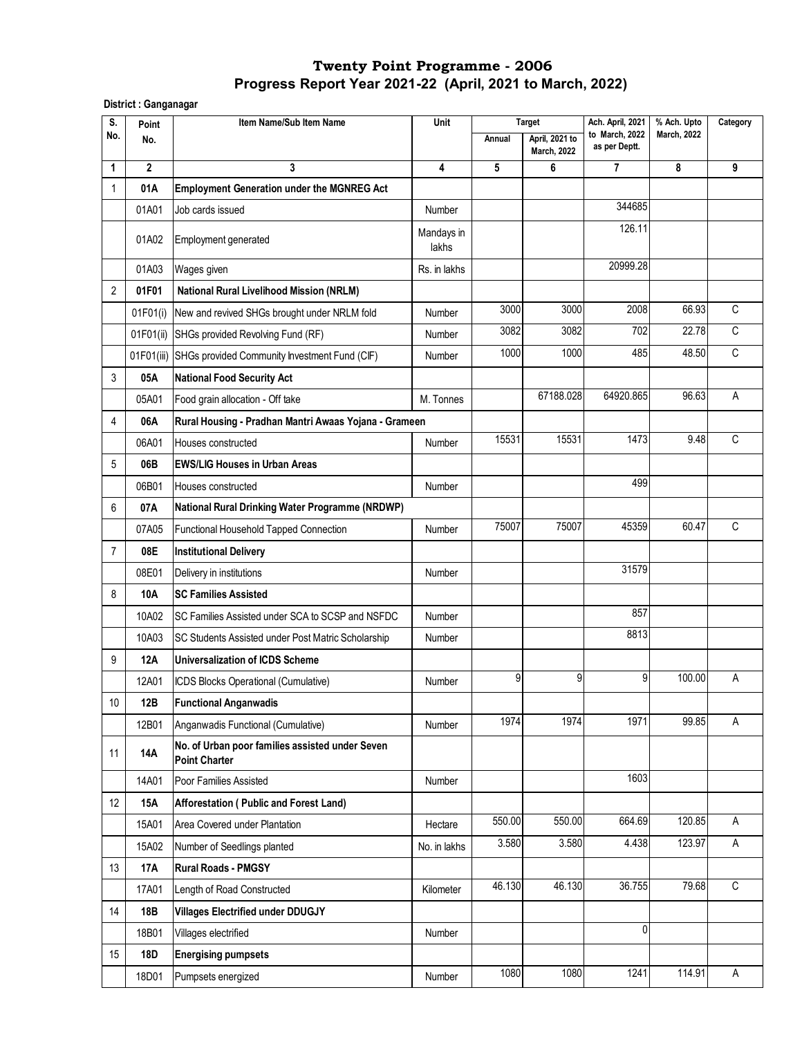**District : Ganganagar**

| S.             | Point        | Item Name/Sub Item Name                                                 | Unit                |        | <b>Target</b>                        | Ach. April, 2021                | % Ach. Upto        | Category    |
|----------------|--------------|-------------------------------------------------------------------------|---------------------|--------|--------------------------------------|---------------------------------|--------------------|-------------|
| No.            | No.          |                                                                         |                     | Annual | April, 2021 to<br><b>March, 2022</b> | to March, 2022<br>as per Deptt. | <b>March, 2022</b> |             |
| 1              | $\mathbf{2}$ | 3                                                                       | 4                   | 5      | 6                                    | 7                               | 8                  | 9           |
| 1              | 01A          | <b>Employment Generation under the MGNREG Act</b>                       |                     |        |                                      |                                 |                    |             |
|                | 01A01        | Job cards issued                                                        | Number              |        |                                      | 344685                          |                    |             |
|                | 01A02        | Employment generated                                                    | Mandays in<br>lakhs |        |                                      | 126.11                          |                    |             |
|                | 01A03        | Wages given                                                             | Rs. in lakhs        |        |                                      | 20999.28                        |                    |             |
| 2              | 01F01        | <b>National Rural Livelihood Mission (NRLM)</b>                         |                     |        |                                      |                                 |                    |             |
|                | 01F01(i)     | New and revived SHGs brought under NRLM fold                            | Number              | 3000   | 3000                                 | 2008                            | 66.93              | C           |
|                | 01F01(ii)    | SHGs provided Revolving Fund (RF)                                       | Number              | 3082   | 3082                                 | 702                             | 22.78              | C           |
|                |              | 01F01(iii) SHGs provided Community Investment Fund (CIF)                | Number              | 1000   | 1000                                 | 485                             | 48.50              | $\mathsf C$ |
| 3              | 05A          | <b>National Food Security Act</b>                                       |                     |        |                                      |                                 |                    |             |
|                | 05A01        | Food grain allocation - Off take                                        | M. Tonnes           |        | 67188.028                            | 64920.865                       | 96.63              | Α           |
| 4              | 06A          | Rural Housing - Pradhan Mantri Awaas Yojana - Grameen                   |                     |        |                                      |                                 |                    |             |
|                | 06A01        | Houses constructed                                                      | Number              | 15531  | 15531                                | 1473                            | 9.48               | C           |
| 5              | 06B          | <b>EWS/LIG Houses in Urban Areas</b>                                    |                     |        |                                      |                                 |                    |             |
|                | 06B01        | Houses constructed                                                      | Number              |        |                                      | 499                             |                    |             |
| 6              | 07A          | National Rural Drinking Water Programme (NRDWP)                         |                     |        |                                      |                                 |                    |             |
|                | 07A05        | Functional Household Tapped Connection                                  | Number              | 75007  | 75007                                | 45359                           | 60.47              | C           |
| $\overline{7}$ | 08E          | <b>Institutional Delivery</b>                                           |                     |        |                                      |                                 |                    |             |
|                | 08E01        | Delivery in institutions                                                | Number              |        |                                      | 31579                           |                    |             |
| 8              | 10A          | <b>SC Families Assisted</b>                                             |                     |        |                                      |                                 |                    |             |
|                | 10A02        | SC Families Assisted under SCA to SCSP and NSFDC                        | Number              |        |                                      | 857                             |                    |             |
|                | 10A03        | SC Students Assisted under Post Matric Scholarship                      | Number              |        |                                      | 8813                            |                    |             |
| 9              | <b>12A</b>   | <b>Universalization of ICDS Scheme</b>                                  |                     |        |                                      |                                 |                    |             |
|                | 12A01        | ICDS Blocks Operational (Cumulative)                                    | Number              | 9      | 9                                    | 9                               | 100.00             | Α           |
| 10             | 12B          | <b>Functional Anganwadis</b>                                            |                     |        |                                      |                                 |                    |             |
|                | 12B01        | Anganwadis Functional (Cumulative)                                      | Number              | 1974   | 1974                                 | 1971                            | 99.85              | A           |
| 11             | 14A          | No. of Urban poor families assisted under Seven<br><b>Point Charter</b> |                     |        |                                      |                                 |                    |             |
|                | 14A01        | Poor Families Assisted                                                  | Number              |        |                                      | 1603                            |                    |             |
| 12             | <b>15A</b>   | Afforestation (Public and Forest Land)                                  |                     |        |                                      |                                 |                    |             |
|                | 15A01        | Area Covered under Plantation                                           | Hectare             | 550.00 | 550.00                               | 664.69                          | 120.85             | Α           |
|                | 15A02        | Number of Seedlings planted                                             | No. in lakhs        | 3.580  | 3.580                                | 4.438                           | 123.97             | A           |
| 13             | 17A          | <b>Rural Roads - PMGSY</b>                                              |                     |        |                                      |                                 |                    |             |
|                | 17A01        | Length of Road Constructed                                              | Kilometer           | 46.130 | 46.130                               | 36.755                          | 79.68              | C           |
| 14             | 18B          | <b>Villages Electrified under DDUGJY</b>                                |                     |        |                                      |                                 |                    |             |
|                | 18B01        | Villages electrified                                                    | Number              |        |                                      | $\mathbf{0}$                    |                    |             |
| 15             | 18D          | <b>Energising pumpsets</b>                                              |                     |        |                                      |                                 |                    |             |
|                | 18D01        | Pumpsets energized                                                      | Number              | 1080   | 1080                                 | 1241                            | 114.91             | Α           |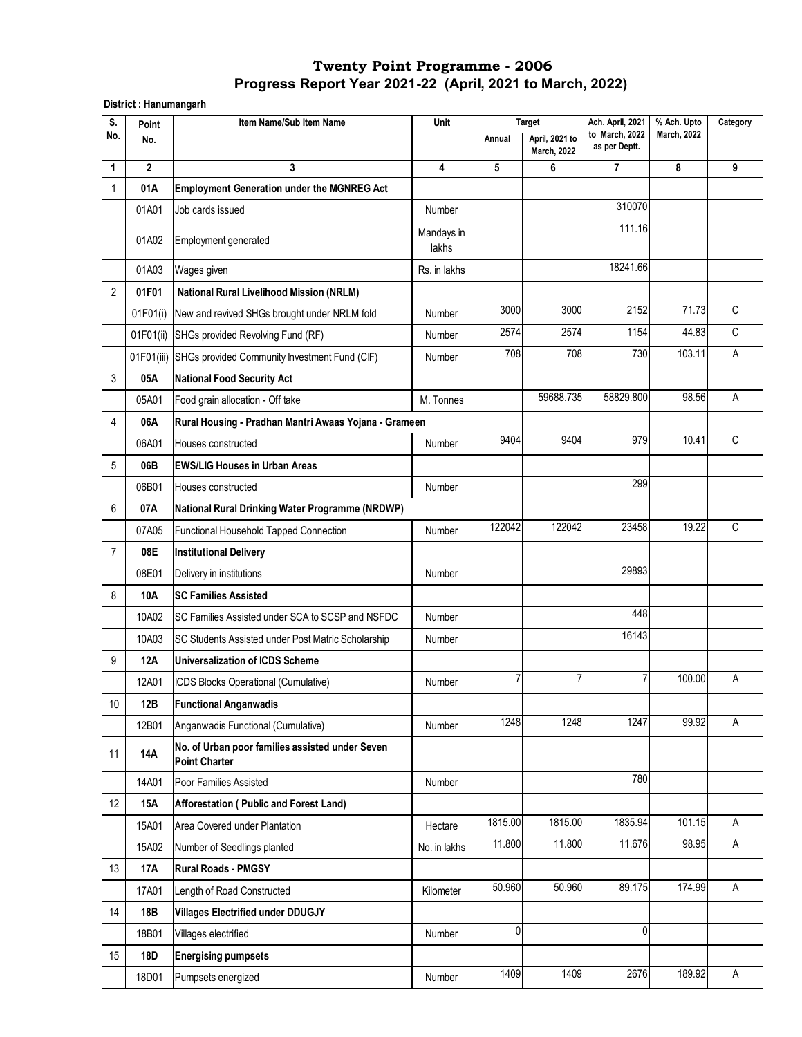**District : Hanumangarh**

| S.             | Point        | Item Name/Sub Item Name                                                 | Unit                    |         | <b>Target</b>                        | Ach. April, 2021                | % Ach. Upto        | Category    |
|----------------|--------------|-------------------------------------------------------------------------|-------------------------|---------|--------------------------------------|---------------------------------|--------------------|-------------|
| No.            | No.          |                                                                         |                         | Annual  | April, 2021 to<br><b>March, 2022</b> | to March, 2022<br>as per Deptt. | <b>March. 2022</b> |             |
| 1              | $\mathbf{2}$ | 3                                                                       | $\overline{\mathbf{4}}$ | 5       | 6                                    | 7                               | 8                  | 9           |
| 1              | 01A          | <b>Employment Generation under the MGNREG Act</b>                       |                         |         |                                      |                                 |                    |             |
|                | 01A01        | Job cards issued                                                        | Number                  |         |                                      | 310070                          |                    |             |
|                | 01A02        | Employment generated                                                    | Mandays in<br>lakhs     |         |                                      | 111.16                          |                    |             |
|                | 01A03        | Wages given                                                             | Rs. in lakhs            |         |                                      | 18241.66                        |                    |             |
| 2              | 01F01        | <b>National Rural Livelihood Mission (NRLM)</b>                         |                         |         |                                      |                                 |                    |             |
|                | 01F01(i)     | New and revived SHGs brought under NRLM fold                            | Number                  | 3000    | 3000                                 | 2152                            | 71.73              | C           |
|                | 01F01(ii)    | SHGs provided Revolving Fund (RF)                                       | Number                  | 2574    | 2574                                 | 1154                            | 44.83              | C           |
|                | 01F01(iii)   | SHGs provided Community Investment Fund (CIF)                           | Number                  | 708     | 708                                  | 730                             | 103.11             | A           |
| 3              | 05A          | <b>National Food Security Act</b>                                       |                         |         |                                      |                                 |                    |             |
|                | 05A01        | Food grain allocation - Off take                                        | M. Tonnes               |         | 59688.735                            | 58829.800                       | 98.56              | Α           |
| 4              | 06A          | Rural Housing - Pradhan Mantri Awaas Yojana - Grameen                   |                         |         |                                      |                                 |                    |             |
|                | 06A01        | Houses constructed                                                      | Number                  | 9404    | 9404                                 | 979                             | 10.41              | $\mathsf C$ |
| 5              | 06B          | <b>EWS/LIG Houses in Urban Areas</b>                                    |                         |         |                                      |                                 |                    |             |
|                | 06B01        | Houses constructed                                                      | Number                  |         |                                      | 299                             |                    |             |
| 6              | 07A          | National Rural Drinking Water Programme (NRDWP)                         |                         |         |                                      |                                 |                    |             |
|                | 07A05        | Functional Household Tapped Connection                                  | Number                  | 122042  | 122042                               | 23458                           | 19.22              | C           |
| $\overline{7}$ | 08E          | <b>Institutional Delivery</b>                                           |                         |         |                                      |                                 |                    |             |
|                | 08E01        | Delivery in institutions                                                | Number                  |         |                                      | 29893                           |                    |             |
| 8              | <b>10A</b>   | <b>SC Families Assisted</b>                                             |                         |         |                                      |                                 |                    |             |
|                | 10A02        | SC Families Assisted under SCA to SCSP and NSFDC                        | Number                  |         |                                      | 448                             |                    |             |
|                | 10A03        | SC Students Assisted under Post Matric Scholarship                      | Number                  |         |                                      | 16143                           |                    |             |
| 9              | <b>12A</b>   | <b>Universalization of ICDS Scheme</b>                                  |                         |         |                                      |                                 |                    |             |
|                | 12A01        | ICDS Blocks Operational (Cumulative)                                    | Number                  | 7       | 7                                    | $\overline{7}$                  | 100.00             | Α           |
| 10             | 12B          | <b>Functional Anganwadis</b>                                            |                         |         |                                      |                                 |                    |             |
|                | 12B01        | Anganwadis Functional (Cumulative)                                      | Number                  | 1248    | 1248                                 | 1247                            | 99.92              | A           |
| 11             | 14A          | No. of Urban poor families assisted under Seven<br><b>Point Charter</b> |                         |         |                                      |                                 |                    |             |
|                | 14A01        | Poor Families Assisted                                                  | Number                  |         |                                      | 780                             |                    |             |
| 12             | <b>15A</b>   | Afforestation (Public and Forest Land)                                  |                         |         |                                      |                                 |                    |             |
|                | 15A01        | Area Covered under Plantation                                           | Hectare                 | 1815.00 | 1815.00                              | 1835.94                         | 101.15             | A           |
|                | 15A02        | Number of Seedlings planted                                             | No. in lakhs            | 11.800  | 11.800                               | 11.676                          | 98.95              | A           |
| 13             | 17A          | <b>Rural Roads - PMGSY</b>                                              |                         |         |                                      |                                 |                    |             |
|                | 17A01        | Length of Road Constructed                                              | Kilometer               | 50.960  | 50.960                               | 89.175                          | 174.99             | A           |
| 14             | 18B          | <b>Villages Electrified under DDUGJY</b>                                |                         |         |                                      |                                 |                    |             |
|                | 18B01        | Villages electrified                                                    | Number                  | 0       |                                      | 0                               |                    |             |
| 15             | 18D          | <b>Energising pumpsets</b>                                              |                         |         |                                      |                                 |                    |             |
|                | 18D01        | Pumpsets energized                                                      | Number                  | 1409    | 1409                                 | 2676                            | 189.92             | A           |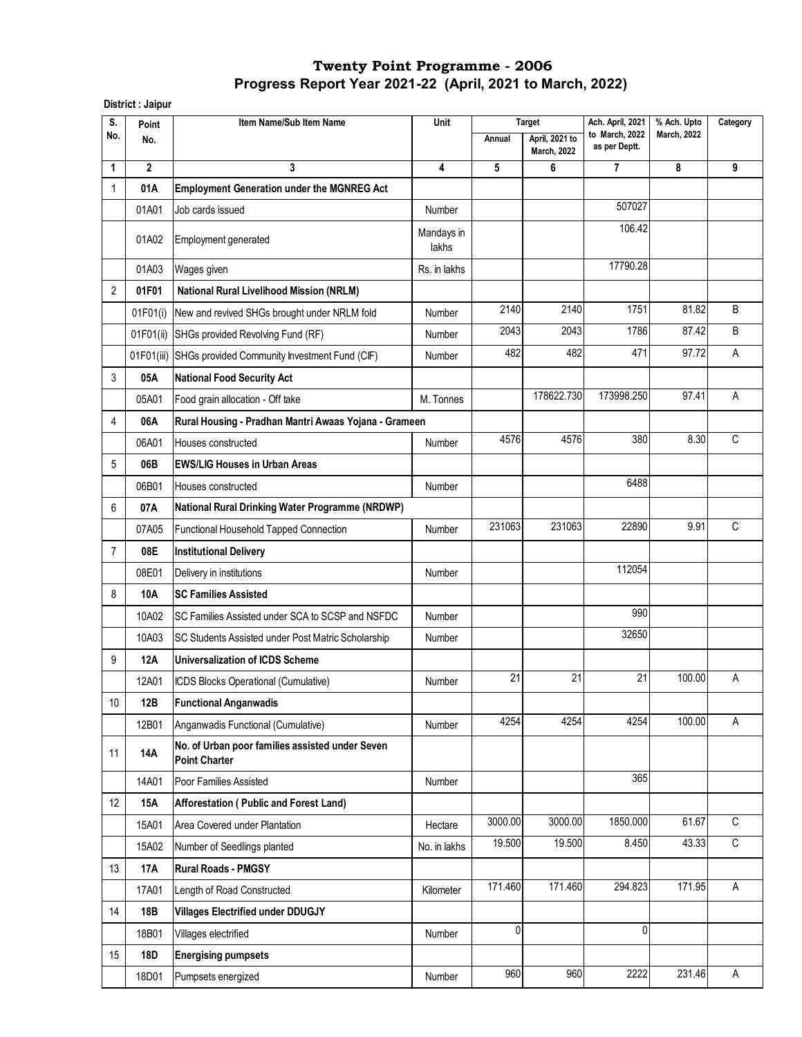**District : Jaipur**

| S.             | Point        | Item Name/Sub Item Name                                                 | Unit                |         | <b>Target</b>                        | Ach. April, 2021                | % Ach. Upto        | Category |
|----------------|--------------|-------------------------------------------------------------------------|---------------------|---------|--------------------------------------|---------------------------------|--------------------|----------|
| No.            | No.          |                                                                         |                     | Annual  | April, 2021 to<br><b>March, 2022</b> | to March, 2022<br>as per Deptt. | <b>March, 2022</b> |          |
| 1              | $\mathbf{2}$ | 3                                                                       | 4                   | 5       | 6                                    | 7                               | 8                  | 9        |
| 1              | 01A          | <b>Employment Generation under the MGNREG Act</b>                       |                     |         |                                      |                                 |                    |          |
|                | 01A01        | Job cards issued                                                        | Number              |         |                                      | 507027                          |                    |          |
|                | 01A02        | Employment generated                                                    | Mandays in<br>lakhs |         |                                      | 106.42                          |                    |          |
|                | 01A03        | Wages given                                                             | Rs. in lakhs        |         |                                      | 17790.28                        |                    |          |
| 2              | 01F01        | <b>National Rural Livelihood Mission (NRLM)</b>                         |                     |         |                                      |                                 |                    |          |
|                | 01F01(i)     | New and revived SHGs brought under NRLM fold                            | Number              | 2140    | 2140                                 | 1751                            | 81.82              | B        |
|                | 01F01(ii)    | SHGs provided Revolving Fund (RF)                                       | Number              | 2043    | 2043                                 | 1786                            | 87.42              | B        |
|                |              | 01F01(iii) SHGs provided Community Investment Fund (CIF)                | Number              | 482     | 482                                  | 471                             | 97.72              | A        |
| 3              | 05A          | <b>National Food Security Act</b>                                       |                     |         |                                      |                                 |                    |          |
|                | 05A01        | Food grain allocation - Off take                                        | M. Tonnes           |         | 178622.730                           | 173998.250                      | 97.41              | Α        |
| 4              | 06A          | Rural Housing - Pradhan Mantri Awaas Yojana - Grameen                   |                     |         |                                      |                                 |                    |          |
|                | 06A01        | Houses constructed                                                      | Number              | 4576    | 4576                                 | 380                             | 8.30               | C        |
| 5              | 06B          | <b>EWS/LIG Houses in Urban Areas</b>                                    |                     |         |                                      |                                 |                    |          |
|                | 06B01        | Houses constructed                                                      | Number              |         |                                      | 6488                            |                    |          |
| 6              | 07A          | National Rural Drinking Water Programme (NRDWP)                         |                     |         |                                      |                                 |                    |          |
|                | 07A05        | Functional Household Tapped Connection                                  | Number              | 231063  | 231063                               | 22890                           | 9.91               | C        |
| $\overline{7}$ | 08E          | <b>Institutional Delivery</b>                                           |                     |         |                                      |                                 |                    |          |
|                | 08E01        | Delivery in institutions                                                | Number              |         |                                      | 112054                          |                    |          |
| 8              | 10A          | <b>SC Families Assisted</b>                                             |                     |         |                                      |                                 |                    |          |
|                | 10A02        | SC Families Assisted under SCA to SCSP and NSFDC                        | Number              |         |                                      | 990                             |                    |          |
|                | 10A03        | SC Students Assisted under Post Matric Scholarship                      | Number              |         |                                      | 32650                           |                    |          |
| 9              | 12A          | <b>Universalization of ICDS Scheme</b>                                  |                     |         |                                      |                                 |                    |          |
|                | 12A01        | ICDS Blocks Operational (Cumulative)                                    | Number              | 21      | 21                                   | 21                              | 100.00             | Α        |
| 10             | 12B          | <b>Functional Anganwadis</b>                                            |                     |         |                                      |                                 |                    |          |
|                | 12B01        | Anganwadis Functional (Cumulative)                                      | Number              | 4254    | 4254                                 | 4254                            | 100.00             | A        |
| 11             | 14A          | No. of Urban poor families assisted under Seven<br><b>Point Charter</b> |                     |         |                                      |                                 |                    |          |
|                | 14A01        | Poor Families Assisted                                                  | Number              |         |                                      | 365                             |                    |          |
| 12             | <b>15A</b>   | Afforestation (Public and Forest Land)                                  |                     |         |                                      |                                 |                    |          |
|                | 15A01        | Area Covered under Plantation                                           | Hectare             | 3000.00 | 3000.00                              | 1850.000                        | 61.67              | C        |
|                | 15A02        | Number of Seedlings planted                                             | No. in lakhs        | 19.500  | 19.500                               | 8.450                           | 43.33              | C        |
| 13             | 17A          | <b>Rural Roads - PMGSY</b>                                              |                     |         |                                      |                                 |                    |          |
|                | 17A01        | Length of Road Constructed                                              | Kilometer           | 171.460 | 171.460                              | 294.823                         | 171.95             | Α        |
| 14             | 18B          | <b>Villages Electrified under DDUGJY</b>                                |                     |         |                                      |                                 |                    |          |
|                | 18B01        | Villages electrified                                                    | Number              | 0       |                                      | $\mathbf{0}$                    |                    |          |
| 15             | 18D          | <b>Energising pumpsets</b>                                              |                     |         |                                      |                                 |                    |          |
|                | 18D01        | Pumpsets energized                                                      | Number              | 960     | 960                                  | 2222                            | 231.46             | A        |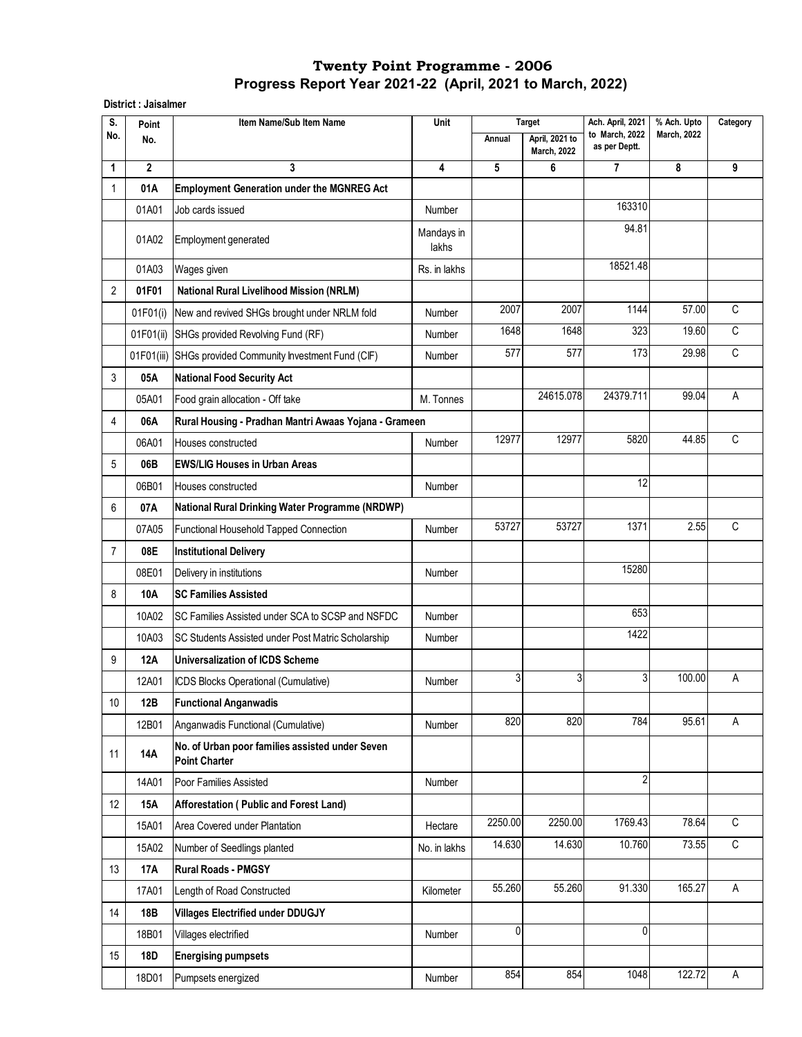**District : Jaisalmer**

| S.             | Point        | Item Name/Sub Item Name                                                 | Unit                    | Ach. April, 2021<br><b>Target</b> |                                      | % Ach. Upto                     | Category           |              |
|----------------|--------------|-------------------------------------------------------------------------|-------------------------|-----------------------------------|--------------------------------------|---------------------------------|--------------------|--------------|
| No.            | No.          |                                                                         |                         | Annual                            | April, 2021 to<br><b>March, 2022</b> | to March, 2022<br>as per Deptt. | <b>March, 2022</b> |              |
| 1              | $\mathbf{2}$ | 3                                                                       | $\overline{\mathbf{4}}$ | 5                                 | 6                                    | 7                               | 8                  | 9            |
| 1              | 01A          | <b>Employment Generation under the MGNREG Act</b>                       |                         |                                   |                                      |                                 |                    |              |
|                | 01A01        | Job cards issued                                                        | Number                  |                                   |                                      | 163310                          |                    |              |
|                | 01A02        | Employment generated                                                    | Mandays in<br>lakhs     |                                   |                                      | 94.81                           |                    |              |
|                | 01A03        | Wages given                                                             | Rs. in lakhs            |                                   |                                      | 18521.48                        |                    |              |
| $\overline{2}$ | 01F01        | <b>National Rural Livelihood Mission (NRLM)</b>                         |                         |                                   |                                      |                                 |                    |              |
|                | 01F01(i)     | New and revived SHGs brought under NRLM fold                            | Number                  | 2007                              | 2007                                 | 1144                            | 57.00              | C            |
|                | 01F01(ii)    | SHGs provided Revolving Fund (RF)                                       | Number                  | 1648                              | 1648                                 | 323                             | 19.60              | C            |
|                |              | 01F01(iii) SHGs provided Community Investment Fund (CIF)                | Number                  | 577                               | 577                                  | 173                             | 29.98              | $\mathsf{C}$ |
| 3              | 05A          | <b>National Food Security Act</b>                                       |                         |                                   |                                      |                                 |                    |              |
|                | 05A01        | Food grain allocation - Off take                                        | M. Tonnes               |                                   | 24615.078                            | 24379.711                       | 99.04              | Α            |
| 4              | 06A          | Rural Housing - Pradhan Mantri Awaas Yojana - Grameen                   |                         |                                   |                                      |                                 |                    |              |
|                | 06A01        | Houses constructed                                                      | Number                  | 12977                             | 12977                                | 5820                            | 44.85              | C            |
| 5              | 06B          | <b>EWS/LIG Houses in Urban Areas</b>                                    |                         |                                   |                                      |                                 |                    |              |
|                | 06B01        | Houses constructed                                                      | Number                  |                                   |                                      | 12                              |                    |              |
| 6              | 07A          | <b>National Rural Drinking Water Programme (NRDWP)</b>                  |                         |                                   |                                      |                                 |                    |              |
|                | 07A05        | Functional Household Tapped Connection                                  | Number                  | 53727                             | 53727                                | 1371                            | 2.55               | C            |
| $\overline{7}$ | 08E          | <b>Institutional Delivery</b>                                           |                         |                                   |                                      |                                 |                    |              |
|                | 08E01        | Delivery in institutions                                                | Number                  |                                   |                                      | 15280                           |                    |              |
| 8              | <b>10A</b>   | <b>SC Families Assisted</b>                                             |                         |                                   |                                      |                                 |                    |              |
|                | 10A02        | SC Families Assisted under SCA to SCSP and NSFDC                        | Number                  |                                   |                                      | 653                             |                    |              |
|                | 10A03        | SC Students Assisted under Post Matric Scholarship                      | Number                  |                                   |                                      | 1422                            |                    |              |
| 9              | <b>12A</b>   | Universalization of ICDS Scheme                                         |                         |                                   |                                      |                                 |                    |              |
|                | 12A01        | ICDS Blocks Operational (Cumulative)                                    | Number                  | 3                                 | 3                                    | 3                               | 100.00             | А            |
| 10             | 12B          | <b>Functional Anganwadis</b>                                            |                         |                                   |                                      |                                 |                    |              |
|                | 12B01        | Anganwadis Functional (Cumulative)                                      | Number                  | 820                               | 820                                  | 784                             | 95.61              | A            |
| 11             | 14A          | No. of Urban poor families assisted under Seven<br><b>Point Charter</b> |                         |                                   |                                      |                                 |                    |              |
|                | 14A01        | Poor Families Assisted                                                  | Number                  |                                   |                                      | $\overline{2}$                  |                    |              |
| 12             | <b>15A</b>   | Afforestation (Public and Forest Land)                                  |                         |                                   |                                      |                                 |                    |              |
|                | 15A01        | Area Covered under Plantation                                           | Hectare                 | 2250.00                           | 2250.00                              | 1769.43                         | 78.64              | C            |
|                | 15A02        | Number of Seedlings planted                                             | No. in lakhs            | 14.630                            | 14.630                               | 10.760                          | 73.55              | $\mathsf C$  |
| 13             | 17A          | <b>Rural Roads - PMGSY</b>                                              |                         |                                   |                                      |                                 |                    |              |
|                | 17A01        | Length of Road Constructed                                              | Kilometer               | 55.260                            | 55.260                               | 91.330                          | 165.27             | A            |
| 14             | 18B          | <b>Villages Electrified under DDUGJY</b>                                |                         |                                   |                                      |                                 |                    |              |
|                | 18B01        | Villages electrified                                                    | Number                  | 0                                 |                                      | 0                               |                    |              |
| 15             | 18D          | <b>Energising pumpsets</b>                                              |                         |                                   |                                      |                                 |                    |              |
|                | 18D01        | Pumpsets energized                                                      | Number                  | 854                               | 854                                  | 1048                            | 122.72             | A            |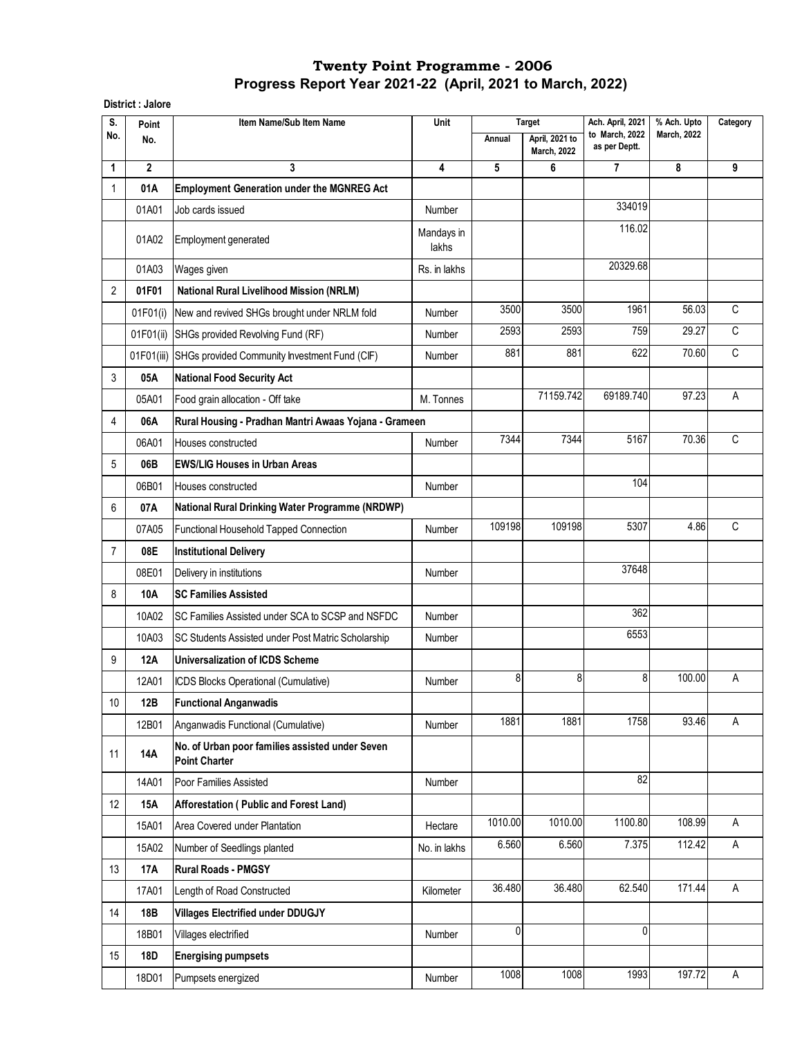**District : Jalore**

| S.             | Point        | Item Name/Sub Item Name                                                 | Unit                | <b>Target</b> |                                             | Ach. April, 2021                |                    | Category     |
|----------------|--------------|-------------------------------------------------------------------------|---------------------|---------------|---------------------------------------------|---------------------------------|--------------------|--------------|
| No.            | No.          |                                                                         |                     | Annual        | <b>April. 2021 to</b><br><b>March, 2022</b> | to March, 2022<br>as per Deptt. | <b>March, 2022</b> |              |
| 1              | $\mathbf{2}$ | 3                                                                       | 4                   | 5             | 6                                           | 7                               | 8                  | 9            |
| 1              | 01A          | <b>Employment Generation under the MGNREG Act</b>                       |                     |               |                                             |                                 |                    |              |
|                | 01A01        | Job cards issued                                                        | Number              |               |                                             | 334019                          |                    |              |
|                | 01A02        | Employment generated                                                    | Mandays in<br>lakhs |               |                                             | 116.02                          |                    |              |
|                | 01A03        | Wages given                                                             | Rs. in lakhs        |               |                                             | 20329.68                        |                    |              |
| 2              | 01F01        | <b>National Rural Livelihood Mission (NRLM)</b>                         |                     |               |                                             |                                 |                    |              |
|                | 01F01(i)     | New and revived SHGs brought under NRLM fold                            | Number              | 3500          | 3500                                        | 1961                            | 56.03              | C            |
|                | 01F01(ii)    | SHGs provided Revolving Fund (RF)                                       | Number              | 2593          | 2593                                        | 759                             | 29.27              | $\mathsf C$  |
|                | 01F01(iii)   | SHGs provided Community Investment Fund (CIF)                           | Number              | 881           | 881                                         | 622                             | 70.60              | $\mathsf{C}$ |
| 3              | 05A          | <b>National Food Security Act</b>                                       |                     |               |                                             |                                 |                    |              |
|                | 05A01        | Food grain allocation - Off take                                        | M. Tonnes           |               | 71159.742                                   | 69189.740                       | 97.23              | A            |
| 4              | 06A          | Rural Housing - Pradhan Mantri Awaas Yojana - Grameen                   |                     |               |                                             |                                 |                    |              |
|                | 06A01        | Houses constructed                                                      | Number              | 7344          | 7344                                        | 5167                            | 70.36              | $\mathsf C$  |
| 5              | 06B          | <b>EWS/LIG Houses in Urban Areas</b>                                    |                     |               |                                             |                                 |                    |              |
|                | 06B01        | Houses constructed                                                      | Number              |               |                                             | 104                             |                    |              |
| 6              | 07A          | <b>National Rural Drinking Water Programme (NRDWP)</b>                  |                     |               |                                             |                                 |                    |              |
|                | 07A05        | Functional Household Tapped Connection                                  | Number              | 109198        | 109198                                      | 5307                            | 4.86               | C            |
| $\overline{7}$ | 08E          | <b>Institutional Delivery</b>                                           |                     |               |                                             |                                 |                    |              |
|                | 08E01        | Delivery in institutions                                                | Number              |               |                                             | 37648                           |                    |              |
| 8              | <b>10A</b>   | <b>SC Families Assisted</b>                                             |                     |               |                                             |                                 |                    |              |
|                | 10A02        | SC Families Assisted under SCA to SCSP and NSFDC                        | Number              |               |                                             | 362                             |                    |              |
|                | 10A03        | SC Students Assisted under Post Matric Scholarship                      | Number              |               |                                             | 6553                            |                    |              |
| 9              | <b>12A</b>   | <b>Universalization of ICDS Scheme</b>                                  |                     |               |                                             |                                 |                    |              |
|                | 12A01        | ICDS Blocks Operational (Cumulative)                                    | Number              | 8             | 8                                           | 8                               | 100.00             | Α            |
| 10             | 12B          | <b>Functional Anganwadis</b>                                            |                     |               |                                             |                                 |                    |              |
|                | 12B01        | Anganwadis Functional (Cumulative)                                      | Number              | 1881          | 1881                                        | 1758                            | 93.46              | A            |
| 11             | 14A          | No. of Urban poor families assisted under Seven<br><b>Point Charter</b> |                     |               |                                             |                                 |                    |              |
|                | 14A01        | Poor Families Assisted                                                  | Number              |               |                                             | 82                              |                    |              |
| 12             | <b>15A</b>   | Afforestation (Public and Forest Land)                                  |                     |               |                                             |                                 |                    |              |
|                | 15A01        | Area Covered under Plantation                                           | Hectare             | 1010.00       | 1010.00                                     | 1100.80                         | 108.99             | A            |
|                | 15A02        | Number of Seedlings planted                                             | No. in lakhs        | 6.560         | 6.560                                       | 7.375                           | 112.42             | Α            |
| 13             | 17A          | <b>Rural Roads - PMGSY</b>                                              |                     |               |                                             |                                 |                    |              |
|                | 17A01        | Length of Road Constructed                                              | Kilometer           | 36.480        | 36.480                                      | 62.540                          | 171.44             | A            |
| 14             | 18B          | <b>Villages Electrified under DDUGJY</b>                                |                     |               |                                             |                                 |                    |              |
|                | 18B01        | Villages electrified                                                    | Number              | 0             |                                             | 0                               |                    |              |
| 15             | 18D          | <b>Energising pumpsets</b>                                              |                     |               |                                             |                                 |                    |              |
|                | 18D01        | Pumpsets energized                                                      | Number              | 1008          | 1008                                        | 1993                            | 197.72             | A            |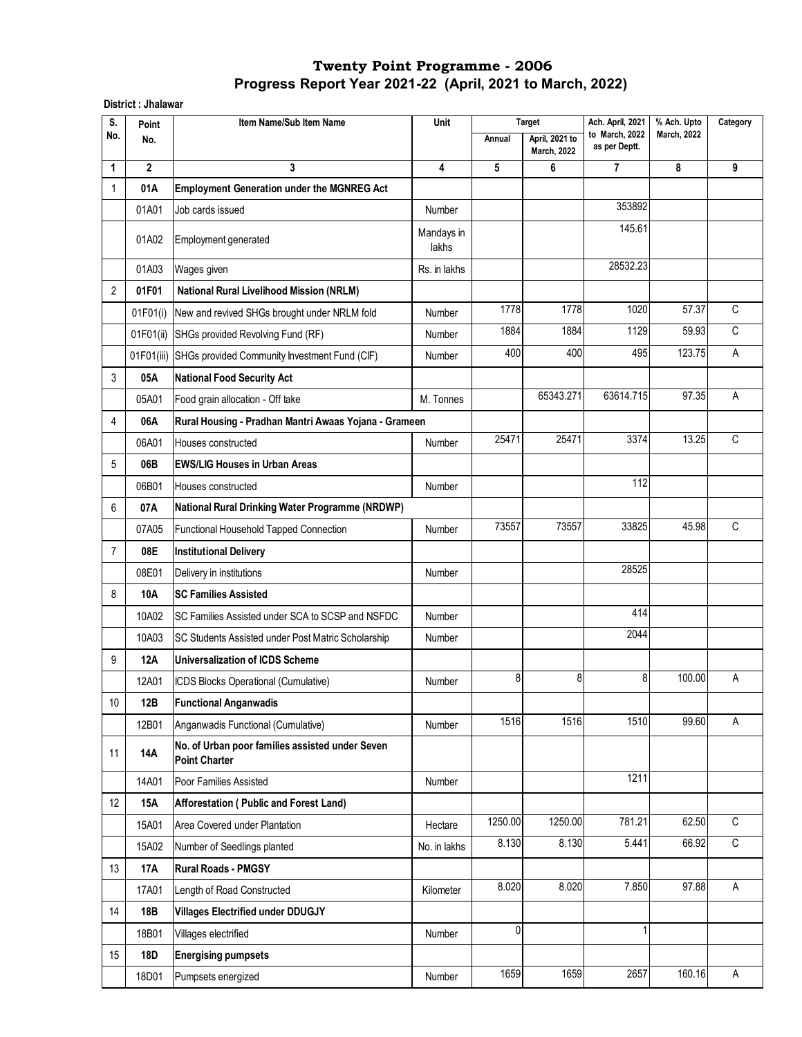**District : Jhalawar** 

| S.             | Point          | Item Name/Sub Item Name                                                 | Unit                |         | <b>Target</b>                        | Ach. April, 2021                | % Ach. Upto        | Category |
|----------------|----------------|-------------------------------------------------------------------------|---------------------|---------|--------------------------------------|---------------------------------|--------------------|----------|
| No.            | No.            |                                                                         |                     | Annual  | April, 2021 to<br><b>March, 2022</b> | to March, 2022<br>as per Deptt. | <b>March, 2022</b> |          |
| 1              | $\overline{2}$ | 3                                                                       | 4                   | 5       | 6                                    | 7                               | 8                  | 9        |
| 1              | 01A            | <b>Employment Generation under the MGNREG Act</b>                       |                     |         |                                      |                                 |                    |          |
|                | 01A01          | Job cards issued                                                        | Number              |         |                                      | 353892                          |                    |          |
|                | 01A02          | <b>Employment generated</b>                                             | Mandays in<br>lakhs |         |                                      | 145.61                          |                    |          |
|                | 01A03          | Wages given                                                             | Rs. in lakhs        |         |                                      | 28532.23                        |                    |          |
| $\overline{2}$ | 01F01          | <b>National Rural Livelihood Mission (NRLM)</b>                         |                     |         |                                      |                                 |                    |          |
|                | 01F01(i)       | New and revived SHGs brought under NRLM fold                            | Number              | 1778    | 1778                                 | 1020                            | 57.37              | C        |
|                | 01F01(ii)      | SHGs provided Revolving Fund (RF)                                       | Number              | 1884    | 1884                                 | 1129                            | 59.93              | C        |
|                | 01F01(iii)     | SHGs provided Community Investment Fund (CIF)                           | Number              | 400     | 400                                  | 495                             | 123.75             | A        |
| 3              | 05A            | <b>National Food Security Act</b>                                       |                     |         |                                      |                                 |                    |          |
|                | 05A01          | Food grain allocation - Off take                                        | M. Tonnes           |         | 65343.271                            | 63614.715                       | 97.35              | Α        |
| 4              | 06A            | Rural Housing - Pradhan Mantri Awaas Yojana - Grameen                   |                     |         |                                      |                                 |                    |          |
|                | 06A01          | Houses constructed                                                      | Number              | 25471   | 25471                                | 3374                            | 13.25              | C        |
| 5              | 06B            | <b>EWS/LIG Houses in Urban Areas</b>                                    |                     |         |                                      |                                 |                    |          |
|                | 06B01          | Houses constructed                                                      | Number              |         |                                      | 112                             |                    |          |
| 6              | 07A            | National Rural Drinking Water Programme (NRDWP)                         |                     |         |                                      |                                 |                    |          |
|                | 07A05          | Functional Household Tapped Connection                                  | Number              | 73557   | 73557                                | 33825                           | 45.98              | C        |
| $\overline{7}$ | 08E            | <b>Institutional Delivery</b>                                           |                     |         |                                      |                                 |                    |          |
|                | 08E01          | Delivery in institutions                                                | Number              |         |                                      | 28525                           |                    |          |
| 8              | 10A            | <b>SC Families Assisted</b>                                             |                     |         |                                      |                                 |                    |          |
|                | 10A02          | SC Families Assisted under SCA to SCSP and NSFDC                        | Number              |         |                                      | 414                             |                    |          |
|                | 10A03          | SC Students Assisted under Post Matric Scholarship                      | Number              |         |                                      | 2044                            |                    |          |
| 9              | 12A            | <b>Universalization of ICDS Scheme</b>                                  |                     |         |                                      |                                 |                    |          |
|                | 12A01          | ICDS Blocks Operational (Cumulative)                                    | Number              | 8       | 8                                    | 8                               | 100.00             | Α        |
| 10             | 12B            | <b>Functional Anganwadis</b>                                            |                     |         |                                      |                                 |                    |          |
|                | 12B01          | Anganwadis Functional (Cumulative)                                      | Number              | 1516    | 1516                                 | 1510                            | 99.60              | A        |
| 11             | 14A            | No. of Urban poor families assisted under Seven<br><b>Point Charter</b> |                     |         |                                      |                                 |                    |          |
|                | 14A01          | Poor Families Assisted                                                  | Number              |         |                                      | 1211                            |                    |          |
| 12             | 15A            | Afforestation (Public and Forest Land)                                  |                     |         |                                      |                                 |                    |          |
|                | 15A01          | Area Covered under Plantation                                           | Hectare             | 1250.00 | 1250.00                              | 781.21                          | 62.50              | C        |
|                | 15A02          | Number of Seedlings planted                                             | No. in lakhs        | 8.130   | 8.130                                | 5.441                           | 66.92              | C        |
| 13             | 17A            | <b>Rural Roads - PMGSY</b>                                              |                     |         |                                      |                                 |                    |          |
|                | 17A01          | Length of Road Constructed                                              | Kilometer           | 8.020   | 8.020                                | 7.850                           | 97.88              | A        |
| 14             | 18B            | <b>Villages Electrified under DDUGJY</b>                                |                     |         |                                      |                                 |                    |          |
|                | 18B01          | Villages electrified                                                    | Number              | 0       |                                      | 1                               |                    |          |
| 15             | 18D            | <b>Energising pumpsets</b>                                              |                     |         |                                      |                                 |                    |          |
|                | 18D01          | Pumpsets energized                                                      | Number              | 1659    | 1659                                 | 2657                            | 160.16             | A        |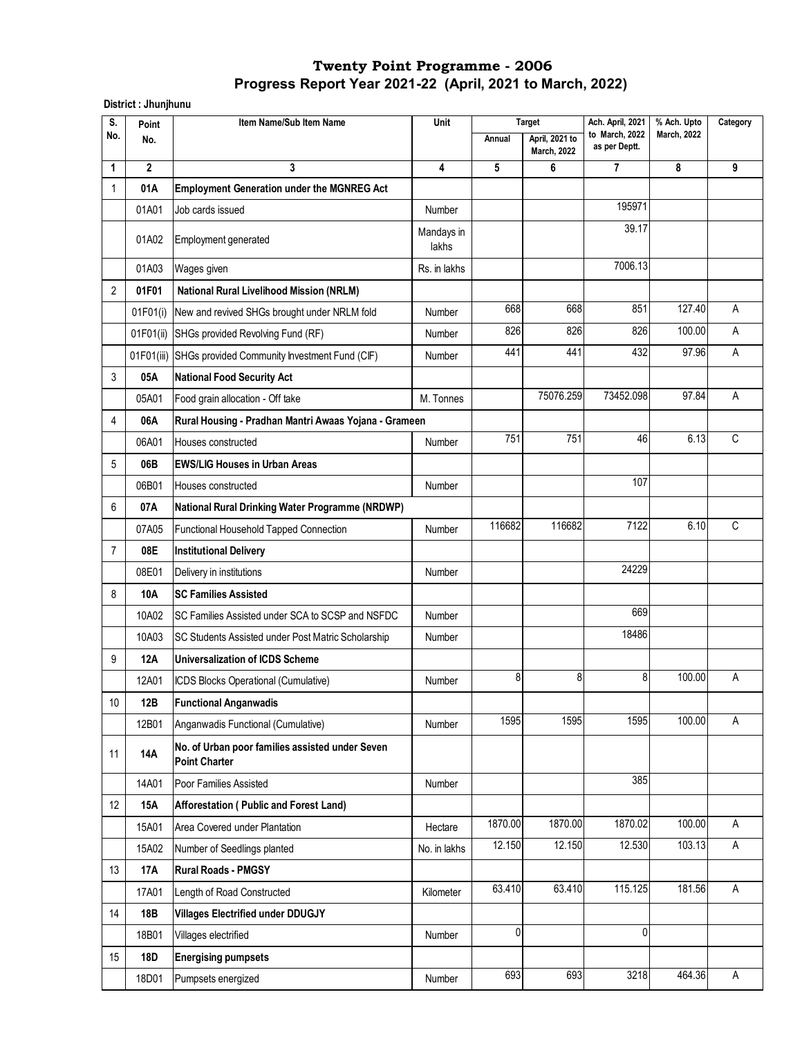**District : Jhunjhunu**

| S.             | Point        | Item Name/Sub Item Name                                                 | Unit                |         | <b>Target</b>                        | Ach. April, 2021                | % Ach. Upto        | Category |
|----------------|--------------|-------------------------------------------------------------------------|---------------------|---------|--------------------------------------|---------------------------------|--------------------|----------|
| No.            | No.          |                                                                         |                     | Annual  | April, 2021 to<br><b>March, 2022</b> | to March, 2022<br>as per Deptt. | <b>March, 2022</b> |          |
| 1              | $\mathbf{2}$ | 3                                                                       | 4                   | 5       | 6                                    | 7                               | 8                  | 9        |
| 1              | 01A          | <b>Employment Generation under the MGNREG Act</b>                       |                     |         |                                      |                                 |                    |          |
|                | 01A01        | Job cards issued                                                        | Number              |         |                                      | 195971                          |                    |          |
|                | 01A02        | Employment generated                                                    | Mandays in<br>lakhs |         |                                      | 39.17                           |                    |          |
|                | 01A03        | Wages given                                                             | Rs. in lakhs        |         |                                      | 7006.13                         |                    |          |
| 2              | 01F01        | <b>National Rural Livelihood Mission (NRLM)</b>                         |                     |         |                                      |                                 |                    |          |
|                | 01F01(i)     | New and revived SHGs brought under NRLM fold                            | Number              | 668     | 668                                  | 851                             | 127.40             | А        |
|                | 01F01(ii)    | SHGs provided Revolving Fund (RF)                                       | Number              | 826     | 826                                  | 826                             | 100.00             | Α        |
|                | 01F01(iii)   | SHGs provided Community Investment Fund (CIF)                           | Number              | 441     | 441                                  | 432                             | 97.96              | Α        |
| 3              | 05A          | <b>National Food Security Act</b>                                       |                     |         |                                      |                                 |                    |          |
|                | 05A01        | Food grain allocation - Off take                                        | M. Tonnes           |         | 75076.259                            | 73452.098                       | 97.84              | Α        |
| 4              | 06A          | Rural Housing - Pradhan Mantri Awaas Yojana - Grameen                   |                     |         |                                      |                                 |                    |          |
|                | 06A01        | Houses constructed                                                      | Number              | 751     | 751                                  | 46                              | 6.13               | C        |
| 5              | 06B          | <b>EWS/LIG Houses in Urban Areas</b>                                    |                     |         |                                      |                                 |                    |          |
|                | 06B01        | Houses constructed                                                      | Number              |         |                                      | 107                             |                    |          |
| 6              | 07A          | <b>National Rural Drinking Water Programme (NRDWP)</b>                  |                     |         |                                      |                                 |                    |          |
|                | 07A05        | Functional Household Tapped Connection                                  | Number              | 116682  | 116682                               | 7122                            | 6.10               | C        |
| $\overline{7}$ | 08E          | <b>Institutional Delivery</b>                                           |                     |         |                                      |                                 |                    |          |
|                | 08E01        | Delivery in institutions                                                | Number              |         |                                      | 24229                           |                    |          |
| 8              | 10A          | <b>SC Families Assisted</b>                                             |                     |         |                                      |                                 |                    |          |
|                | 10A02        | SC Families Assisted under SCA to SCSP and NSFDC                        | Number              |         |                                      | 669                             |                    |          |
|                | 10A03        | SC Students Assisted under Post Matric Scholarship                      | Number              |         |                                      | 18486                           |                    |          |
| 9              | <b>12A</b>   | <b>Universalization of ICDS Scheme</b>                                  |                     |         |                                      |                                 |                    |          |
|                | 12A01        | ICDS Blocks Operational (Cumulative)                                    | Number              | 8       | 8                                    | 8                               | 100.00             | А        |
| 10             | 12B          | <b>Functional Anganwadis</b>                                            |                     |         |                                      |                                 |                    |          |
|                | 12B01        | Anganwadis Functional (Cumulative)                                      | Number              | 1595    | 1595                                 | 1595                            | 100.00             | A        |
| 11             | 14A          | No. of Urban poor families assisted under Seven<br><b>Point Charter</b> |                     |         |                                      |                                 |                    |          |
|                | 14A01        | Poor Families Assisted                                                  | Number              |         |                                      | 385                             |                    |          |
| 12             | 15A          | Afforestation (Public and Forest Land)                                  |                     |         |                                      |                                 |                    |          |
|                | 15A01        | Area Covered under Plantation                                           | Hectare             | 1870.00 | 1870.00                              | 1870.02                         | 100.00             | A        |
|                | 15A02        | Number of Seedlings planted                                             | No. in lakhs        | 12.150  | 12.150                               | 12.530                          | 103.13             | A        |
| 13             | 17A          | <b>Rural Roads - PMGSY</b>                                              |                     |         |                                      |                                 |                    |          |
|                | 17A01        | Length of Road Constructed                                              | Kilometer           | 63.410  | 63.410                               | 115.125                         | 181.56             | A        |
| 14             | 18B          | <b>Villages Electrified under DDUGJY</b>                                |                     |         |                                      |                                 |                    |          |
|                | 18B01        | Villages electrified                                                    | Number              | 0       |                                      | $\mathbf{0}$                    |                    |          |
| 15             | 18D          | <b>Energising pumpsets</b>                                              |                     |         |                                      |                                 |                    |          |
|                | 18D01        | Pumpsets energized                                                      | Number              | 693     | 693                                  | 3218                            | 464.36             | A        |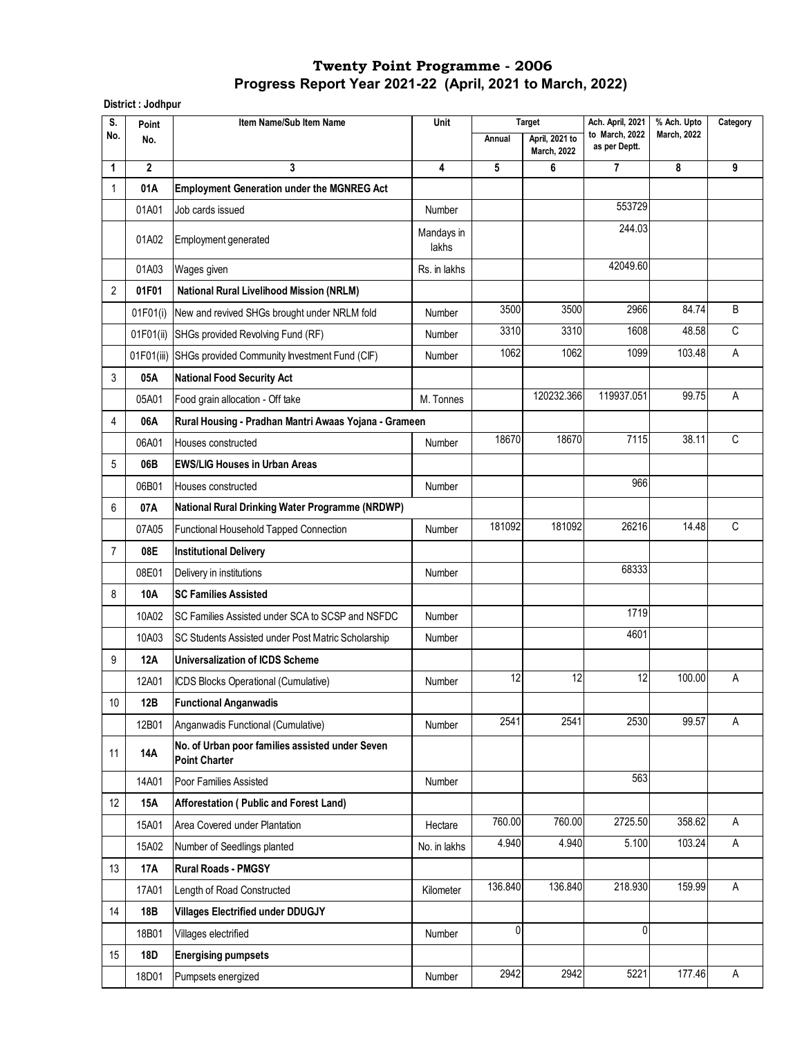**District : Jodhpur** 

| S.             | Point        | Item Name/Sub Item Name                                                 | Unit                |         | <b>Target</b>                        | Ach. April, 2021                | % Ach. Upto        | Category |
|----------------|--------------|-------------------------------------------------------------------------|---------------------|---------|--------------------------------------|---------------------------------|--------------------|----------|
| No.            | No.          |                                                                         |                     | Annual  | April, 2021 to<br><b>March, 2022</b> | to March, 2022<br>as per Deptt. | <b>March, 2022</b> |          |
| 1              | $\mathbf{2}$ | 3                                                                       | 4                   | 5       | 6                                    | 7                               | 8                  | 9        |
| 1              | 01A          | <b>Employment Generation under the MGNREG Act</b>                       |                     |         |                                      |                                 |                    |          |
|                | 01A01        | Job cards issued                                                        | Number              |         |                                      | 553729                          |                    |          |
|                | 01A02        | <b>Employment generated</b>                                             | Mandays in<br>lakhs |         |                                      | 244.03                          |                    |          |
|                | 01A03        | Wages given                                                             | Rs. in lakhs        |         |                                      | 42049.60                        |                    |          |
| $\overline{2}$ | 01F01        | <b>National Rural Livelihood Mission (NRLM)</b>                         |                     |         |                                      |                                 |                    |          |
|                | 01F01(i)     | New and revived SHGs brought under NRLM fold                            | Number              | 3500    | 3500                                 | 2966                            | 84.74              | B        |
|                | 01F01(ii)    | SHGs provided Revolving Fund (RF)                                       | Number              | 3310    | 3310                                 | 1608                            | 48.58              | C        |
|                | 01F01(iii)   | SHGs provided Community Investment Fund (CIF)                           | Number              | 1062    | 1062                                 | 1099                            | 103.48             | Α        |
| 3              | 05A          | <b>National Food Security Act</b>                                       |                     |         |                                      |                                 |                    |          |
|                | 05A01        | Food grain allocation - Off take                                        | M. Tonnes           |         | 120232.366                           | 119937.051                      | 99.75              | Α        |
| 4              | 06A          | Rural Housing - Pradhan Mantri Awaas Yojana - Grameen                   |                     |         |                                      |                                 |                    |          |
|                | 06A01        | Houses constructed                                                      | Number              | 18670   | 18670                                | 7115                            | 38.11              | C        |
| 5              | 06B          | <b>EWS/LIG Houses in Urban Areas</b>                                    |                     |         |                                      |                                 |                    |          |
|                | 06B01        | Houses constructed                                                      | Number              |         |                                      | 966                             |                    |          |
| 6              | 07A          | National Rural Drinking Water Programme (NRDWP)                         |                     |         |                                      |                                 |                    |          |
|                | 07A05        | Functional Household Tapped Connection                                  | Number              | 181092  | 181092                               | 26216                           | 14.48              | C        |
| $\overline{7}$ | 08E          | <b>Institutional Delivery</b>                                           |                     |         |                                      |                                 |                    |          |
|                | 08E01        | Delivery in institutions                                                | Number              |         |                                      | 68333                           |                    |          |
| 8              | 10A          | <b>SC Families Assisted</b>                                             |                     |         |                                      |                                 |                    |          |
|                | 10A02        | SC Families Assisted under SCA to SCSP and NSFDC                        | Number              |         |                                      | 1719                            |                    |          |
|                | 10A03        | SC Students Assisted under Post Matric Scholarship                      | Number              |         |                                      | 4601                            |                    |          |
| 9              | 12A          | Universalization of ICDS Scheme                                         |                     |         |                                      |                                 |                    |          |
|                | 12A01        | ICDS Blocks Operational (Cumulative)                                    | Number              | 12      | 12                                   | 12                              | 100.00             | А        |
| 10             | 12B          | <b>Functional Anganwadis</b>                                            |                     |         |                                      |                                 |                    |          |
|                | 12B01        | Anganwadis Functional (Cumulative)                                      | Number              | 2541    | 2541                                 | 2530                            | 99.57              | A        |
| 11             | 14A          | No. of Urban poor families assisted under Seven<br><b>Point Charter</b> |                     |         |                                      |                                 |                    |          |
|                | 14A01        | Poor Families Assisted                                                  | Number              |         |                                      | 563                             |                    |          |
| 12             | 15A          | Afforestation (Public and Forest Land)                                  |                     |         |                                      |                                 |                    |          |
|                | 15A01        | Area Covered under Plantation                                           | Hectare             | 760.00  | 760.00                               | 2725.50                         | 358.62             | A        |
|                | 15A02        | Number of Seedlings planted                                             | No. in lakhs        | 4.940   | 4.940                                | 5.100                           | 103.24             | A        |
| 13             | 17A          | <b>Rural Roads - PMGSY</b>                                              |                     |         |                                      |                                 |                    |          |
|                | 17A01        | Length of Road Constructed                                              | Kilometer           | 136.840 | 136.840                              | 218.930                         | 159.99             | A        |
| 14             | 18B          | <b>Villages Electrified under DDUGJY</b>                                |                     |         |                                      |                                 |                    |          |
|                | 18B01        | Villages electrified                                                    | Number              | 0       |                                      | $\mathbf{0}$                    |                    |          |
| 15             | 18D          | <b>Energising pumpsets</b>                                              |                     |         |                                      |                                 |                    |          |
|                | 18D01        | Pumpsets energized                                                      | Number              | 2942    | 2942                                 | 5221                            | 177.46             | A        |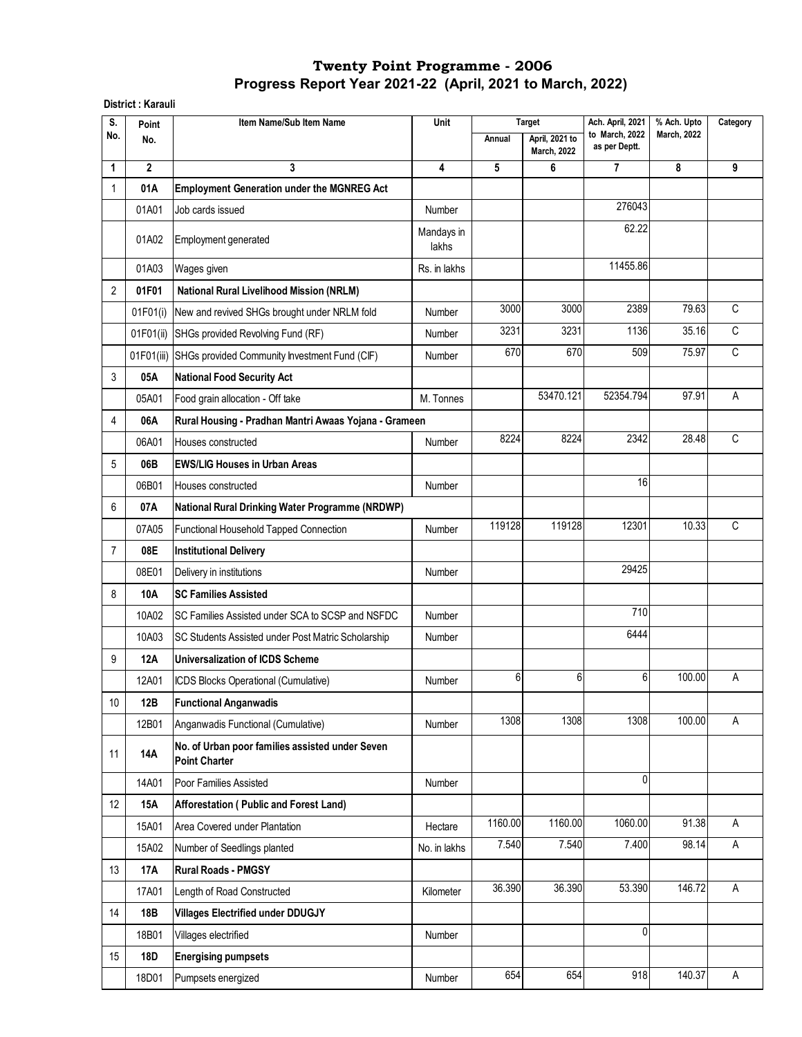#### **District : Karauli**

| S.             | Point          | Item Name/Sub Item Name                                                 | Unit                |         | <b>Target</b>                        | Ach. April, 2021                | % Ach. Upto        | Category    |
|----------------|----------------|-------------------------------------------------------------------------|---------------------|---------|--------------------------------------|---------------------------------|--------------------|-------------|
| No.            | No.            |                                                                         |                     | Annual  | April, 2021 to<br><b>March, 2022</b> | to March, 2022<br>as per Deptt. | <b>March, 2022</b> |             |
| 1              | $\overline{2}$ | 3                                                                       | 4                   | 5       | 6                                    | 7                               | 8                  | 9           |
| 1              | 01A            | <b>Employment Generation under the MGNREG Act</b>                       |                     |         |                                      |                                 |                    |             |
|                | 01A01          | Job cards issued                                                        | Number              |         |                                      | 276043                          |                    |             |
|                | 01A02          | Employment generated                                                    | Mandays in<br>lakhs |         |                                      | 62.22                           |                    |             |
|                | 01A03          | Wages given                                                             | Rs. in lakhs        |         |                                      | 11455.86                        |                    |             |
| $\overline{2}$ | 01F01          | <b>National Rural Livelihood Mission (NRLM)</b>                         |                     |         |                                      |                                 |                    |             |
|                | 01F01(i)       | New and revived SHGs brought under NRLM fold                            | Number              | 3000    | 3000                                 | 2389                            | 79.63              | C           |
|                | 01F01(ii)      | SHGs provided Revolving Fund (RF)                                       | Number              | 3231    | 3231                                 | 1136                            | 35.16              | $\mathsf C$ |
|                | 01F01(iii)     | SHGs provided Community Investment Fund (CIF)                           | Number              | 670     | 670                                  | 509                             | 75.97              | C           |
| 3              | 05A            | <b>National Food Security Act</b>                                       |                     |         |                                      |                                 |                    |             |
|                | 05A01          | Food grain allocation - Off take                                        | M. Tonnes           |         | 53470.121                            | 52354.794                       | 97.91              | А           |
| 4              | 06A            | Rural Housing - Pradhan Mantri Awaas Yojana - Grameen                   |                     |         |                                      |                                 |                    |             |
|                | 06A01          | Houses constructed                                                      | Number              | 8224    | 8224                                 | 2342                            | 28.48              | C           |
| 5              | 06B            | <b>EWS/LIG Houses in Urban Areas</b>                                    |                     |         |                                      |                                 |                    |             |
|                | 06B01          | Houses constructed                                                      | Number              |         |                                      | 16                              |                    |             |
| 6              | 07A            | National Rural Drinking Water Programme (NRDWP)                         |                     |         |                                      |                                 |                    |             |
|                | 07A05          | Functional Household Tapped Connection                                  | Number              | 119128  | 119128                               | 12301                           | 10.33              | C           |
| $\overline{7}$ | 08E            | <b>Institutional Delivery</b>                                           |                     |         |                                      |                                 |                    |             |
|                | 08E01          | Delivery in institutions                                                | Number              |         |                                      | 29425                           |                    |             |
| 8              | 10A            | <b>SC Families Assisted</b>                                             |                     |         |                                      |                                 |                    |             |
|                | 10A02          | SC Families Assisted under SCA to SCSP and NSFDC                        | Number              |         |                                      | 710                             |                    |             |
|                | 10A03          | SC Students Assisted under Post Matric Scholarship                      | Number              |         |                                      | 6444                            |                    |             |
| 9              | 12A            | <b>Universalization of ICDS Scheme</b>                                  |                     |         |                                      |                                 |                    |             |
|                | 12A01          | ICDS Blocks Operational (Cumulative)                                    | Number              | 6       | 6                                    | 6                               | 100.00             | Α           |
| $10\,$         | 12B            | <b>Functional Anganwadis</b>                                            |                     |         |                                      |                                 |                    |             |
|                | 12B01          | Anganwadis Functional (Cumulative)                                      | Number              | 1308    | 1308                                 | 1308                            | 100.00             | Α           |
| 11             | 14A            | No. of Urban poor families assisted under Seven<br><b>Point Charter</b> |                     |         |                                      |                                 |                    |             |
|                | 14A01          | Poor Families Assisted                                                  | Number              |         |                                      | $\mathbf{0}$                    |                    |             |
| 12             | 15A            | Afforestation (Public and Forest Land)                                  |                     |         |                                      |                                 |                    |             |
|                | 15A01          | Area Covered under Plantation                                           | Hectare             | 1160.00 | 1160.00                              | 1060.00                         | 91.38              | A           |
|                | 15A02          | Number of Seedlings planted                                             | No. in lakhs        | 7.540   | 7.540                                | 7.400                           | 98.14              | A           |
| 13             | 17A            | <b>Rural Roads - PMGSY</b>                                              |                     |         |                                      |                                 |                    |             |
|                | 17A01          | Length of Road Constructed                                              | Kilometer           | 36.390  | 36.390                               | 53.390                          | 146.72             | A           |
| 14             | 18B            | <b>Villages Electrified under DDUGJY</b>                                |                     |         |                                      |                                 |                    |             |
|                | 18B01          | Villages electrified                                                    | Number              |         |                                      | 0                               |                    |             |
| 15             | <b>18D</b>     | <b>Energising pumpsets</b>                                              |                     |         |                                      |                                 |                    |             |
|                | 18D01          | Pumpsets energized                                                      | Number              | 654     | 654                                  | 918                             | 140.37             | A           |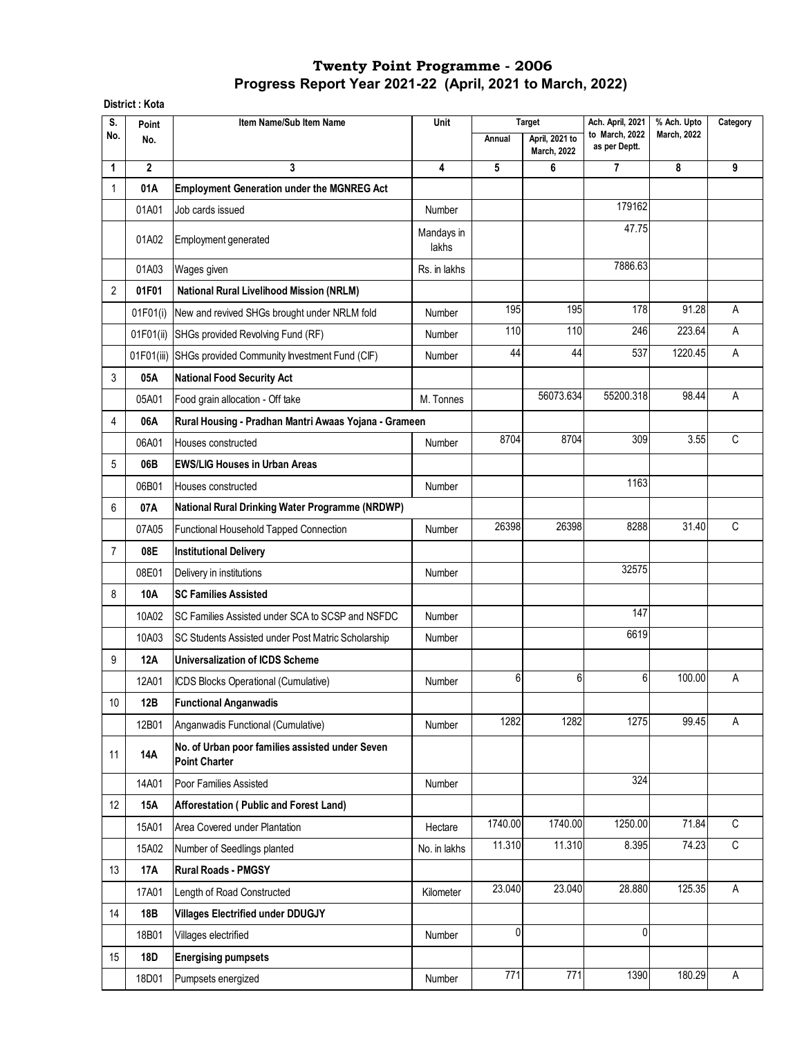#### **District : Kota**

| S.             | Point          | Item Name/Sub Item Name                                                 | Unit                |         | <b>Target</b>                        | Ach. April, 2021                | % Ach. Upto        | Category |
|----------------|----------------|-------------------------------------------------------------------------|---------------------|---------|--------------------------------------|---------------------------------|--------------------|----------|
| No.            | No.            |                                                                         |                     | Annual  | April, 2021 to<br><b>March, 2022</b> | to March, 2022<br>as per Deptt. | <b>March, 2022</b> |          |
| 1              | $\overline{2}$ | 3                                                                       | 4                   | 5       | 6                                    | $\overline{7}$                  | 8                  | 9        |
| $\mathbf{1}$   | 01A            | <b>Employment Generation under the MGNREG Act</b>                       |                     |         |                                      |                                 |                    |          |
|                | 01A01          | Job cards issued                                                        | Number              |         |                                      | 179162                          |                    |          |
|                | 01A02          | Employment generated                                                    | Mandays in<br>lakhs |         |                                      | 47.75                           |                    |          |
|                | 01A03          | Wages given                                                             | Rs. in lakhs        |         |                                      | 7886.63                         |                    |          |
| 2              | 01F01          | <b>National Rural Livelihood Mission (NRLM)</b>                         |                     |         |                                      |                                 |                    |          |
|                | 01F01(i)       | New and revived SHGs brought under NRLM fold                            | Number              | 195     | 195                                  | 178                             | 91.28              | A        |
|                | 01F01(ii)      | SHGs provided Revolving Fund (RF)                                       | Number              | 110     | 110                                  | 246                             | 223.64             | A        |
|                | 01F01(iii)     | SHGs provided Community Investment Fund (CIF)                           | Number              | 44      | 44                                   | 537                             | 1220.45            | A        |
| 3              | 05A            | <b>National Food Security Act</b>                                       |                     |         |                                      |                                 |                    |          |
|                | 05A01          | Food grain allocation - Off take                                        | M. Tonnes           |         | 56073.634                            | 55200.318                       | 98.44              | Α        |
| 4              | 06A            | Rural Housing - Pradhan Mantri Awaas Yojana - Grameen                   |                     |         |                                      |                                 |                    |          |
|                | 06A01          | Houses constructed                                                      | Number              | 8704    | 8704                                 | 309                             | 3.55               | C        |
| 5              | 06B            | <b>EWS/LIG Houses in Urban Areas</b>                                    |                     |         |                                      |                                 |                    |          |
|                | 06B01          | Houses constructed                                                      | Number              |         |                                      | 1163                            |                    |          |
| 6              | 07A            | National Rural Drinking Water Programme (NRDWP)                         |                     |         |                                      |                                 |                    |          |
|                | 07A05          | Functional Household Tapped Connection                                  | Number              | 26398   | 26398                                | 8288                            | 31.40              | C        |
| $\overline{7}$ | 08E            | <b>Institutional Delivery</b>                                           |                     |         |                                      |                                 |                    |          |
|                | 08E01          | Delivery in institutions                                                | Number              |         |                                      | 32575                           |                    |          |
| 8              | 10A            | <b>SC Families Assisted</b>                                             |                     |         |                                      |                                 |                    |          |
|                | 10A02          | SC Families Assisted under SCA to SCSP and NSFDC                        | Number              |         |                                      | 147                             |                    |          |
|                | 10A03          | SC Students Assisted under Post Matric Scholarship                      | Number              |         |                                      | 6619                            |                    |          |
| 9              | <b>12A</b>     | Universalization of ICDS Scheme                                         |                     |         |                                      |                                 |                    |          |
|                | 12A01          | ICDS Blocks Operational (Cumulative)                                    | Number              | 6       | 6                                    | 6                               | 100.00             | Α        |
| 10             | 12B            | <b>Functional Anganwadis</b>                                            |                     |         |                                      |                                 |                    |          |
|                | 12B01          | Anganwadis Functional (Cumulative)                                      | Number              | 1282    | 1282                                 | 1275                            | 99.45              | A        |
| 11             | 14A            | No. of Urban poor families assisted under Seven<br><b>Point Charter</b> |                     |         |                                      |                                 |                    |          |
|                | 14A01          | Poor Families Assisted                                                  | Number              |         |                                      | 324                             |                    |          |
| 12             | 15A            | Afforestation (Public and Forest Land)                                  |                     |         |                                      |                                 |                    |          |
|                | 15A01          | Area Covered under Plantation                                           | Hectare             | 1740.00 | 1740.00                              | 1250.00                         | 71.84              | C        |
|                | 15A02          | Number of Seedlings planted                                             | No. in lakhs        | 11.310  | 11.310                               | 8.395                           | 74.23              | C        |
| 13             | <b>17A</b>     | <b>Rural Roads - PMGSY</b>                                              |                     |         |                                      |                                 |                    |          |
|                | 17A01          | Length of Road Constructed                                              | Kilometer           | 23.040  | 23.040                               | 28.880                          | 125.35             | A        |
| 14             | 18B            | <b>Villages Electrified under DDUGJY</b>                                |                     |         |                                      |                                 |                    |          |
|                | 18B01          | Villages electrified                                                    | Number              | 0       |                                      | $\mathbf{0}$                    |                    |          |
| 15             | 18D            | <b>Energising pumpsets</b>                                              |                     |         |                                      |                                 |                    |          |
|                | 18D01          | Pumpsets energized                                                      | Number              | 771     | $\frac{1}{771}$                      | 1390                            | 180.29             | A        |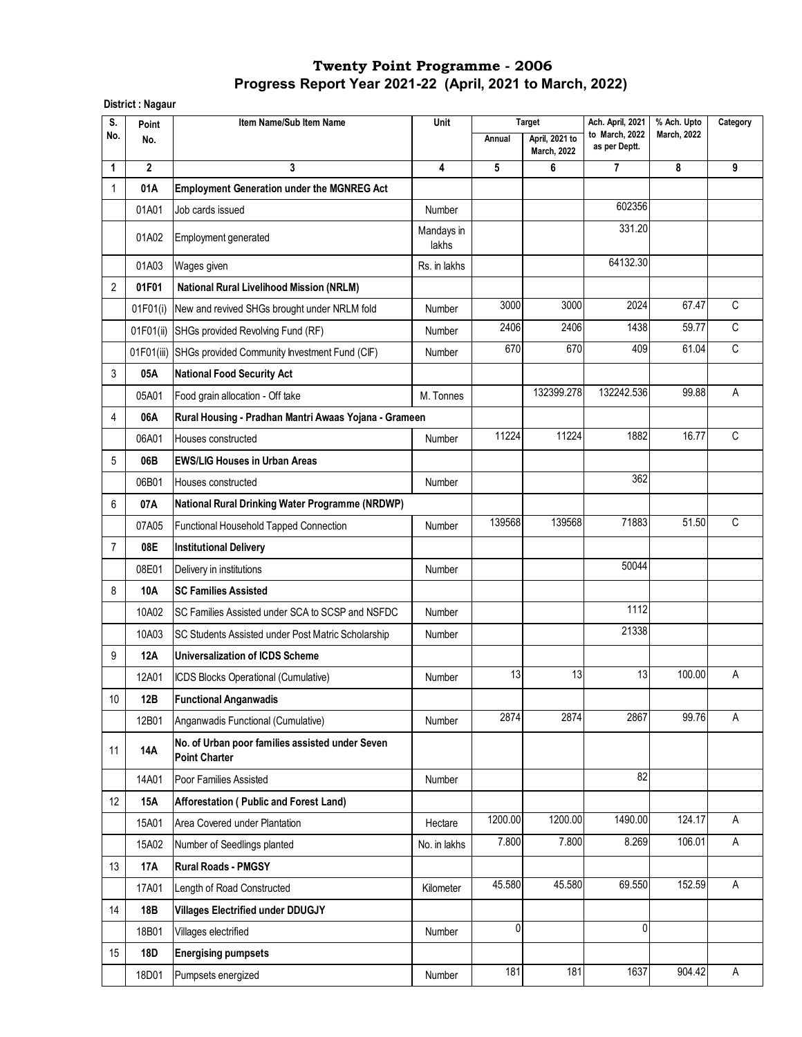**District : Nagaur** 

| S.             | Point        | Item Name/Sub Item Name                                                 | Unit                | <b>Target</b> |                                      | Ach. April, 2021                | % Ach. Upto        | Category |
|----------------|--------------|-------------------------------------------------------------------------|---------------------|---------------|--------------------------------------|---------------------------------|--------------------|----------|
| No.            | No.          |                                                                         |                     | Annual        | April, 2021 to<br><b>March, 2022</b> | to March, 2022<br>as per Deptt. | <b>March, 2022</b> |          |
| 1              | $\mathbf{2}$ | 3                                                                       | 4                   | 5             | 6                                    | 7                               | 8                  | 9        |
| 1              | 01A          | <b>Employment Generation under the MGNREG Act</b>                       |                     |               |                                      |                                 |                    |          |
|                | 01A01        | Job cards issued                                                        | Number              |               |                                      | 602356                          |                    |          |
|                | 01A02        | Employment generated                                                    | Mandays in<br>lakhs |               |                                      | 331.20                          |                    |          |
|                | 01A03        | Wages given                                                             | Rs. in lakhs        |               |                                      | 64132.30                        |                    |          |
| 2              | 01F01        | <b>National Rural Livelihood Mission (NRLM)</b>                         |                     |               |                                      |                                 |                    |          |
|                | 01F01(i)     | New and revived SHGs brought under NRLM fold                            | Number              | 3000          | 3000                                 | 2024                            | 67.47              | C        |
|                | 01F01(ii)    | SHGs provided Revolving Fund (RF)                                       | Number              | 2406          | 2406                                 | 1438                            | 59.77              | C        |
|                | 01F01(iii)   | SHGs provided Community Investment Fund (CIF)                           | Number              | 670           | 670                                  | 409                             | 61.04              | C        |
| 3              | 05A          | <b>National Food Security Act</b>                                       |                     |               |                                      |                                 |                    |          |
|                | 05A01        | Food grain allocation - Off take                                        | M. Tonnes           |               | 132399.278                           | 132242.536                      | 99.88              | A        |
| 4              | 06A          | Rural Housing - Pradhan Mantri Awaas Yojana - Grameen                   |                     |               |                                      |                                 |                    |          |
|                | 06A01        | Houses constructed                                                      | Number              | 11224         | 11224                                | 1882                            | 16.77              | C        |
| 5              | 06B          | <b>EWS/LIG Houses in Urban Areas</b>                                    |                     |               |                                      |                                 |                    |          |
|                | 06B01        | Houses constructed                                                      | Number              |               |                                      | 362                             |                    |          |
| 6              | 07A          | National Rural Drinking Water Programme (NRDWP)                         |                     |               |                                      |                                 |                    |          |
|                | 07A05        | Functional Household Tapped Connection                                  | Number              | 139568        | 139568                               | 71883                           | $\overline{51.50}$ | C        |
| $\overline{7}$ | 08E          | <b>Institutional Delivery</b>                                           |                     |               |                                      |                                 |                    |          |
|                | 08E01        | Delivery in institutions                                                | Number              |               |                                      | 50044                           |                    |          |
| 8              | 10A          | <b>SC Families Assisted</b>                                             |                     |               |                                      |                                 |                    |          |
|                | 10A02        | SC Families Assisted under SCA to SCSP and NSFDC                        | Number              |               |                                      | 1112                            |                    |          |
|                | 10A03        | SC Students Assisted under Post Matric Scholarship                      | Number              |               |                                      | 21338                           |                    |          |
| 9              | 12A          | Universalization of ICDS Scheme                                         |                     |               |                                      |                                 |                    |          |
|                | 12A01        | ICDS Blocks Operational (Cumulative)                                    | Number              | 13            | 13                                   | 13                              | 100.00             | Α        |
| $10\,$         | 12B          | <b>Functional Anganwadis</b>                                            |                     |               |                                      |                                 |                    |          |
|                | 12B01        | Anganwadis Functional (Cumulative)                                      | Number              | 2874          | 2874                                 | 2867                            | 99.76              | Α        |
| 11             | <b>14A</b>   | No. of Urban poor families assisted under Seven<br><b>Point Charter</b> |                     |               |                                      |                                 |                    |          |
|                | 14A01        | Poor Families Assisted                                                  | Number              |               |                                      | $\overline{82}$                 |                    |          |
| 12             | <b>15A</b>   | Afforestation (Public and Forest Land)                                  |                     |               |                                      |                                 |                    |          |
|                | 15A01        | Area Covered under Plantation                                           | Hectare             | 1200.00       | 1200.00                              | 1490.00                         | 124.17             | Α        |
|                | 15A02        | Number of Seedlings planted                                             | No. in lakhs        | 7.800         | 7.800                                | 8.269                           | 106.01             | A        |
| 13             | <b>17A</b>   | <b>Rural Roads - PMGSY</b>                                              |                     |               |                                      |                                 |                    |          |
|                | 17A01        | Length of Road Constructed                                              | Kilometer           | 45.580        | 45.580                               | 69.550                          | 152.59             | Α        |
| 14             | 18B          | <b>Villages Electrified under DDUGJY</b>                                |                     |               |                                      |                                 |                    |          |
|                | 18B01        | Villages electrified                                                    | Number              | 0             |                                      | $\mathbf{0}$                    |                    |          |
| 15             | <b>18D</b>   | <b>Energising pumpsets</b>                                              |                     |               |                                      |                                 |                    |          |
|                | 18D01        | Pumpsets energized                                                      | Number              | 181           | 181                                  | 1637                            | 904.42             | Α        |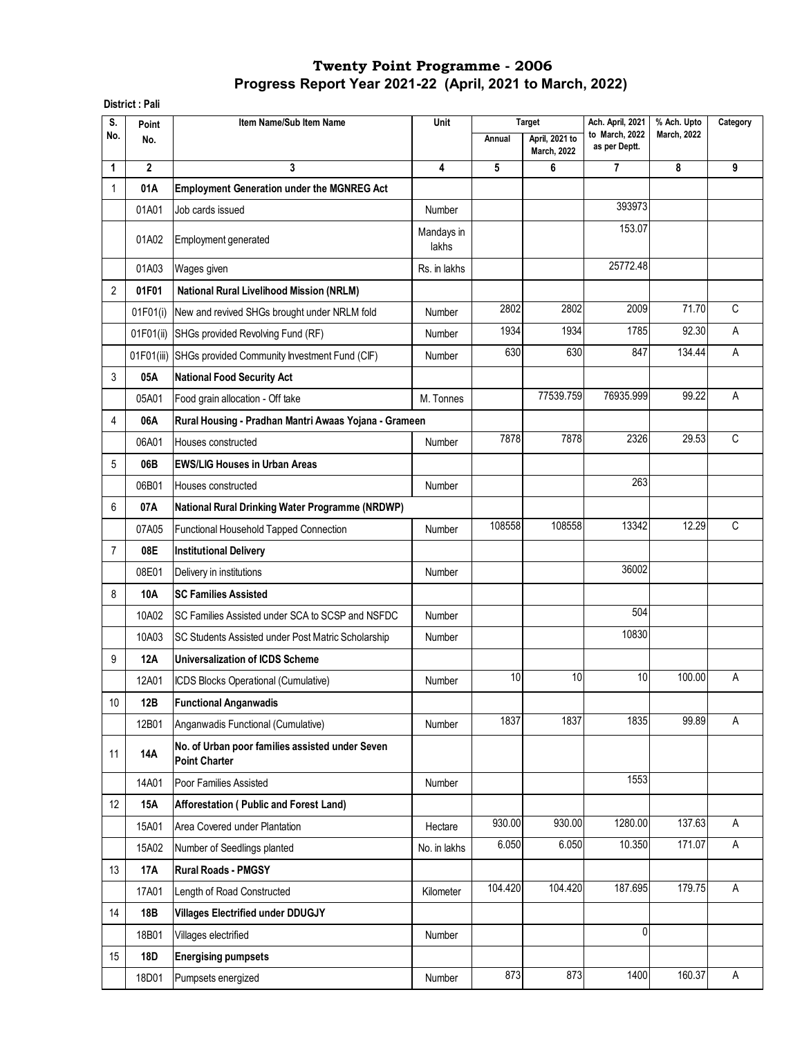#### **District : Pali**

| S.             | Point          | Item Name/Sub Item Name                                                 | Unit                |         | <b>Target</b>                        | Ach. April, 2021                | % Ach. Upto        | Category |
|----------------|----------------|-------------------------------------------------------------------------|---------------------|---------|--------------------------------------|---------------------------------|--------------------|----------|
| No.            | No.            |                                                                         |                     | Annual  | April, 2021 to<br><b>March, 2022</b> | to March, 2022<br>as per Deptt. | <b>March, 2022</b> |          |
| 1              | $\overline{2}$ | 3                                                                       | 4                   | 5       | 6                                    | $\overline{7}$                  | 8                  | 9        |
| 1              | 01A            | <b>Employment Generation under the MGNREG Act</b>                       |                     |         |                                      |                                 |                    |          |
|                | 01A01          | Job cards issued                                                        | Number              |         |                                      | 393973                          |                    |          |
|                | 01A02          | Employment generated                                                    | Mandays in<br>lakhs |         |                                      | 153.07                          |                    |          |
|                | 01A03          | Wages given                                                             | Rs. in lakhs        |         |                                      | 25772.48                        |                    |          |
| 2              | 01F01          | <b>National Rural Livelihood Mission (NRLM)</b>                         |                     |         |                                      |                                 |                    |          |
|                | 01F01(i)       | New and revived SHGs brought under NRLM fold                            | Number              | 2802    | 2802                                 | 2009                            | 71.70              | C        |
|                | 01F01(ii)      | SHGs provided Revolving Fund (RF)                                       | Number              | 1934    | 1934                                 | 1785                            | 92.30              | A        |
|                | 01F01(iii)     | SHGs provided Community Investment Fund (CIF)                           | Number              | 630     | 630                                  | 847                             | 134.44             | A        |
| 3              | 05A            | <b>National Food Security Act</b>                                       |                     |         |                                      |                                 |                    |          |
|                | 05A01          | Food grain allocation - Off take                                        | M. Tonnes           |         | 77539.759                            | 76935.999                       | 99.22              | Α        |
| 4              | 06A            | Rural Housing - Pradhan Mantri Awaas Yojana - Grameen                   |                     |         |                                      |                                 |                    |          |
|                | 06A01          | Houses constructed                                                      | Number              | 7878    | 7878                                 | 2326                            | 29.53              | C        |
| 5              | 06B            | <b>EWS/LIG Houses in Urban Areas</b>                                    |                     |         |                                      |                                 |                    |          |
|                | 06B01          | Houses constructed                                                      | Number              |         |                                      | 263                             |                    |          |
| 6              | 07A            | National Rural Drinking Water Programme (NRDWP)                         |                     |         |                                      |                                 |                    |          |
|                | 07A05          | Functional Household Tapped Connection                                  | Number              | 108558  | 108558                               | 13342                           | 12.29              | C        |
| $\overline{7}$ | 08E            | <b>Institutional Delivery</b>                                           |                     |         |                                      |                                 |                    |          |
|                | 08E01          | Delivery in institutions                                                | Number              |         |                                      | 36002                           |                    |          |
| 8              | 10A            | <b>SC Families Assisted</b>                                             |                     |         |                                      |                                 |                    |          |
|                | 10A02          | SC Families Assisted under SCA to SCSP and NSFDC                        | Number              |         |                                      | 504                             |                    |          |
|                | 10A03          | SC Students Assisted under Post Matric Scholarship                      | Number              |         |                                      | 10830                           |                    |          |
| 9              | <b>12A</b>     | <b>Universalization of ICDS Scheme</b>                                  |                     |         |                                      |                                 |                    |          |
|                | 12A01          | ICDS Blocks Operational (Cumulative)                                    | Number              | 10      | 10                                   | 10                              | 100.00             | Α        |
| 10             | 12B            | <b>Functional Anganwadis</b>                                            |                     |         |                                      |                                 |                    |          |
|                | 12B01          | Anganwadis Functional (Cumulative)                                      | Number              | 1837    | 1837                                 | 1835                            | 99.89              | A        |
| 11             | 14A            | No. of Urban poor families assisted under Seven<br><b>Point Charter</b> |                     |         |                                      |                                 |                    |          |
|                | 14A01          | Poor Families Assisted                                                  | Number              |         |                                      | 1553                            |                    |          |
| 12             | 15A            | Afforestation (Public and Forest Land)                                  |                     |         |                                      |                                 |                    |          |
|                | 15A01          | Area Covered under Plantation                                           | Hectare             | 930.00  | 930.00                               | 1280.00                         | 137.63             | Α        |
|                | 15A02          | Number of Seedlings planted                                             | No. in lakhs        | 6.050   | 6.050                                | 10.350                          | 171.07             | A        |
| 13             | <b>17A</b>     | <b>Rural Roads - PMGSY</b>                                              |                     |         |                                      |                                 |                    |          |
|                | 17A01          | Length of Road Constructed                                              | Kilometer           | 104.420 | 104.420                              | 187.695                         | 179.75             | A        |
| 14             | 18B            | <b>Villages Electrified under DDUGJY</b>                                |                     |         |                                      |                                 |                    |          |
|                | 18B01          | Villages electrified                                                    | Number              |         |                                      | $\mathbf{0}$                    |                    |          |
| 15             | 18D            | <b>Energising pumpsets</b>                                              |                     |         |                                      |                                 |                    |          |
|                | 18D01          | Pumpsets energized                                                      | Number              | 873     | 873                                  | 1400                            | 160.37             | A        |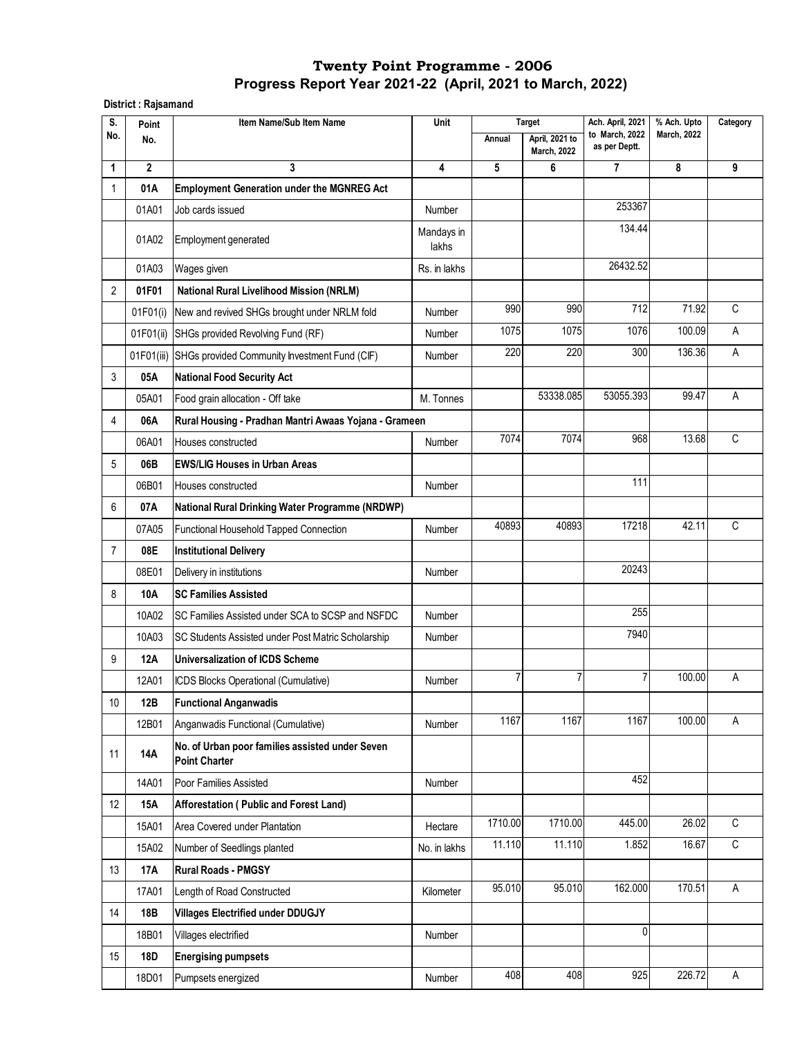## **Progress Report Year 2021-22 (April, 2021 to March, 2022) Twenty Point Programme - 2006**

**District : Rajsamand**

| S.             | Point          | Item Name/Sub Item Name                                                 | Unit                |         | <b>Target</b>                        | Ach. April, 2021                | % Ach. Upto        | Category    |
|----------------|----------------|-------------------------------------------------------------------------|---------------------|---------|--------------------------------------|---------------------------------|--------------------|-------------|
| No.            | No.            |                                                                         |                     | Annual  | April, 2021 to<br><b>March, 2022</b> | to March, 2022<br>as per Deptt. | <b>March, 2022</b> |             |
| 1              | $\overline{2}$ | 3                                                                       | 4                   | 5       | 6                                    | 7                               | 8                  | 9           |
| 1              | 01A            | <b>Employment Generation under the MGNREG Act</b>                       |                     |         |                                      |                                 |                    |             |
|                | 01A01          | Job cards issued                                                        | Number              |         |                                      | 253367                          |                    |             |
|                | 01A02          | Employment generated                                                    | Mandays in<br>lakhs |         |                                      | 134.44                          |                    |             |
|                | 01A03          | Wages given                                                             | Rs. in lakhs        |         |                                      | 26432.52                        |                    |             |
| $\overline{2}$ | 01F01          | <b>National Rural Livelihood Mission (NRLM)</b>                         |                     |         |                                      |                                 |                    |             |
|                | 01F01(i)       | New and revived SHGs brought under NRLM fold                            | Number              | 990     | 990                                  | 712                             | 71.92              | C           |
|                | 01F01(ii)      | SHGs provided Revolving Fund (RF)                                       | Number              | 1075    | 1075                                 | 1076                            | 100.09             | A           |
|                | 01F01(iii)     | SHGs provided Community Investment Fund (CIF)                           | Number              | 220     | 220                                  | 300                             | 136.36             | Α           |
| 3              | 05A            | <b>National Food Security Act</b>                                       |                     |         |                                      |                                 |                    |             |
|                | 05A01          | Food grain allocation - Off take                                        | M. Tonnes           |         | 53338.085                            | 53055.393                       | 99.47              | Α           |
| 4              | 06A            | Rural Housing - Pradhan Mantri Awaas Yojana - Grameen                   |                     |         |                                      |                                 |                    |             |
|                | 06A01          | Houses constructed                                                      | Number              | 7074    | 7074                                 | 968                             | 13.68              | C           |
| 5              | 06B            | <b>EWS/LIG Houses in Urban Areas</b>                                    |                     |         |                                      |                                 |                    |             |
|                | 06B01          | Houses constructed                                                      | Number              |         |                                      | 111                             |                    |             |
| 6              | 07A            | National Rural Drinking Water Programme (NRDWP)                         |                     |         |                                      |                                 |                    |             |
|                | 07A05          | Functional Household Tapped Connection                                  | Number              | 40893   | 40893                                | 17218                           | 42.11              | C           |
| $\overline{7}$ | 08E            | <b>Institutional Delivery</b>                                           |                     |         |                                      |                                 |                    |             |
|                | 08E01          | Delivery in institutions                                                | Number              |         |                                      | 20243                           |                    |             |
| 8              | 10A            | <b>SC Families Assisted</b>                                             |                     |         |                                      |                                 |                    |             |
|                | 10A02          | SC Families Assisted under SCA to SCSP and NSFDC                        | Number              |         |                                      | 255                             |                    |             |
|                | 10A03          | SC Students Assisted under Post Matric Scholarship                      | Number              |         |                                      | 7940                            |                    |             |
| 9              | 12A            | Universalization of ICDS Scheme                                         |                     |         |                                      |                                 |                    |             |
|                | 12A01          | ICDS Blocks Operational (Cumulative)                                    | Number              | 7       |                                      | $\overline{7}$                  | 100.00             | А           |
| 10             | 12B            | <b>Functional Anganwadis</b>                                            |                     |         |                                      |                                 |                    |             |
|                | 12B01          | Anganwadis Functional (Cumulative)                                      | Number              | 1167    | 1167                                 | 1167                            | 100.00             | A           |
| 11             | <b>14A</b>     | No. of Urban poor families assisted under Seven<br><b>Point Charter</b> |                     |         |                                      |                                 |                    |             |
|                | 14A01          | Poor Families Assisted                                                  | <b>Number</b>       |         |                                      | 452                             |                    |             |
| 12             | 15A            | Afforestation (Public and Forest Land)                                  |                     |         |                                      |                                 |                    |             |
|                | 15A01          | Area Covered under Plantation                                           | Hectare             | 1710.00 | 1710.00                              | 445.00                          | 26.02              | C           |
|                | 15A02          | Number of Seedlings planted                                             | No. in lakhs        | 11.110  | 11.110                               | 1.852                           | 16.67              | $\mathsf C$ |
| 13             | <b>17A</b>     | <b>Rural Roads - PMGSY</b>                                              |                     |         |                                      |                                 |                    |             |
|                | 17A01          | Length of Road Constructed                                              | Kilometer           | 95.010  | 95.010                               | 162.000                         | 170.51             | A           |
| 14             | 18B            | <b>Villages Electrified under DDUGJY</b>                                |                     |         |                                      |                                 |                    |             |
|                | 18B01          | Villages electrified                                                    | Number              |         |                                      | $\mathbf 0$                     |                    |             |
| 15             | <b>18D</b>     | <b>Energising pumpsets</b>                                              |                     |         |                                      |                                 |                    |             |
|                | 18D01          | Pumpsets energized                                                      | Number              | 408     | 408                                  | 925                             | 226.72             | A           |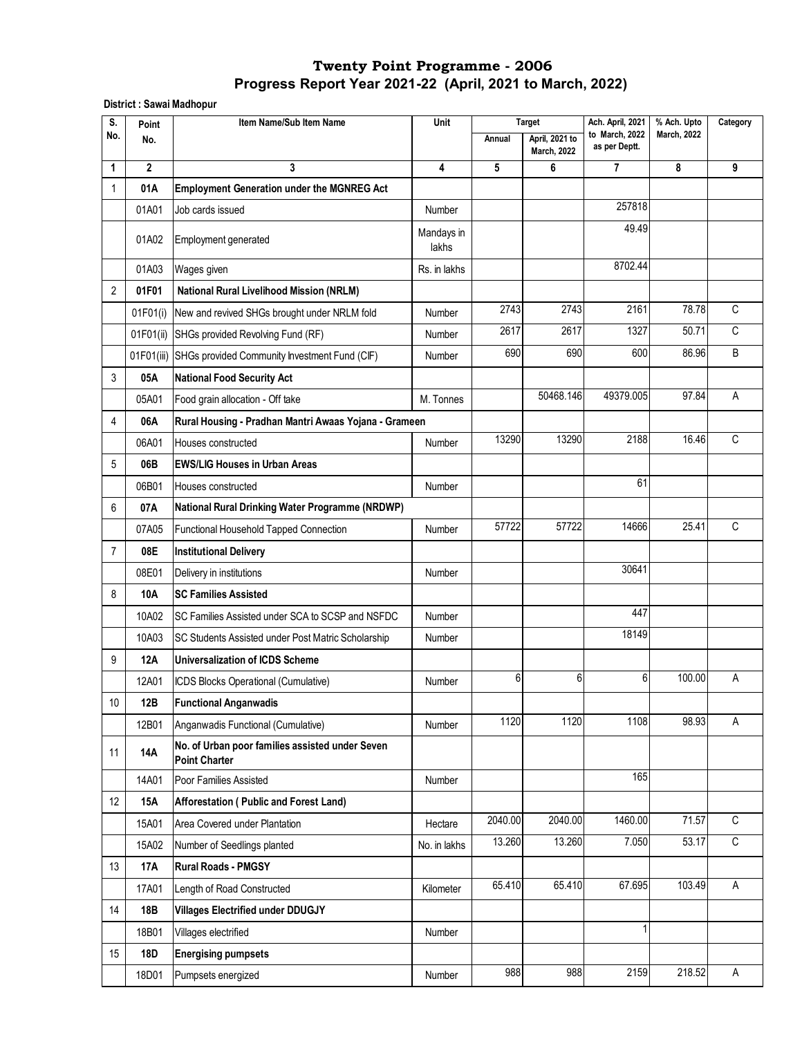**District : Sawai Madhopur**

| S.             | Point        | Item Name/Sub Item Name                                                 | Unit                |         | <b>Target</b>                        | Ach. April, 2021                | % Ach. Upto        | Category       |
|----------------|--------------|-------------------------------------------------------------------------|---------------------|---------|--------------------------------------|---------------------------------|--------------------|----------------|
| No.            | No.          |                                                                         |                     | Annual  | April, 2021 to<br><b>March, 2022</b> | to March, 2022<br>as per Deptt. | <b>March, 2022</b> |                |
| 1              | $\mathbf{2}$ | 3                                                                       | 4                   | 5       | 6                                    | 7                               | 8                  | 9              |
| 1              | 01A          | <b>Employment Generation under the MGNREG Act</b>                       |                     |         |                                      |                                 |                    |                |
|                | 01A01        | Job cards issued                                                        | Number              |         |                                      | 257818                          |                    |                |
|                | 01A02        | Employment generated                                                    | Mandays in<br>lakhs |         |                                      | 49.49                           |                    |                |
|                | 01A03        | Wages given                                                             | Rs. in lakhs        |         |                                      | 8702.44                         |                    |                |
| 2              | 01F01        | <b>National Rural Livelihood Mission (NRLM)</b>                         |                     |         |                                      |                                 |                    |                |
|                | 01F01(i)     | New and revived SHGs brought under NRLM fold                            | Number              | 2743    | 2743                                 | 2161                            | 78.78              | C              |
|                | 01F01(ii)    | SHGs provided Revolving Fund (RF)                                       | Number              | 2617    | 2617                                 | 1327                            | 50.71              | C              |
|                |              | 01F01(iii) SHGs provided Community Investment Fund (CIF)                | Number              | 690     | 690                                  | 600                             | 86.96              | B              |
| 3              | 05A          | <b>National Food Security Act</b>                                       |                     |         |                                      |                                 |                    |                |
|                | 05A01        | Food grain allocation - Off take                                        | M. Tonnes           |         | 50468.146                            | 49379.005                       | 97.84              | Α              |
| 4              | 06A          | Rural Housing - Pradhan Mantri Awaas Yojana - Grameen                   |                     |         |                                      |                                 |                    |                |
|                | 06A01        | Houses constructed                                                      | Number              | 13290   | 13290                                | 2188                            | 16.46              | C              |
| 5              | 06B          | <b>EWS/LIG Houses in Urban Areas</b>                                    |                     |         |                                      |                                 |                    |                |
|                | 06B01        | Houses constructed                                                      | Number              |         |                                      | 61                              |                    |                |
| 6              | 07A          | National Rural Drinking Water Programme (NRDWP)                         |                     |         |                                      |                                 |                    |                |
|                | 07A05        | Functional Household Tapped Connection                                  | Number              | 57722   | 57722                                | 14666                           | 25.41              | C              |
| $\overline{7}$ | 08E          | <b>Institutional Delivery</b>                                           |                     |         |                                      |                                 |                    |                |
|                | 08E01        | Delivery in institutions                                                | Number              |         |                                      | 30641                           |                    |                |
| 8              | 10A          | <b>SC Families Assisted</b>                                             |                     |         |                                      |                                 |                    |                |
|                | 10A02        | SC Families Assisted under SCA to SCSP and NSFDC                        | Number              |         |                                      | 447                             |                    |                |
|                | 10A03        | SC Students Assisted under Post Matric Scholarship                      | Number              |         |                                      | 18149                           |                    |                |
| 9              | <b>12A</b>   | <b>Universalization of ICDS Scheme</b>                                  |                     |         |                                      |                                 |                    |                |
|                | 12A01        | ICDS Blocks Operational (Cumulative)                                    | Number              | 6       | 6                                    | 6                               | 100.00             | Α              |
| 10             | 12B          | <b>Functional Anganwadis</b>                                            |                     |         |                                      |                                 |                    |                |
|                | 12B01        | Anganwadis Functional (Cumulative)                                      | Number              | 1120    | 1120                                 | 1108                            | 98.93              | A              |
| 11             | 14A          | No. of Urban poor families assisted under Seven<br><b>Point Charter</b> |                     |         |                                      |                                 |                    |                |
|                | 14A01        | Poor Families Assisted                                                  | Number              |         |                                      | 165                             |                    |                |
| 12             | <b>15A</b>   | Afforestation (Public and Forest Land)                                  |                     |         |                                      |                                 |                    |                |
|                | 15A01        | Area Covered under Plantation                                           | Hectare             | 2040.00 | 2040.00                              | 1460.00                         | 71.57              | C              |
|                | 15A02        | Number of Seedlings planted                                             | No. in lakhs        | 13.260  | 13.260                               | 7.050                           | 53.17              | $\overline{C}$ |
| 13             | <b>17A</b>   | <b>Rural Roads - PMGSY</b>                                              |                     |         |                                      |                                 |                    |                |
|                | 17A01        | Length of Road Constructed                                              | Kilometer           | 65.410  | 65.410                               | 67.695                          | 103.49             | A              |
| 14             | 18B          | <b>Villages Electrified under DDUGJY</b>                                |                     |         |                                      |                                 |                    |                |
|                | 18B01        | Villages electrified                                                    | Number              |         |                                      | $\mathbf{1}$                    |                    |                |
| 15             | <b>18D</b>   | <b>Energising pumpsets</b>                                              |                     |         |                                      |                                 |                    |                |
|                | 18D01        | Pumpsets energized                                                      | Number              | 988     | 988                                  | 2159                            | 218.52             | Α              |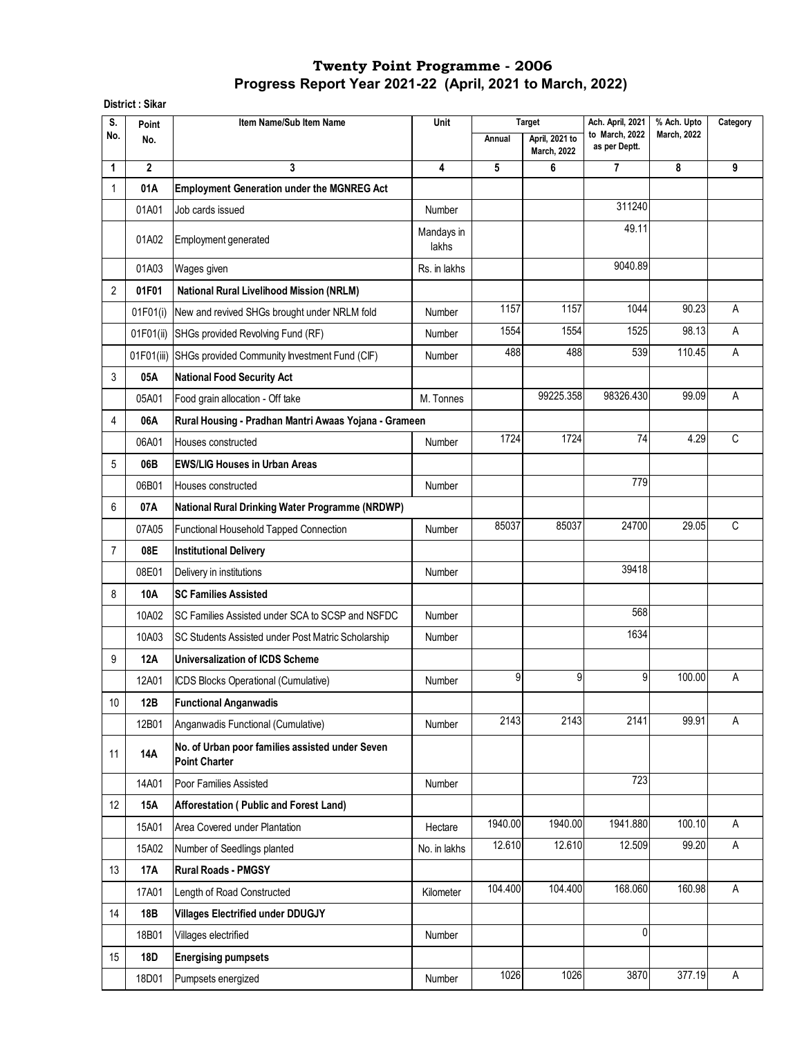**District : Sikar**

| S.             | Point        | Item Name/Sub Item Name                                                 | Unit                |         | <b>Target</b>                        | Ach. April, 2021                | % Ach. Upto        | Category |
|----------------|--------------|-------------------------------------------------------------------------|---------------------|---------|--------------------------------------|---------------------------------|--------------------|----------|
| No.            | No.          |                                                                         |                     | Annual  | April, 2021 to<br><b>March, 2022</b> | to March, 2022<br>as per Deptt. | <b>March, 2022</b> |          |
| 1              | $\mathbf{2}$ | 3                                                                       | 4                   | 5       | 6                                    | $\overline{7}$                  | 8                  | 9        |
| $\mathbf{1}$   | 01A          | <b>Employment Generation under the MGNREG Act</b>                       |                     |         |                                      |                                 |                    |          |
|                | 01A01        | Job cards issued                                                        | <b>Number</b>       |         |                                      | 311240                          |                    |          |
|                | 01A02        | Employment generated                                                    | Mandays in<br>lakhs |         |                                      | 49.11                           |                    |          |
|                | 01A03        | Wages given                                                             | Rs. in lakhs        |         |                                      | 9040.89                         |                    |          |
| $\overline{2}$ | 01F01        | <b>National Rural Livelihood Mission (NRLM)</b>                         |                     |         |                                      |                                 |                    |          |
|                | 01F01(i)     | New and revived SHGs brought under NRLM fold                            | <b>Number</b>       | 1157    | 1157                                 | 1044                            | 90.23              | A        |
|                | 01F01(ii)    | SHGs provided Revolving Fund (RF)                                       | <b>Number</b>       | 1554    | 1554                                 | 1525                            | 98.13              | A        |
|                |              | 01F01(iii) SHGs provided Community Investment Fund (CIF)                | Number              | 488     | 488                                  | 539                             | 110.45             | A        |
| 3              | 05A          | <b>National Food Security Act</b>                                       |                     |         |                                      |                                 |                    |          |
|                | 05A01        | Food grain allocation - Off take                                        | M. Tonnes           |         | 99225.358                            | 98326.430                       | 99.09              | Α        |
| 4              | 06A          | Rural Housing - Pradhan Mantri Awaas Yojana - Grameen                   |                     |         |                                      |                                 |                    |          |
|                | 06A01        | Houses constructed                                                      | Number              | 1724    | 1724                                 | 74                              | 4.29               | C        |
| 5              | 06B          | <b>EWS/LIG Houses in Urban Areas</b>                                    |                     |         |                                      |                                 |                    |          |
|                | 06B01        | Houses constructed                                                      | <b>Number</b>       |         |                                      | 779                             |                    |          |
| 6              | 07A          | National Rural Drinking Water Programme (NRDWP)                         |                     |         |                                      |                                 |                    |          |
|                | 07A05        | Functional Household Tapped Connection                                  | Number              | 85037   | 85037                                | 24700                           | 29.05              | C        |
| $\overline{7}$ | 08E          | <b>Institutional Delivery</b>                                           |                     |         |                                      |                                 |                    |          |
|                | 08E01        | Delivery in institutions                                                | Number              |         |                                      | 39418                           |                    |          |
| 8              | 10A          | <b>SC Families Assisted</b>                                             |                     |         |                                      |                                 |                    |          |
|                | 10A02        | SC Families Assisted under SCA to SCSP and NSFDC                        | Number              |         |                                      | 568                             |                    |          |
|                | 10A03        | SC Students Assisted under Post Matric Scholarship                      | Number              |         |                                      | 1634                            |                    |          |
| 9              | <b>12A</b>   | <b>Universalization of ICDS Scheme</b>                                  |                     |         |                                      |                                 |                    |          |
|                | 12A01        | ICDS Blocks Operational (Cumulative)                                    | Number              | 9       | 9                                    | 9                               | 100.00             | A        |
| $10$           | 12B          | <b>Functional Anganwadis</b>                                            |                     |         |                                      |                                 |                    |          |
|                | 12B01        | Anganwadis Functional (Cumulative)                                      | Number              | 2143    | 2143                                 | 2141                            | 99.91              | A        |
| 11             | <b>14A</b>   | No. of Urban poor families assisted under Seven<br><b>Point Charter</b> |                     |         |                                      |                                 |                    |          |
|                | 14A01        | Poor Families Assisted                                                  | <b>Number</b>       |         |                                      | 723                             |                    |          |
| 12             | <b>15A</b>   | Afforestation (Public and Forest Land)                                  |                     |         |                                      |                                 |                    |          |
|                | 15A01        | Area Covered under Plantation                                           | Hectare             | 1940.00 | 1940.00                              | 1941.880                        | 100.10             | A        |
|                | 15A02        | Number of Seedlings planted                                             | No. in lakhs        | 12.610  | 12.610                               | 12.509                          | 99.20              | A        |
| 13             | 17A          | <b>Rural Roads - PMGSY</b>                                              |                     |         |                                      |                                 |                    |          |
|                | 17A01        | Length of Road Constructed                                              | Kilometer           | 104.400 | 104.400                              | 168.060                         | 160.98             | Α        |
| 14             | 18B          | <b>Villages Electrified under DDUGJY</b>                                |                     |         |                                      |                                 |                    |          |
|                | 18B01        | Villages electrified                                                    | Number              |         |                                      | $\mathbf{0}$                    |                    |          |
| 15             | <b>18D</b>   | <b>Energising pumpsets</b>                                              |                     |         |                                      |                                 |                    |          |
|                | 18D01        | Pumpsets energized                                                      | Number              | 1026    | 1026                                 | 3870                            | 377.19             | A        |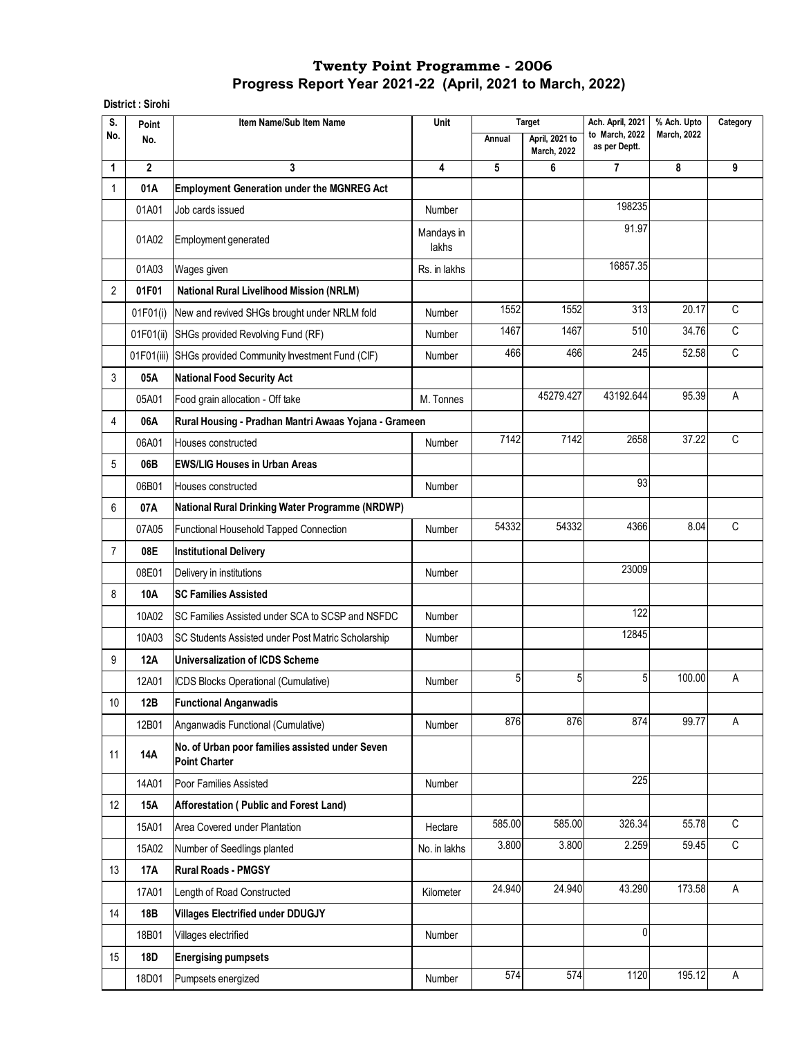**District : Sirohi** 

| S.             | Point        | Item Name/Sub Item Name                                                 | Unit                |        | <b>Target</b>                        | Ach. April, 2021                | % Ach. Upto        | Category       |
|----------------|--------------|-------------------------------------------------------------------------|---------------------|--------|--------------------------------------|---------------------------------|--------------------|----------------|
| No.            | No.          |                                                                         |                     | Annual | April, 2021 to<br><b>March, 2022</b> | to March, 2022<br>as per Deptt. | <b>March, 2022</b> |                |
| 1              | $\mathbf{2}$ | 3                                                                       | 4                   | 5      | 6                                    | 7                               | 8                  | 9              |
| 1              | 01A          | <b>Employment Generation under the MGNREG Act</b>                       |                     |        |                                      |                                 |                    |                |
|                | 01A01        | Job cards issued                                                        | Number              |        |                                      | 198235                          |                    |                |
|                | 01A02        | <b>Employment generated</b>                                             | Mandays in<br>lakhs |        |                                      | 91.97                           |                    |                |
|                | 01A03        | Wages given                                                             | Rs. in lakhs        |        |                                      | 16857.35                        |                    |                |
| 2              | 01F01        | <b>National Rural Livelihood Mission (NRLM)</b>                         |                     |        |                                      |                                 |                    |                |
|                | 01F01(i)     | New and revived SHGs brought under NRLM fold                            | Number              | 1552   | 1552                                 | 313                             | 20.17              | C              |
|                | 01F01(ii)    | SHGs provided Revolving Fund (RF)                                       | Number              | 1467   | 1467                                 | 510                             | 34.76              | $\overline{c}$ |
|                | 01F01(iii)   | SHGs provided Community Investment Fund (CIF)                           | <b>Number</b>       | 466    | 466                                  | 245                             | 52.58              | $\mathsf{C}$   |
| 3              | 05A          | <b>National Food Security Act</b>                                       |                     |        |                                      |                                 |                    |                |
|                | 05A01        | Food grain allocation - Off take                                        | M. Tonnes           |        | 45279.427                            | 43192.644                       | 95.39              | Α              |
| 4              | 06A          | Rural Housing - Pradhan Mantri Awaas Yojana - Grameen                   |                     |        |                                      |                                 |                    |                |
|                | 06A01        | Houses constructed                                                      | <b>Number</b>       | 7142   | $\frac{1}{7142}$                     | 2658                            | 37.22              | $\mathsf C$    |
| 5              | 06B          | <b>EWS/LIG Houses in Urban Areas</b>                                    |                     |        |                                      |                                 |                    |                |
|                | 06B01        | Houses constructed                                                      | Number              |        |                                      | 93                              |                    |                |
| 6              | 07A          | National Rural Drinking Water Programme (NRDWP)                         |                     |        |                                      |                                 |                    |                |
|                | 07A05        | Functional Household Tapped Connection                                  | Number              | 54332  | 54332                                | 4366                            | 8.04               | C              |
| $\overline{7}$ | 08E          | <b>Institutional Delivery</b>                                           |                     |        |                                      |                                 |                    |                |
|                | 08E01        | Delivery in institutions                                                | Number              |        |                                      | 23009                           |                    |                |
| 8              | 10A          | <b>SC Families Assisted</b>                                             |                     |        |                                      |                                 |                    |                |
|                | 10A02        | SC Families Assisted under SCA to SCSP and NSFDC                        | Number              |        |                                      | 122                             |                    |                |
|                | 10A03        | SC Students Assisted under Post Matric Scholarship                      | Number              |        |                                      | 12845                           |                    |                |
| 9              | 12A          | <b>Universalization of ICDS Scheme</b>                                  |                     |        |                                      |                                 |                    |                |
|                | 12A01        | ICDS Blocks Operational (Cumulative)                                    | Number              | 5      | 5                                    | 5                               | 100.00             | Α              |
| 10             | 12B          | <b>Functional Anganwadis</b>                                            |                     |        |                                      |                                 |                    |                |
|                | 12B01        | Anganwadis Functional (Cumulative)                                      | Number              | 876    | 876                                  | 874                             | 99.77              | A              |
| 11             | <b>14A</b>   | No. of Urban poor families assisted under Seven<br><b>Point Charter</b> |                     |        |                                      |                                 |                    |                |
|                | 14A01        | Poor Families Assisted                                                  | Number              |        |                                      | 225                             |                    |                |
| 12             | 15A          | Afforestation (Public and Forest Land)                                  |                     |        |                                      |                                 |                    |                |
|                | 15A01        | Area Covered under Plantation                                           | Hectare             | 585.00 | 585.00                               | 326.34                          | 55.78              | $\mathsf C$    |
|                | 15A02        | Number of Seedlings planted                                             | No. in lakhs        | 3.800  | 3.800                                | 2.259                           | 59.45              | C              |
| 13             | 17A          | <b>Rural Roads - PMGSY</b>                                              |                     |        |                                      |                                 |                    |                |
|                | 17A01        | Length of Road Constructed                                              | Kilometer           | 24.940 | 24.940                               | 43.290                          | 173.58             | Α              |
| 14             | 18B          | <b>Villages Electrified under DDUGJY</b>                                |                     |        |                                      |                                 |                    |                |
|                | 18B01        | Villages electrified                                                    | Number              |        |                                      | 0                               |                    |                |
| 15             | 18D          | <b>Energising pumpsets</b>                                              |                     |        |                                      |                                 |                    |                |
|                | 18D01        | Pumpsets energized                                                      | Number              | 574    | 574                                  | 1120                            | 195.12             | Α              |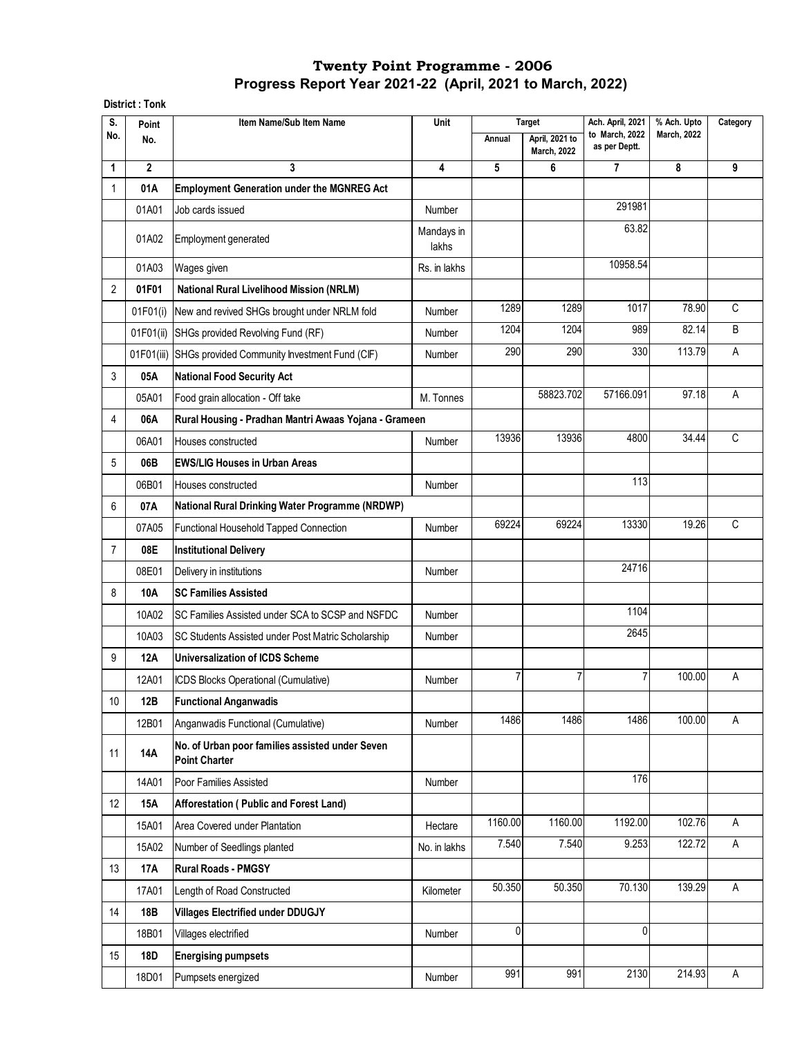**District : Tonk**

| S.             | Point          | Item Name/Sub Item Name                                                 | Unit                |         | <b>Target</b>                        | Ach. April, 2021                | % Ach. Upto        | Category |
|----------------|----------------|-------------------------------------------------------------------------|---------------------|---------|--------------------------------------|---------------------------------|--------------------|----------|
| No.            | No.            |                                                                         |                     | Annual  | April, 2021 to<br><b>March, 2022</b> | to March, 2022<br>as per Deptt. | <b>March, 2022</b> |          |
| 1              | $\overline{2}$ | 3                                                                       | 4                   | 5       | 6                                    | 7                               | 8                  | 9        |
| 1              | 01A            | <b>Employment Generation under the MGNREG Act</b>                       |                     |         |                                      |                                 |                    |          |
|                | 01A01          | Job cards issued                                                        | Number              |         |                                      | 291981                          |                    |          |
|                | 01A02          | Employment generated                                                    | Mandays in<br>lakhs |         |                                      | 63.82                           |                    |          |
|                | 01A03          | Wages given                                                             | Rs. in lakhs        |         |                                      | 10958.54                        |                    |          |
| $\overline{2}$ | 01F01          | <b>National Rural Livelihood Mission (NRLM)</b>                         |                     |         |                                      |                                 |                    |          |
|                | 01F01(i)       | New and revived SHGs brought under NRLM fold                            | Number              | 1289    | 1289                                 | 1017                            | 78.90              | C        |
|                | 01F01(ii)      | SHGs provided Revolving Fund (RF)                                       | Number              | 1204    | 1204                                 | 989                             | 82.14              | B        |
|                | 01F01(iii)     | SHGs provided Community Investment Fund (CIF)                           | Number              | 290     | 290                                  | 330                             | 113.79             | Α        |
| 3              | 05A            | <b>National Food Security Act</b>                                       |                     |         |                                      |                                 |                    |          |
|                | 05A01          | Food grain allocation - Off take                                        | M. Tonnes           |         | 58823.702                            | 57166.091                       | 97.18              | Α        |
| 4              | 06A            | Rural Housing - Pradhan Mantri Awaas Yojana - Grameen                   |                     |         |                                      |                                 |                    |          |
|                | 06A01          | Houses constructed                                                      | Number              | 13936   | 13936                                | 4800                            | 34.44              | С        |
| 5              | 06B            | <b>EWS/LIG Houses in Urban Areas</b>                                    |                     |         |                                      |                                 |                    |          |
|                | 06B01          | Houses constructed                                                      | Number              |         |                                      | 113                             |                    |          |
| 6              | 07A            | National Rural Drinking Water Programme (NRDWP)                         |                     |         |                                      |                                 |                    |          |
|                | 07A05          | Functional Household Tapped Connection                                  | Number              | 69224   | 69224                                | 13330                           | 19.26              | C        |
| $\overline{7}$ | 08E            | <b>Institutional Delivery</b>                                           |                     |         |                                      |                                 |                    |          |
|                | 08E01          | Delivery in institutions                                                | Number              |         |                                      | 24716                           |                    |          |
| 8              | 10A            | <b>SC Families Assisted</b>                                             |                     |         |                                      |                                 |                    |          |
|                | 10A02          | SC Families Assisted under SCA to SCSP and NSFDC                        | Number              |         |                                      | 1104                            |                    |          |
|                | 10A03          | SC Students Assisted under Post Matric Scholarship                      | Number              |         |                                      | 2645                            |                    |          |
| 9              | <b>12A</b>     | Universalization of ICDS Scheme                                         |                     |         |                                      |                                 |                    |          |
|                | 12A01          | ICDS Blocks Operational (Cumulative)                                    | Number              | 7       | 7                                    | 7                               | 100.00             | Α        |
| 10             | 12B            | <b>Functional Anganwadis</b>                                            |                     |         |                                      |                                 |                    |          |
|                | 12B01          | Anganwadis Functional (Cumulative)                                      | Number              | 1486    | 1486                                 | 1486                            | 100.00             | A        |
| 11             | <b>14A</b>     | No. of Urban poor families assisted under Seven<br><b>Point Charter</b> |                     |         |                                      |                                 |                    |          |
|                | 14A01          | Poor Families Assisted                                                  | Number              |         |                                      | 176                             |                    |          |
| 12             | 15A            | Afforestation (Public and Forest Land)                                  |                     |         |                                      |                                 |                    |          |
|                | 15A01          | Area Covered under Plantation                                           | Hectare             | 1160.00 | 1160.00                              | 1192.00                         | 102.76             | A        |
|                | 15A02          | Number of Seedlings planted                                             | No. in lakhs        | 7.540   | 7.540                                | 9.253                           | 122.72             | A        |
| 13             | 17A            | <b>Rural Roads - PMGSY</b>                                              |                     |         |                                      |                                 |                    |          |
|                | 17A01          | Length of Road Constructed                                              | Kilometer           | 50.350  | 50.350                               | 70.130                          | 139.29             | A        |
| 14             | 18B            | <b>Villages Electrified under DDUGJY</b>                                |                     |         |                                      |                                 |                    |          |
|                | 18B01          | Villages electrified                                                    | Number              | 0       |                                      | $\mathbf{0}$                    |                    |          |
| 15             | 18D            | <b>Energising pumpsets</b>                                              |                     |         |                                      |                                 |                    |          |
|                | 18D01          | Pumpsets energized                                                      | Number              | 991     | 991                                  | 2130                            | 214.93             | A        |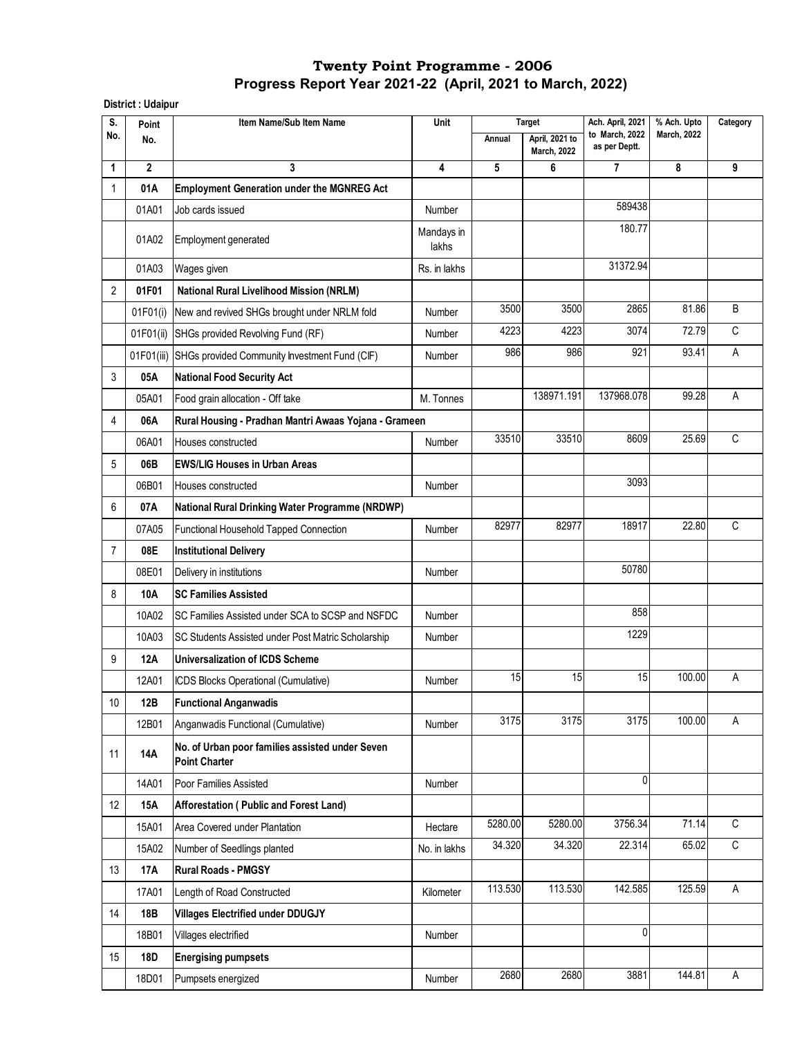**District : Udaipur** 

| S.             | Point          | Item Name/Sub Item Name                                                 | Unit                |         | <b>Target</b>                        | Ach. April, 2021                | % Ach. Upto        | Category     |
|----------------|----------------|-------------------------------------------------------------------------|---------------------|---------|--------------------------------------|---------------------------------|--------------------|--------------|
| No.            | No.            |                                                                         |                     | Annual  | April, 2021 to<br><b>March, 2022</b> | to March, 2022<br>as per Deptt. | <b>March, 2022</b> |              |
| 1              | $\overline{2}$ | 3                                                                       | 4                   | 5       | 6                                    | 7                               | 8                  | 9            |
| $\mathbf{1}$   | 01A            | <b>Employment Generation under the MGNREG Act</b>                       |                     |         |                                      |                                 |                    |              |
|                | 01A01          | Job cards issued                                                        | Number              |         |                                      | 589438                          |                    |              |
|                | 01A02          | Employment generated                                                    | Mandays in<br>lakhs |         |                                      | 180.77                          |                    |              |
|                | 01A03          | Wages given                                                             | Rs. in lakhs        |         |                                      | 31372.94                        |                    |              |
| $\overline{2}$ | 01F01          | <b>National Rural Livelihood Mission (NRLM)</b>                         |                     |         |                                      |                                 |                    |              |
|                | 01F01(i)       | New and revived SHGs brought under NRLM fold                            | Number              | 3500    | 3500                                 | 2865                            | 81.86              | B            |
|                | 01F01(ii)      | SHGs provided Revolving Fund (RF)                                       | Number              | 4223    | 4223                                 | 3074                            | 72.79              | C            |
|                |                | 01F01(iii) SHGs provided Community Investment Fund (CIF)                | Number              | 986     | 986                                  | 921                             | 93.41              | A            |
| 3              | 05A            | <b>National Food Security Act</b>                                       |                     |         |                                      |                                 |                    |              |
|                | 05A01          | Food grain allocation - Off take                                        | M. Tonnes           |         | 138971.191                           | 137968.078                      | 99.28              | Α            |
| 4              | 06A            | Rural Housing - Pradhan Mantri Awaas Yojana - Grameen                   |                     |         |                                      |                                 |                    |              |
|                | 06A01          | Houses constructed                                                      | Number              | 33510   | 33510                                | 8609                            | 25.69              | C            |
| 5              | 06B            | <b>EWS/LIG Houses in Urban Areas</b>                                    |                     |         |                                      |                                 |                    |              |
|                | 06B01          | Houses constructed                                                      | Number              |         |                                      | 3093                            |                    |              |
| 6              | 07A            | National Rural Drinking Water Programme (NRDWP)                         |                     |         |                                      |                                 |                    |              |
|                | 07A05          | Functional Household Tapped Connection                                  | Number              | 82977   | 82977                                | 18917                           | 22.80              | C            |
| $\overline{7}$ | 08E            | <b>Institutional Delivery</b>                                           |                     |         |                                      |                                 |                    |              |
|                | 08E01          | Delivery in institutions                                                | Number              |         |                                      | 50780                           |                    |              |
| 8              | 10A            | <b>SC Families Assisted</b>                                             |                     |         |                                      |                                 |                    |              |
|                | 10A02          | SC Families Assisted under SCA to SCSP and NSFDC                        | Number              |         |                                      | 858                             |                    |              |
|                | 10A03          | SC Students Assisted under Post Matric Scholarship                      | Number              |         |                                      | 1229                            |                    |              |
| 9              | 12A            | <b>Universalization of ICDS Scheme</b>                                  |                     |         |                                      |                                 |                    |              |
|                | 12A01          | ICDS Blocks Operational (Cumulative)                                    | Number              | 15      | 15                                   | 15                              | 100.00             | Α            |
| $10$           | 12B            | <b>Functional Anganwadis</b>                                            |                     |         |                                      |                                 |                    |              |
|                | 12B01          | Anganwadis Functional (Cumulative)                                      | Number              | 3175    | 3175                                 | 3175                            | 100.00             | A            |
| 11             | <b>14A</b>     | No. of Urban poor families assisted under Seven<br><b>Point Charter</b> |                     |         |                                      |                                 |                    |              |
|                | 14A01          | Poor Families Assisted                                                  | Number              |         |                                      | $\mathbf{0}$                    |                    |              |
| 12             | 15A            | Afforestation (Public and Forest Land)                                  |                     |         |                                      |                                 |                    |              |
|                | 15A01          | Area Covered under Plantation                                           | Hectare             | 5280.00 | 5280.00                              | 3756.34                         | 71.14              | $\mathsf{C}$ |
|                | 15A02          | Number of Seedlings planted                                             | No. in lakhs        | 34.320  | 34.320                               | 22.314                          | 65.02              | $\mathbb{C}$ |
| 13             | 17A            | <b>Rural Roads - PMGSY</b>                                              |                     |         |                                      |                                 |                    |              |
|                | 17A01          | Length of Road Constructed                                              | Kilometer           | 113.530 | 113.530                              | 142.585                         | 125.59             | A            |
| 14             | 18B            | <b>Villages Electrified under DDUGJY</b>                                |                     |         |                                      |                                 |                    |              |
|                | 18B01          | Villages electrified                                                    | Number              |         |                                      | 0                               |                    |              |
| 15             | 18D            | <b>Energising pumpsets</b>                                              |                     |         |                                      |                                 |                    |              |
|                | 18D01          | Pumpsets energized                                                      | Number              | 2680    | 2680                                 | 3881                            | 144.81             | A            |